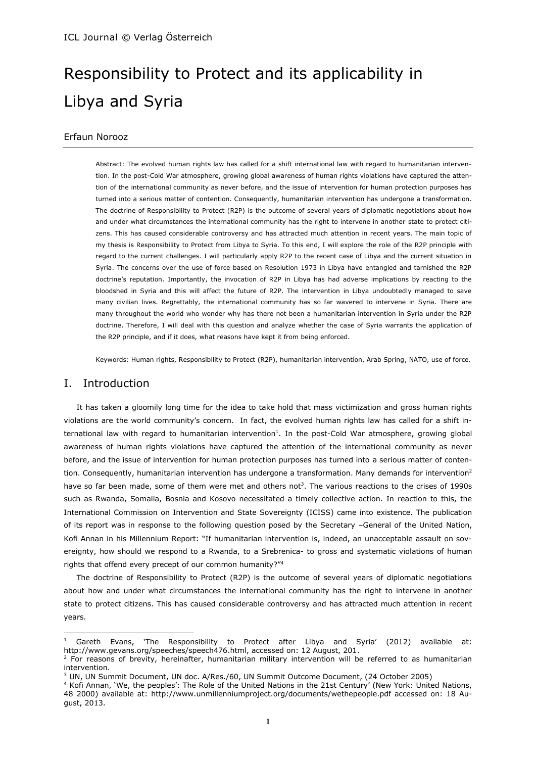# Responsibility to Protect and its applicability in Libya and Syria

# Erfaun Norooz

Abstract: The evolved human rights law has called for a shift international law with regard to humanitarian intervention. In the post-Cold War atmosphere, growing global awareness of human rights violations have captured the attention of the international community as never before, and the issue of intervention for human protection purposes has turned into a serious matter of contention. Consequently, humanitarian intervention has undergone a transformation. The doctrine of Responsibility to Protect (R2P) is the outcome of several years of diplomatic negotiations about how and under what circumstances the international community has the right to intervene in another state to protect citizens. This has caused considerable controversy and has attracted much attention in recent years. The main topic of my thesis is Responsibility to Protect from Libya to Syria. To this end, I will explore the role of the R2P principle with regard to the current challenges. I will particularly apply R2P to the recent case of Libya and the current situation in Syria. The concerns over the use of force based on Resolution 1973 in Libya have entangled and tarnished the R2P doctrine's reputation. Importantly, the invocation of R2P in Libya has had adverse implications by reacting to the bloodshed in Syria and this will affect the future of R2P. The intervention in Libya undoubtedly managed to save many civilian lives. Regrettably, the international community has so far wavered to intervene in Syria. There are many throughout the world who wonder why has there not been a humanitarian intervention in Syria under the R2P doctrine. Therefore, I will deal with this question and analyze whether the case of Syria warrants the application of the R2P principle, and if it does, what reasons have kept it from being enforced.

Keywords: Human rights, Responsibility to Protect (R2P), humanitarian intervention, Arab Spring, NATO, use of force.

# I. Introduction

 $\overline{a}$ 

It has taken a gloomily long time for the idea to take hold that mass victimization and gross human rights violations are the world community's concern. In fact, the evolved human rights law has called for a shift international law with regard to humanitarian intervention<sup>1</sup>. In the post-Cold War atmosphere, growing global awareness of human rights violations have captured the attention of the international community as never before, and the issue of intervention for human protection purposes has turned into a serious matter of contention. Consequently, humanitarian intervention has undergone a transformation. Many demands for intervention<sup>2</sup> have so far been made, some of them were met and others not<sup>3</sup>. The various reactions to the crises of 1990s such as Rwanda, Somalia, Bosnia and Kosovo necessitated a timely collective action. In reaction to this, the International Commission on Intervention and State Sovereignty (ICISS) came into existence. The publication of its report was in response to the following question posed by the Secretary –General of the United Nation, Kofi Annan in his Millennium Report: "If humanitarian intervention is, indeed, an unacceptable assault on sovereignty, how should we respond to a Rwanda, to a Srebrenica- to gross and systematic violations of human rights that offend every precept of our common humanity?"<sup>4</sup>

The doctrine of Responsibility to Protect (R2P) is the outcome of several years of diplomatic negotiations about how and under what circumstances the international community has the right to intervene in another state to protect citizens. This has caused considerable controversy and has attracted much attention in recent years.

<sup>&</sup>lt;sup>1</sup> Gareth Evans, 'The Responsibility to Protect after Libya and Syria' (2012) available at: http://www.gevans.org/speeches/speech476.html, accessed on: 12 August, 201.

<sup>&</sup>lt;sup>2</sup> For reasons of brevity, hereinafter, humanitarian military intervention will be referred to as humanitarian intervention.

<sup>3</sup> UN, UN Summit Document, UN doc. A/Res./60, UN Summit Outcome Document, (24 October 2005)

<sup>4</sup> Kofi Annan, 'We, the peoples': The Role of the United Nations in the 21st Century' (New York: United Nations, 48 2000) available at: http://www.unmillenniumproject.org/documents/wethepeople.pdf accessed on: 18 August, 2013.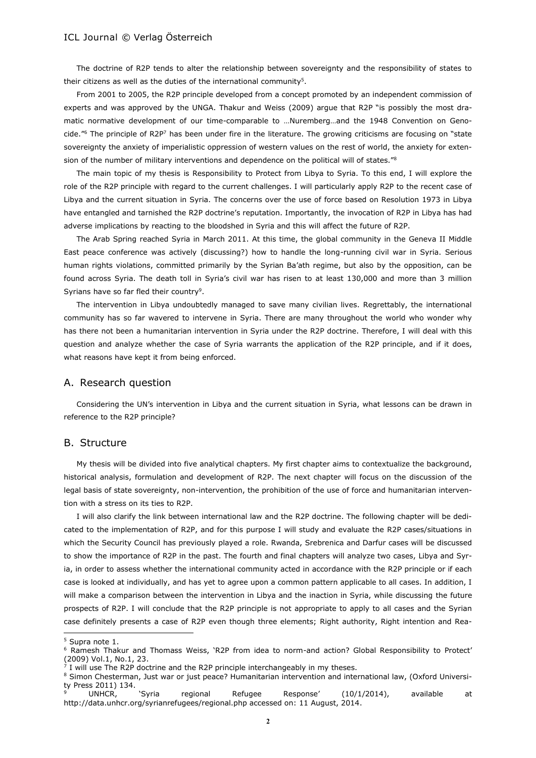The doctrine of R2P tends to alter the relationship between sovereignty and the responsibility of states to their citizens as well as the duties of the international community<sup>5</sup>.

From 2001 to 2005, the R2P principle developed from a concept promoted by an independent commission of experts and was approved by the UNGA. Thakur and Weiss (2009) argue that R2P "is possibly the most dramatic normative development of our time-comparable to …Nuremberg…and the 1948 Convention on Genocide."<sup>6</sup> The principle of R2P<sup>7</sup> has been under fire in the literature. The growing criticisms are focusing on "state sovereignty the anxiety of imperialistic oppression of western values on the rest of world, the anxiety for extension of the number of military interventions and dependence on the political will of states."<sup>8</sup>

The main topic of my thesis is Responsibility to Protect from Libya to Syria. To this end, I will explore the role of the R2P principle with regard to the current challenges. I will particularly apply R2P to the recent case of Libya and the current situation in Syria. The concerns over the use of force based on Resolution 1973 in Libya have entangled and tarnished the R2P doctrine's reputation. Importantly, the invocation of R2P in Libya has had adverse implications by reacting to the bloodshed in Syria and this will affect the future of R2P.

The Arab Spring reached Syria in March 2011. At this time, the global community in the Geneva II Middle East peace conference was actively (discussing?) how to handle the long-running civil war in Syria. Serious human rights violations, committed primarily by the Syrian Ba'ath regime, but also by the opposition, can be found across Syria. The death toll in Syria's civil war has risen to at least 130,000 and more than 3 million Syrians have so far fled their country<sup>9</sup>.

The intervention in Libya undoubtedly managed to save many civilian lives. Regrettably, the international community has so far wavered to intervene in Syria. There are many throughout the world who wonder why has there not been a humanitarian intervention in Syria under the R2P doctrine. Therefore, I will deal with this question and analyze whether the case of Syria warrants the application of the R2P principle, and if it does, what reasons have kept it from being enforced.

#### A. Research question

Considering the UN's intervention in Libya and the current situation in Syria, what lessons can be drawn in reference to the R2P principle?

#### B. Structure

My thesis will be divided into five analytical chapters. My first chapter aims to contextualize the background, historical analysis, formulation and development of R2P. The next chapter will focus on the discussion of the legal basis of state sovereignty, non-intervention, the prohibition of the use of force and humanitarian intervention with a stress on its ties to R2P.

I will also clarify the link between international law and the R2P doctrine. The following chapter will be dedicated to the implementation of R2P, and for this purpose I will study and evaluate the R2P cases/situations in which the Security Council has previously played a role. Rwanda, Srebrenica and Darfur cases will be discussed to show the importance of R2P in the past. The fourth and final chapters will analyze two cases, Libya and Syria, in order to assess whether the international community acted in accordance with the R2P principle or if each case is looked at individually, and has yet to agree upon a common pattern applicable to all cases. In addition, I will make a comparison between the intervention in Libya and the inaction in Syria, while discussing the future prospects of R2P. I will conclude that the R2P principle is not appropriate to apply to all cases and the Syrian case definitely presents a case of R2P even though three elements; Right authority, Right intention and Rea-

<sup>5</sup> Supra note 1.

<sup>6</sup> Ramesh Thakur and Thomass Weiss, 'R2P from idea to norm-and action? Global Responsibility to Protect' (2009) Vol.1, No.1, 23.<br><sup>7</sup> I will use The P2P doc

I will use The R2P doctrine and the R2P principle interchangeably in my theses.

<sup>8</sup> Simon Chesterman, Just war or just peace? Humanitarian intervention and international law, (Oxford University Press 2011) 134.

UNHCR, 'Syria regional Refugee Response' (10/1/2014), available at http://data.unhcr.org/syrianrefugees/regional.php accessed on: 11 August, 2014.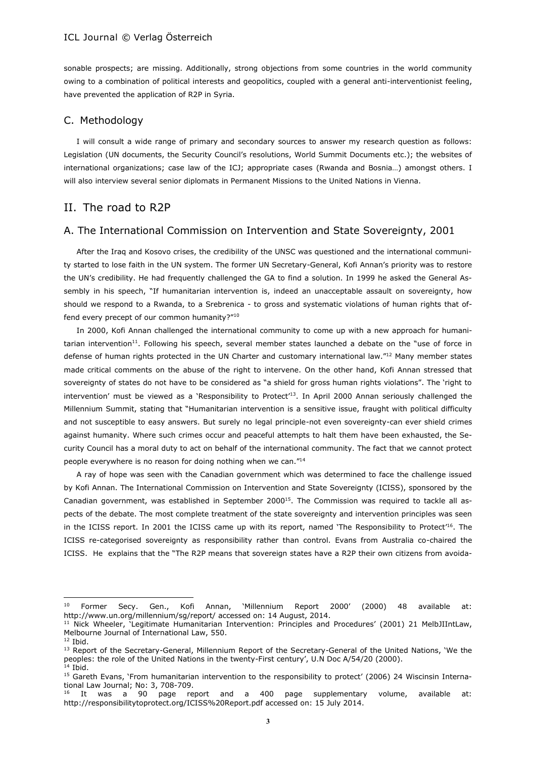sonable prospects; are missing. Additionally, strong objections from some countries in the world community owing to a combination of political interests and geopolitics, coupled with a general anti-interventionist feeling, have prevented the application of R2P in Syria.

#### C. Methodology

I will consult a wide range of primary and secondary sources to answer my research question as follows: Legislation (UN documents, the Security Council's resolutions, World Summit Documents etc.); the websites of international organizations; case law of the ICJ; appropriate cases (Rwanda and Bosnia…) amongst others. I will also interview several senior diplomats in Permanent Missions to the United Nations in Vienna.

# II. The road to R2P

## A. The International Commission on Intervention and State Sovereignty, 2001

After the Iraq and Kosovo crises, the credibility of the UNSC was questioned and the international community started to lose faith in the UN system. The former UN Secretary-General, Kofi Annan's priority was to restore the UN's credibility. He had frequently challenged the GA to find a solution. In 1999 he asked the General Assembly in his speech, "If humanitarian intervention is, indeed an unacceptable assault on sovereignty, how should we respond to a Rwanda, to a Srebrenica - to gross and systematic violations of human rights that offend every precept of our common humanity?"<sup>10</sup>

In 2000, Kofi Annan challenged the international community to come up with a new approach for humanitarian intervention<sup>11</sup>. Following his speech, several member states launched a debate on the "use of force in defense of human rights protected in the UN Charter and customary international law."<sup>12</sup> Many member states made critical comments on the abuse of the right to intervene. On the other hand, Kofi Annan stressed that sovereignty of states do not have to be considered as "a shield for gross human rights violations". The 'right to intervention' must be viewed as a 'Responsibility to Protect<sup>'13</sup>. In April 2000 Annan seriously challenged the Millennium Summit, stating that "Humanitarian intervention is a sensitive issue, fraught with political difficulty and not susceptible to easy answers. But surely no legal principle-not even sovereignty-can ever shield crimes against humanity. Where such crimes occur and peaceful attempts to halt them have been exhausted, the Security Council has a moral duty to act on behalf of the international community. The fact that we cannot protect people everywhere is no reason for doing nothing when we can."<sup>14</sup>

A ray of hope was seen with the Canadian government which was determined to face the challenge issued by Kofi Annan. The International Commission on Intervention and State Sovereignty (ICISS), sponsored by the Canadian government, was established in September 2000<sup>15</sup>. The Commission was required to tackle all aspects of the debate. The most complete treatment of the state sovereignty and intervention principles was seen in the ICISS report. In 2001 the ICISS came up with its report, named 'The Responsibility to Protect'<sup>16</sup>. The ICISS re-categorised sovereignty as responsibility rather than control. Evans from Australia co-chaired the ICISS. He explains that the "The R2P means that sovereign states have a R2P their own citizens from avoida-

<sup>10</sup> Former Secy. Gen., Kofi Annan, 'Millennium Report 2000' (2000) 48 available at: http://www.un.org/millennium/sg/report/ accessed on: 14 August, 2014.

<sup>11</sup> Nick Wheeler, 'Legitimate Humanitarian Intervention: Principles and Procedures' (2001) 21 MelbJIIntLaw, Melbourne Journal of International Law, 550.

<sup>12</sup> Ibid.

<sup>13</sup> Report of the Secretary-General, Millennium Report of the Secretary-General of the United Nations, 'We the peoples: the role of the United Nations in the twenty-First century', U.N Doc A/54/20 (2000).  $14$  Ibid.

<sup>&</sup>lt;sup>15</sup> Gareth Evans, 'From humanitarian intervention to the responsibility to protect' (2006) 24 Wiscinsin International Law Journal; No: 3, 708-709.

It was a 90 page report and a 400 page supplementary volume, available at: http://responsibilitytoprotect.org/ICISS%20Report.pdf accessed on: 15 July 2014.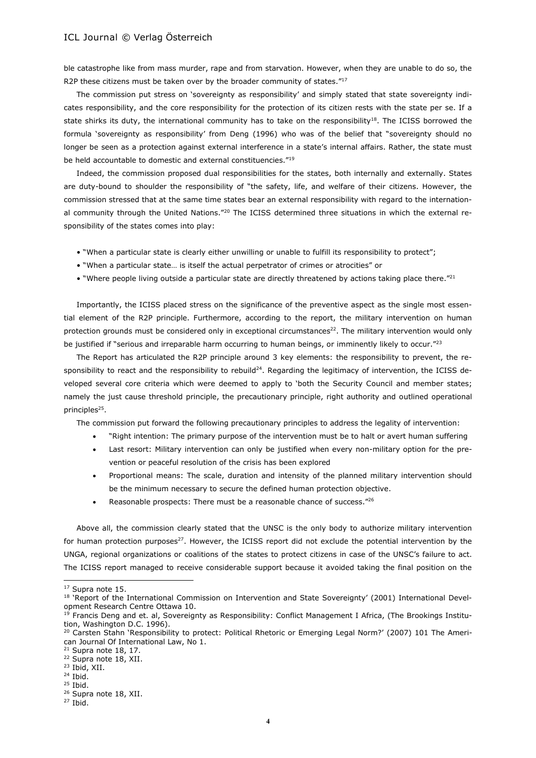ble catastrophe like from mass murder, rape and from starvation. However, when they are unable to do so, the R2P these citizens must be taken over by the broader community of states."17

The commission put stress on 'sovereignty as responsibility' and simply stated that state sovereignty indicates responsibility, and the core responsibility for the protection of its citizen rests with the state per se. If a state shirks its duty, the international community has to take on the responsibility<sup>18</sup>. The ICISS borrowed the formula 'sovereignty as responsibility' from Deng (1996) who was of the belief that "sovereignty should no longer be seen as a protection against external interference in a state's internal affairs. Rather, the state must be held accountable to domestic and external constituencies."<sup>19</sup>

Indeed, the commission proposed dual responsibilities for the states, both internally and externally. States are duty-bound to shoulder the responsibility of "the safety, life, and welfare of their citizens. However, the commission stressed that at the same time states bear an external responsibility with regard to the international community through the United Nations."<sup>20</sup> The ICISS determined three situations in which the external responsibility of the states comes into play:

- "When a particular state is clearly either unwilling or unable to fulfill its responsibility to protect";
- "When a particular state… is itself the actual perpetrator of crimes or atrocities" or
- "Where people living outside a particular state are directly threatened by actions taking place there." $^{21}$

Importantly, the ICISS placed stress on the significance of the preventive aspect as the single most essential element of the R2P principle. Furthermore, according to the report, the military intervention on human protection grounds must be considered only in exceptional circumstances<sup>22</sup>. The military intervention would only be justified if "serious and irreparable harm occurring to human beings, or imminently likely to occur."<sup>23</sup>

The Report has articulated the R2P principle around 3 key elements: the responsibility to prevent, the responsibility to react and the responsibility to rebuild<sup>24</sup>. Regarding the legitimacy of intervention, the ICISS developed several core criteria which were deemed to apply to 'both the Security Council and member states; namely the just cause threshold principle, the precautionary principle, right authority and outlined operational principles<sup>25</sup>.

The commission put forward the following precautionary principles to address the legality of intervention:

- "Right intention: The primary purpose of the intervention must be to halt or avert human suffering
- Last resort: Military intervention can only be justified when every non-military option for the prevention or peaceful resolution of the crisis has been explored
- Proportional means: The scale, duration and intensity of the planned military intervention should be the minimum necessary to secure the defined human protection objective.
- Reasonable prospects: There must be a reasonable chance of success."<sup>26</sup>

Above all, the commission clearly stated that the UNSC is the only body to authorize military intervention for human protection purposes<sup>27</sup>. However, the ICISS report did not exclude the potential intervention by the UNGA, regional organizations or coalitions of the states to protect citizens in case of the UNSC's failure to act. The ICISS report managed to receive considerable support because it avoided taking the final position on the

<sup>&</sup>lt;sup>17</sup> Supra note 15.

<sup>&</sup>lt;sup>18</sup> 'Report of the International Commission on Intervention and State Sovereignty' (2001) International Development Research Centre Ottawa 10.

<sup>&</sup>lt;sup>19</sup> Francis Deng and et. al, Sovereignty as Responsibility: Conflict Management I Africa, (The Brookings Institution, Washington D.C. 1996).

<sup>&</sup>lt;sup>20</sup> Carsten Stahn 'Responsibility to protect: Political Rhetoric or Emerging Legal Norm?' (2007) 101 The American Journal Of International Law, No 1.

 $21$  Supra note 18, 17.

<sup>&</sup>lt;sup>22</sup> Supra note 18, XII. <sup>23</sup> Ibid, XII.

<sup>24</sup> Ibid.

<sup>25</sup> Ibid.

<sup>&</sup>lt;sup>26</sup> Supra note 18, XII.

 $27$  Ibid.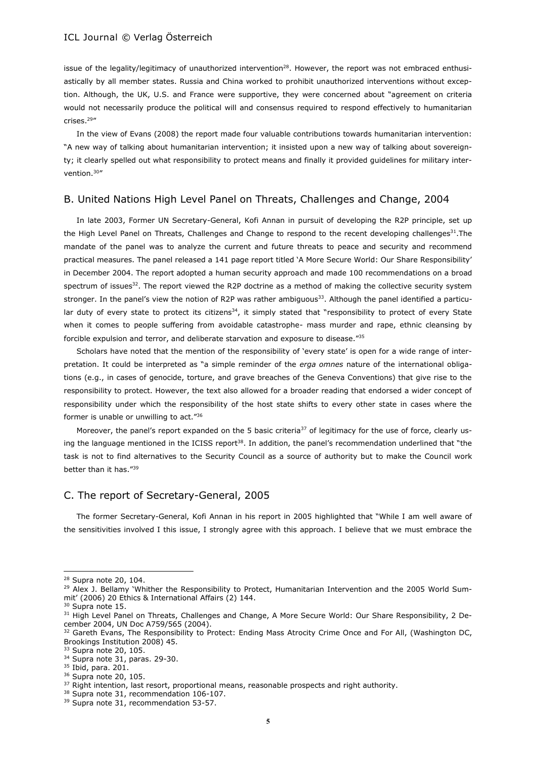issue of the legality/legitimacy of unauthorized intervention<sup>28</sup>. However, the report was not embraced enthusiastically by all member states. Russia and China worked to prohibit unauthorized interventions without exception. Although, the UK, U.S. and France were supportive, they were concerned about "agreement on criteria would not necessarily produce the political will and consensus required to respond effectively to humanitarian crises.<sup>29</sup>"

In the view of Evans (2008) the report made four valuable contributions towards humanitarian intervention: "A new way of talking about humanitarian intervention; it insisted upon a new way of talking about sovereignty; it clearly spelled out what responsibility to protect means and finally it provided guidelines for military intervention.<sup>30</sup>"

#### B. United Nations High Level Panel on Threats, Challenges and Change, 2004

In late 2003, Former UN Secretary-General, Kofi Annan in pursuit of developing the R2P principle, set up the High Level Panel on Threats, Challenges and Change to respond to the recent developing challenges<sup>31</sup>. The mandate of the panel was to analyze the current and future threats to peace and security and recommend practical measures. The panel released a 141 page report titled 'A More Secure World: Our Share Responsibility' in December 2004. The report adopted a human security approach and made 100 recommendations on a broad spectrum of issues<sup>32</sup>. The report viewed the R2P doctrine as a method of making the collective security system stronger. In the panel's view the notion of R2P was rather ambiguous<sup>33</sup>. Although the panel identified a particular duty of every state to protect its citizens $34$ , it simply stated that "responsibility to protect of every State when it comes to people suffering from avoidable catastrophe- mass murder and rape, ethnic cleansing by forcible expulsion and terror, and deliberate starvation and exposure to disease."<sup>35</sup>

Scholars have noted that the mention of the responsibility of 'every state' is open for a wide range of interpretation. It could be interpreted as "a simple reminder of the *erga omnes* nature of the international obligations (e.g., in cases of genocide, torture, and grave breaches of the Geneva Conventions) that give rise to the responsibility to protect. However, the text also allowed for a broader reading that endorsed a wider concept of responsibility under which the responsibility of the host state shifts to every other state in cases where the former is unable or unwilling to act." 36

Moreover, the panel's report expanded on the 5 basic criteria<sup>37</sup> of legitimacy for the use of force, clearly using the language mentioned in the ICISS report<sup>38</sup>. In addition, the panel's recommendation underlined that "the task is not to find alternatives to the Security Council as a source of authority but to make the Council work better than it has."<sup>39</sup>

# C. The report of Secretary-General, 2005

The former Secretary-General, Kofi Annan in his report in 2005 highlighted that "While I am well aware of the sensitivities involved I this issue, I strongly agree with this approach. I believe that we must embrace the

<sup>28</sup> Supra note 20, 104.

<sup>&</sup>lt;sup>29</sup> Alex J. Bellamy 'Whither the Responsibility to Protect, Humanitarian Intervention and the 2005 World Summit' (2006) 20 Ethics & International Affairs (2) 144.

<sup>&</sup>lt;sup>30</sup> Supra note 15.

<sup>&</sup>lt;sup>31</sup> High Level Panel on Threats, Challenges and Change, A More Secure World: Our Share Responsibility, 2 December 2004, UN Doc A759/565 (2004).

<sup>&</sup>lt;sup>32</sup> Gareth Evans, The Responsibility to Protect: Ending Mass Atrocity Crime Once and For All, (Washington DC, Brookings Institution 2008) 45.

<sup>&</sup>lt;sup>33</sup> Supra note 20, 105.

<sup>34</sup> Supra note 31, paras. 29-30.

<sup>35</sup> Ibid, para. 201.

<sup>36</sup> Supra note 20, 105.

<sup>&</sup>lt;sup>37</sup> Right intention, last resort, proportional means, reasonable prospects and right authority.

<sup>&</sup>lt;sup>38</sup> Supra note 31, recommendation 106-107.

<sup>&</sup>lt;sup>39</sup> Supra note 31, recommendation 53-57.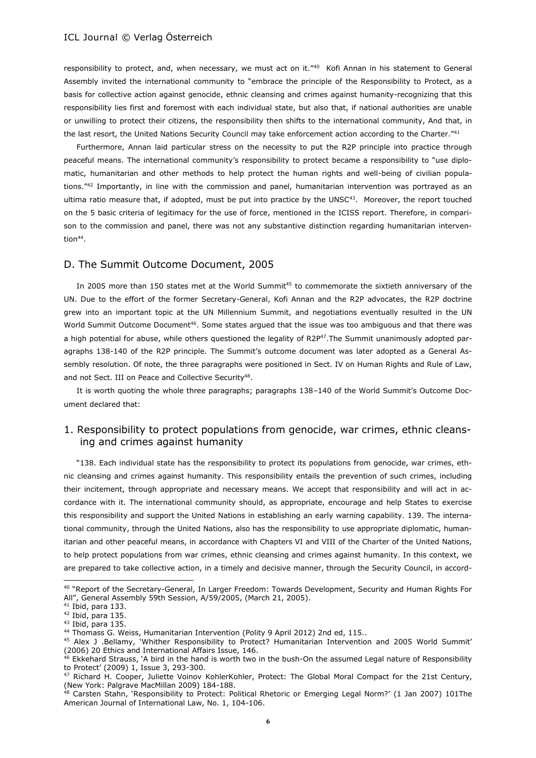responsibility to protect, and, when necessary, we must act on it."<sup>40</sup> Kofi Annan in his statement to General Assembly invited the international community to "embrace the principle of the Responsibility to Protect, as a basis for collective action against genocide, ethnic cleansing and crimes against humanity-recognizing that this responsibility lies first and foremost with each individual state, but also that, if national authorities are unable or unwilling to protect their citizens, the responsibility then shifts to the international community, And that, in the last resort, the United Nations Security Council may take enforcement action according to the Charter."<sup>41</sup>

Furthermore, Annan laid particular stress on the necessity to put the R2P principle into practice through peaceful means. The international community's responsibility to protect became a responsibility to "use diplomatic, humanitarian and other methods to help protect the human rights and well-being of civilian populations."<sup>42</sup> Importantly, in line with the commission and panel, humanitarian intervention was portrayed as an ultima ratio measure that, if adopted, must be put into practice by the UNSC $43$ . Moreover, the report touched on the 5 basic criteria of legitimacy for the use of force, mentioned in the ICISS report. Therefore, in comparison to the commission and panel, there was not any substantive distinction regarding humanitarian intervention<sup>44</sup>.

#### D. The Summit Outcome Document, 2005

In 2005 more than 150 states met at the World Summit<sup>45</sup> to commemorate the sixtieth anniversary of the UN. Due to the effort of the former Secretary-General, Kofi Annan and the R2P advocates, the R2P doctrine grew into an important topic at the UN Millennium Summit, and negotiations eventually resulted in the UN World Summit Outcome Document<sup>46</sup>. Some states argued that the issue was too ambiguous and that there was a high potential for abuse, while others questioned the legality of R2P47.The Summit unanimously adopted paragraphs 138-140 of the R2P principle. The Summit's outcome document was later adopted as a General Assembly resolution. Of note, the three paragraphs were positioned in Sect. IV on Human Rights and Rule of Law, and not Sect. III on Peace and Collective Security<sup>48</sup>.

It is worth quoting the whole three paragraphs; paragraphs 138–140 of the World Summit's Outcome Document declared that:

# 1. Responsibility to protect populations from genocide, war crimes, ethnic cleansing and crimes against humanity

"138. Each individual state has the responsibility to protect its populations from genocide, war crimes, ethnic cleansing and crimes against humanity. This responsibility entails the prevention of such crimes, including their incitement, through appropriate and necessary means. We accept that responsibility and will act in accordance with it. The international community should, as appropriate, encourage and help States to exercise this responsibility and support the United Nations in establishing an early warning capability. 139. The international community, through the United Nations, also has the responsibility to use appropriate diplomatic, humanitarian and other peaceful means, in accordance with Chapters VI and VIII of the Charter of the United Nations, to help protect populations from war crimes, ethnic cleansing and crimes against humanity. In this context, we are prepared to take collective action, in a timely and decisive manner, through the Security Council, in accord-

<sup>40</sup> "Report of the Secretary-General, In Larger Freedom: Towards Development, Security and Human Rights For All", General Assembly 59th Session, A/59/2005, (March 21, 2005).

 $41$  Ibid, para 133.

<sup>42</sup> Ibid, para 135.

<sup>43</sup> Ibid, para 135.

<sup>44</sup> Thomass G. Weiss, Humanitarian Intervention (Polity 9 April 2012) 2nd ed, 115..

<sup>45</sup> Alex J .Bellamy, 'Whither Responsibility to Protect? Humanitarian Intervention and 2005 World Summit' (2006) 20 Ethics and International Affairs Issue, 146.

<sup>&</sup>lt;sup>46</sup> Ekkehard Strauss, 'A bird in the hand is worth two in the bush-On the assumed Legal nature of Responsibility to Protect' (2009) 1, Issue 3, 293-300.

<sup>47</sup> Richard H. Cooper, Juliette Voinov KohlerKohler, Protect: The Global Moral Compact for the 21st Century, (New York: Palgrave MacMillan 2009) 184-188.

<sup>48</sup> Carsten Stahn, 'Responsibility to Protect: Political Rhetoric or Emerging Legal Norm?' (1 Jan 2007) 101The American Journal of International Law, No. 1, 104-106.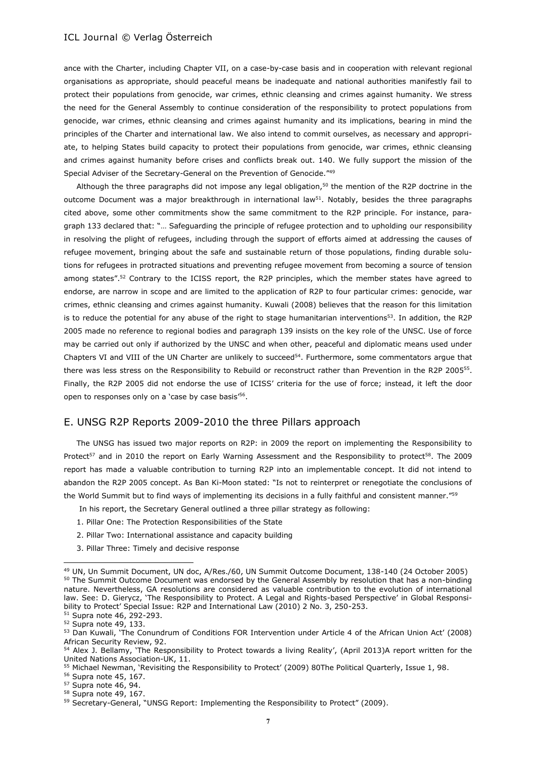ance with the Charter, including Chapter VII, on a case-by-case basis and in cooperation with relevant regional organisations as appropriate, should peaceful means be inadequate and national authorities manifestly fail to protect their populations from genocide, war crimes, ethnic cleansing and crimes against humanity. We stress the need for the General Assembly to continue consideration of the responsibility to protect populations from genocide, war crimes, ethnic cleansing and crimes against humanity and its implications, bearing in mind the principles of the Charter and international law. We also intend to commit ourselves, as necessary and appropriate, to helping States build capacity to protect their populations from genocide, war crimes, ethnic cleansing and crimes against humanity before crises and conflicts break out. 140. We fully support the mission of the Special Adviser of the Secretary-General on the Prevention of Genocide."<sup>49</sup>

Although the three paragraphs did not impose any legal obligation, $50$  the mention of the R2P doctrine in the outcome Document was a major breakthrough in international law $51$ . Notably, besides the three paragraphs cited above, some other commitments show the same commitment to the R2P principle. For instance, paragraph 133 declared that: "… Safeguarding the principle of refugee protection and to upholding our responsibility in resolving the plight of refugees, including through the support of efforts aimed at addressing the causes of refugee movement, bringing about the safe and sustainable return of those populations, finding durable solutions for refugees in protracted situations and preventing refugee movement from becoming a source of tension among states".<sup>52</sup> Contrary to the ICISS report, the R2P principles, which the member states have agreed to endorse, are narrow in scope and are limited to the application of R2P to four particular crimes: genocide, war crimes, ethnic cleansing and crimes against humanity. Kuwali (2008) believes that the reason for this limitation is to reduce the potential for any abuse of the right to stage humanitarian interventions<sup>53</sup>. In addition, the R2P 2005 made no reference to regional bodies and paragraph 139 insists on the key role of the UNSC. Use of force may be carried out only if authorized by the UNSC and when other, peaceful and diplomatic means used under Chapters VI and VIII of the UN Charter are unlikely to succeed<sup>54</sup>. Furthermore, some commentators argue that there was less stress on the Responsibility to Rebuild or reconstruct rather than Prevention in the R2P 2005<sup>55</sup>. Finally, the R2P 2005 did not endorse the use of ICISS' criteria for the use of force; instead, it left the door open to responses only on a 'case by case basis'<sup>56</sup>.

## E. UNSG R2P Reports 2009-2010 the three Pillars approach

The UNSG has issued two major reports on R2P: in 2009 the report on implementing the Responsibility to Protect<sup>57</sup> and in 2010 the report on Early Warning Assessment and the Responsibility to protect<sup>58</sup>. The 2009 report has made a valuable contribution to turning R2P into an implementable concept. It did not intend to abandon the R2P 2005 concept. As Ban Ki-Moon stated: "Is not to reinterpret or renegotiate the conclusions of the World Summit but to find ways of implementing its decisions in a fully faithful and consistent manner."<sup>59</sup>

In his report, the Secretary General outlined a three pillar strategy as following:

- 1. Pillar One: The Protection Responsibilities of the State
- 2. Pillar Two: International assistance and capacity building
- 3. Pillar Three: Timely and decisive response

<sup>49</sup> UN, Un Summit Document, UN doc, A/Res./60, UN Summit Outcome Document, 138-140 (24 October 2005) <sup>50</sup> The Summit Outcome Document was endorsed by the General Assembly by resolution that has a non-binding nature. Nevertheless, GA resolutions are considered as valuable contribution to the evolution of international law. See: D. Gierycz, 'The Responsibility to Protect. A Legal and Rights-based Perspective' in Global Responsibility to Protect' Special Issue: R2P and International Law (2010) 2 No. 3, 250-253.

<sup>51</sup> Supra note 46, 292-293.

<sup>52</sup> Supra note 49, 133.

<sup>53</sup> Dan Kuwali, 'The Conundrum of Conditions FOR Intervention under Article 4 of the African Union Act' (2008) African Security Review, 92.

<sup>54</sup> Alex J. Bellamy, 'The Responsibility to Protect towards a living Reality', (April 2013)A report written for the United Nations Association-UK, 11.

<sup>55</sup> Michael Newman, 'Revisiting the Responsibility to Protect' (2009) 80The Political Quarterly, Issue 1, 98.

<sup>56</sup> Supra note 45, 167. <sup>57</sup> Supra note 46, 94.

<sup>58</sup> Supra note 49, 167.

<sup>&</sup>lt;sup>59</sup> Secretary-General, "UNSG Report: Implementing the Responsibility to Protect" (2009).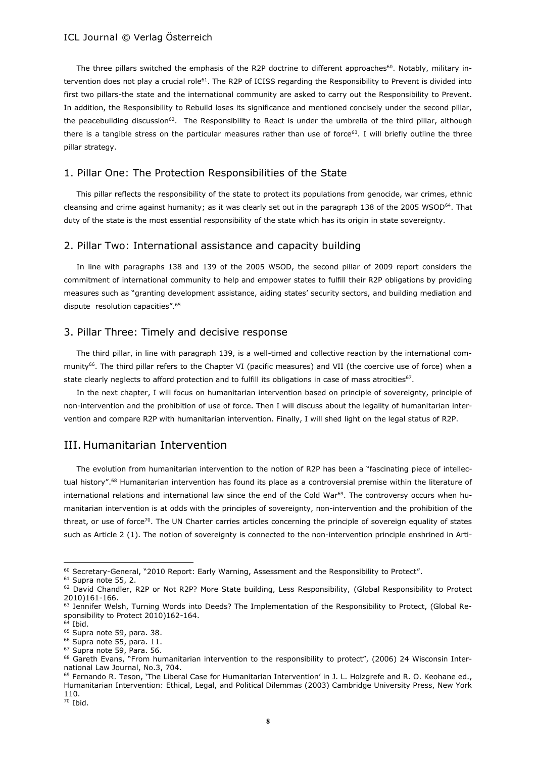The three pillars switched the emphasis of the R2P doctrine to different approaches<sup>60</sup>. Notably, military intervention does not play a crucial role<sup>61</sup>. The R2P of ICISS regarding the Responsibility to Prevent is divided into first two pillars-the state and the international community are asked to carry out the Responsibility to Prevent. In addition, the Responsibility to Rebuild loses its significance and mentioned concisely under the second pillar, the peacebuilding discussion<sup>62</sup>. The Responsibility to React is under the umbrella of the third pillar, although there is a tangible stress on the particular measures rather than use of force $63$ . I will briefly outline the three pillar strategy.

# 1. Pillar One: The Protection Responsibilities of the State

This pillar reflects the responsibility of the state to protect its populations from genocide, war crimes, ethnic cleansing and crime against humanity; as it was clearly set out in the paragraph 138 of the 2005 WSOD<sup>64</sup>. That duty of the state is the most essential responsibility of the state which has its origin in state sovereignty.

#### 2. Pillar Two: International assistance and capacity building

In line with paragraphs 138 and 139 of the 2005 WSOD, the second pillar of 2009 report considers the commitment of international community to help and empower states to fulfill their R2P obligations by providing measures such as "granting development assistance, aiding states' security sectors, and building mediation and dispute resolution capacities".<sup>65</sup>

# 3. Pillar Three: Timely and decisive response

The third pillar, in line with paragraph 139, is a well-timed and collective reaction by the international community<sup>66</sup>. The third pillar refers to the Chapter VI (pacific measures) and VII (the coercive use of force) when a state clearly neglects to afford protection and to fulfill its obligations in case of mass atrocities $^{67}$ .

In the next chapter, I will focus on humanitarian intervention based on principle of sovereignty, principle of non-intervention and the prohibition of use of force. Then I will discuss about the legality of humanitarian intervention and compare R2P with humanitarian intervention. Finally, I will shed light on the legal status of R2P.

# III. Humanitarian Intervention

The evolution from humanitarian intervention to the notion of R2P has been a "fascinating piece of intellectual history".<sup>68</sup> Humanitarian intervention has found its place as a controversial premise within the literature of international relations and international law since the end of the Cold War<sup>69</sup>. The controversy occurs when humanitarian intervention is at odds with the principles of sovereignty, non-intervention and the prohibition of the threat, or use of force<sup>70</sup>. The UN Charter carries articles concerning the principle of sovereign equality of states such as Article 2 (1). The notion of sovereignty is connected to the non-intervention principle enshrined in Arti-

<sup>60</sup> Secretary-General, "2010 Report: Early Warning, Assessment and the Responsibility to Protect".

<sup>&</sup>lt;sup>61</sup> Supra note 55, 2.

<sup>&</sup>lt;sup>62</sup> David Chandler, R2P or Not R2P? More State building, Less Responsibility, (Global Responsibility to Protect 2010)161-166.

<sup>&</sup>lt;sup>63</sup> Jennifer Welsh, Turning Words into Deeds? The Implementation of the Responsibility to Protect, (Global Responsibility to Protect 2010)162-164.

 $64$  Ibid.

<sup>&</sup>lt;sup>65</sup> Supra note 59, para. 38.

<sup>&</sup>lt;sup>66</sup> Supra note 55, para. 11. <sup>67</sup> Supra note 59, Para. 56.

<sup>&</sup>lt;sup>68</sup> Gareth Evans, "From humanitarian intervention to the responsibility to protect", (2006) 24 Wisconsin International Law Journal, No.3, 704.

<sup>69</sup> Fernando R. Teson, 'The Liberal Case for Humanitarian Intervention' in J. L. Holzgrefe and R. O. Keohane ed., Humanitarian Intervention: Ethical, Legal, and Political Dilemmas (2003) Cambridge University Press, New York 110.

<sup>70</sup> Ibid.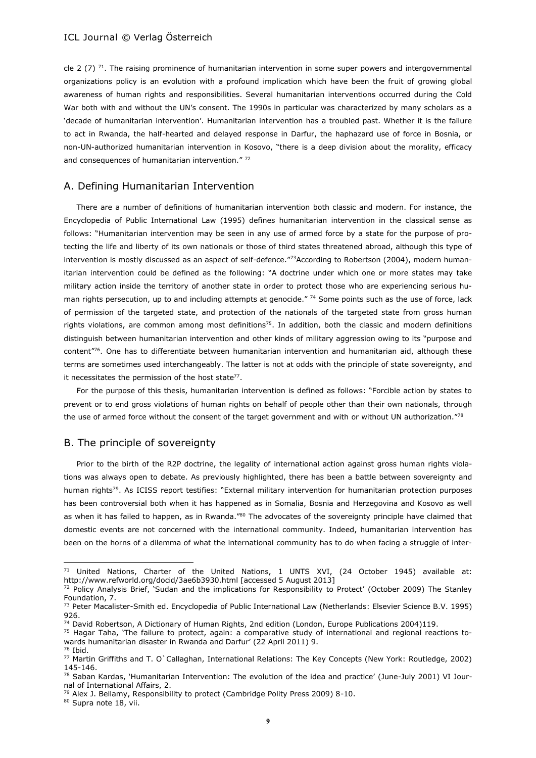cle 2 (7)  $^{71}$ . The raising prominence of humanitarian intervention in some super powers and intergovernmental organizations policy is an evolution with a profound implication which have been the fruit of growing global awareness of human rights and responsibilities. Several humanitarian interventions occurred during the Cold War both with and without the UN's consent. The 1990s in particular was characterized by many scholars as a 'decade of humanitarian intervention'. Humanitarian intervention has a troubled past. Whether it is the failure to act in Rwanda, the half-hearted and delayed response in Darfur, the haphazard use of force in Bosnia, or non-UN-authorized humanitarian intervention in Kosovo, "there is a deep division about the morality, efficacy and consequences of humanitarian intervention." 72

#### A. Defining Humanitarian Intervention

There are a number of definitions of humanitarian intervention both classic and modern. For instance, the Encyclopedia of Public International Law (1995) defines humanitarian intervention in the classical sense as follows: "Humanitarian intervention may be seen in any use of armed force by a state for the purpose of protecting the life and liberty of its own nationals or those of third states threatened abroad, although this type of intervention is mostly discussed as an aspect of self-defence."73According to Robertson (2004), modern humanitarian intervention could be defined as the following: "A doctrine under which one or more states may take military action inside the territory of another state in order to protect those who are experiencing serious human rights persecution, up to and including attempts at genocide." 74 Some points such as the use of force, lack of permission of the targeted state, and protection of the nationals of the targeted state from gross human rights violations, are common among most definitions<sup>75</sup>. In addition, both the classic and modern definitions distinguish between humanitarian intervention and other kinds of military aggression owing to its "purpose and content"<sup>76</sup>. One has to differentiate between humanitarian intervention and humanitarian aid, although these terms are sometimes used interchangeably. The latter is not at odds with the principle of state sovereignty, and it necessitates the permission of the host state<sup>77</sup>.

For the purpose of this thesis, humanitarian intervention is defined as follows: "Forcible action by states to prevent or to end gross violations of human rights on behalf of people other than their own nationals, through the use of armed force without the consent of the target government and with or without UN authorization."78

#### B. The principle of sovereignty

Prior to the birth of the R2P doctrine, the legality of international action against gross human rights violations was always open to debate. As previously highlighted, there has been a battle between sovereignty and human rights<sup>79</sup>. As ICISS report testifies: "External military intervention for humanitarian protection purposes has been controversial both when it has happened as in Somalia, Bosnia and Herzegovina and Kosovo as well as when it has failed to happen, as in Rwanda."80 The advocates of the sovereignty principle have claimed that domestic events are not concerned with the international community. Indeed, humanitarian intervention has been on the horns of a dilemma of what the international community has to do when facing a struggle of inter-

80 Supra note 18, vii.

<sup>&</sup>lt;sup>71</sup> United Nations, Charter of the United Nations, 1 UNTS XVI, (24 October 1945) available at: http://www.refworld.org/docid/3ae6b3930.html [accessed 5 August 2013]

<sup>72</sup> Policy Analysis Brief, 'Sudan and the implications for Responsibility to Protect' (October 2009) The Stanley Foundation, 7.

<sup>&</sup>lt;sup>73</sup> Peter Macalister-Smith ed. Encyclopedia of Public International Law (Netherlands: Elsevier Science B.V. 1995) 926.

<sup>74</sup> David Robertson, A Dictionary of Human Rights, 2nd edition (London, Europe Publications 2004)119.

<sup>75</sup> Hagar Taha, 'The failure to protect, again: a comparative study of international and regional reactions towards humanitarian disaster in Rwanda and Darfur' (22 April 2011) 9. <sup>76</sup> Ibid.

<sup>77</sup> Martin Griffiths and T. O`Callaghan, International Relations: The Key Concepts (New York: Routledge, 2002) 145-146.

<sup>78</sup> Saban Kardas, 'Humanitarian Intervention: The evolution of the idea and practice' (June-July 2001) VI Journal of International Affairs, 2.

<sup>&</sup>lt;sup>79</sup> Alex J. Bellamy, Responsibility to protect (Cambridge Polity Press 2009) 8-10.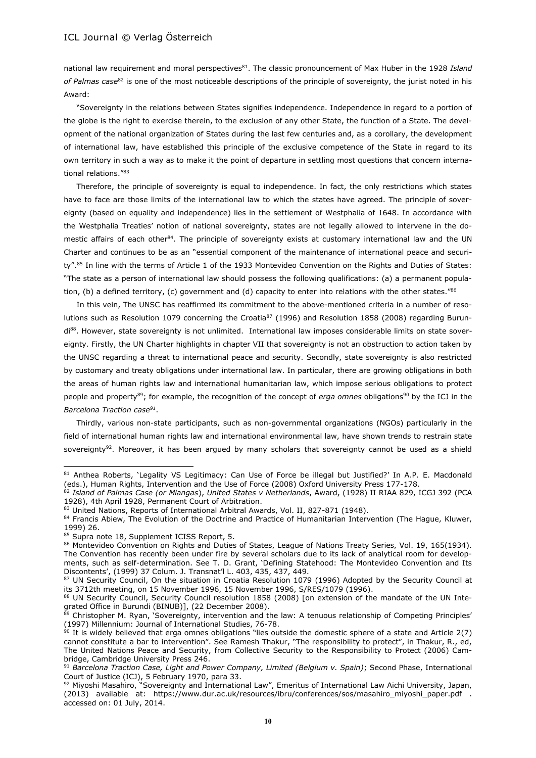national law requirement and moral perspectives<sup>81</sup>. The classic pronouncement of Max Huber in the 1928 *Island of Palmas case*<sup>82</sup> is one of the most noticeable descriptions of the principle of sovereignty, the jurist noted in his Award:

"Sovereignty in the relations between States signifies independence. Independence in regard to a portion of the globe is the right to exercise therein, to the exclusion of any other State, the function of a State. The development of the national organization of States during the last few centuries and, as a corollary, the development of international law, have established this principle of the exclusive competence of the State in regard to its own territory in such a way as to make it the point of departure in settling most questions that concern international relations."<sup>83</sup>

Therefore, the principle of sovereignty is equal to independence. In fact, the only restrictions which states have to face are those limits of the international law to which the states have agreed. The principle of sovereignty (based on equality and independence) lies in the settlement of Westphalia of 1648. In accordance with the Westphalia Treaties' notion of national sovereignty, states are not legally allowed to intervene in the domestic affairs of each other<sup>84</sup>. The principle of sovereignty exists at customary international law and the UN Charter and continues to be as an "essential component of the maintenance of international peace and security".<sup>85</sup> In line with the terms of Article 1 of the 1933 Montevideo Convention on the Rights and Duties of States: "The state as a person of international law should possess the following qualifications: (a) a permanent population, (b) a defined territory, (c) government and (d) capacity to enter into relations with the other states." $86$ 

In this vein, The UNSC has reaffirmed its commitment to the above-mentioned criteria in a number of resolutions such as Resolution 1079 concerning the Croatia<sup>87</sup> (1996) and Resolution 1858 (2008) regarding Burundi<sup>88</sup>. However, state sovereignty is not unlimited. International law imposes considerable limits on state sovereignty. Firstly, the UN Charter highlights in chapter VII that sovereignty is not an obstruction to action taken by the UNSC regarding a threat to international peace and security. Secondly, state sovereignty is also restricted by customary and treaty obligations under international law. In particular, there are growing obligations in both the areas of human rights law and international humanitarian law, which impose serious obligations to protect people and property<sup>89</sup>; for example, the recognition of the concept of *erga omnes* obligations<sup>90</sup> by the ICJ in the *Barcelona Traction case<sup>91</sup>* .

Thirdly, various non-state participants, such as non-governmental organizations (NGOs) particularly in the field of international human rights law and international environmental law, have shown trends to restrain state sovereignty<sup>92</sup>. Moreover, it has been argued by many scholars that sovereignty cannot be used as a shield

<sup>81</sup> Anthea Roberts, 'Legality VS Legitimacy: Can Use of Force be illegal but Justified?' In A.P. E. Macdonald (eds.), Human Rights, Intervention and the Use of Force (2008) Oxford University Press 177-178.

<sup>82</sup> *Island of Palmas Case (or Miangas*), *United States v Netherlands*, Award, (1928) II RIAA 829, ICGJ 392 (PCA 1928), 4th April 1928, Permanent Court of Arbitration.

<sup>83</sup> United Nations, Reports of International Arbitral Awards, Vol. II, 827-871 (1948).

<sup>84</sup> Francis Abiew, The Evolution of the Doctrine and Practice of Humanitarian Intervention (The Hague, Kluwer, 1999) 26.

<sup>85</sup> Supra note 18, Supplement ICISS Report, 5.

<sup>86</sup> Montevideo Convention on Rights and Duties of States, League of Nations Treaty Series, Vol. 19, 165(1934). The Convention has recently been under fire by several scholars due to its lack of analytical room for developments, such as self-determination. See T. D. Grant, 'Defining Statehood: The Montevideo Convention and Its Discontents', (1999) 37 Colum. J. Transnat'l L. 403, 435, 437, 449.

<sup>87</sup> UN Security Council, On the situation in Croatia Resolution 1079 (1996) Adopted by the Security Council at its 3712th meeting, on 15 November 1996, 15 November 1996, S/RES/1079 (1996).

<sup>88</sup> UN Security Council, Security Council resolution 1858 (2008) [on extension of the mandate of the UN Integrated Office in Burundi (BINUB)], (22 December 2008).

<sup>&</sup>lt;sup>3</sup> Christopher M. Ryan, 'Sovereignty, intervention and the law: A tenuous relationship of Competing Principles' (1997) Millennium: Journal of International Studies, 76-78.

 $90$  It is widely believed that erga omnes obligations "lies outside the domestic sphere of a state and Article 2(7) cannot constitute a bar to intervention". See Ramesh Thakur, "The responsibility to protect", in Thakur, R., ed, The United Nations Peace and Security, from Collective Security to the Responsibility to Protect (2006) Cambridge, Cambridge University Press 246.

<sup>91</sup> *Barcelona Traction Case, Light and Power Company, Limited (Belgium v. Spain)*; Second Phase, International Court of Justice (ICJ), 5 February 1970, para 33.

<sup>92</sup> Miyoshi Masahiro, "Sovereignty and International Law", Emeritus of International Law Aichi University, Japan, (2013) available at: https://www.dur.ac.uk/resources/ibru/conferences/sos/masahiro miyoshi paper.pdf . accessed on: 01 July, 2014.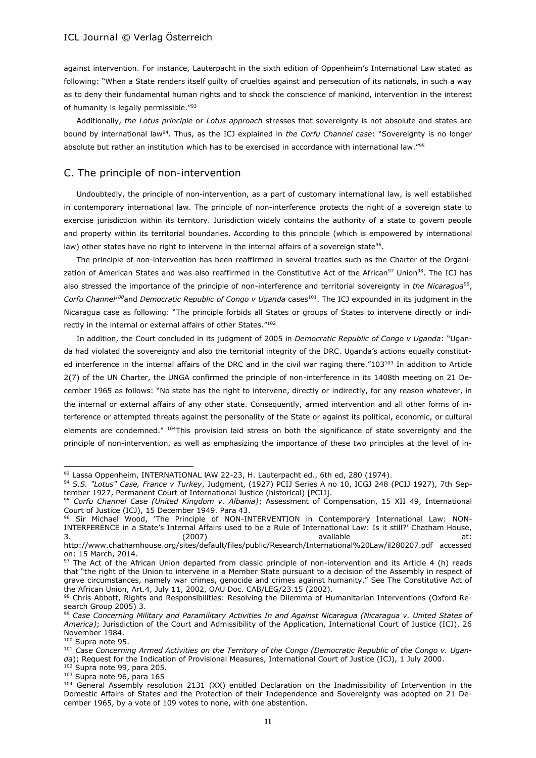against intervention. For instance, Lauterpacht in the sixth edition of Oppenheim's International Law stated as following: "When a State renders itself guilty of cruelties against and persecution of its nationals, in such a way as to deny their fundamental human rights and to shock the conscience of mankind, intervention in the interest of humanity is legally permissible."<sup>93</sup>

Additionally, *the Lotus principle* or *Lotus approach* stresses that sovereignty is not absolute and states are bound by international law<sup>94</sup>. Thus, as the ICJ explained in *the Corfu Channel case*: "Sovereignty is no longer absolute but rather an institution which has to be exercised in accordance with international law."<sup>95</sup>

# C. The principle of non-intervention

Undoubtedly, the principle of non-intervention, as a part of customary international law, is well established in contemporary international law. The principle of non-interference protects the right of a sovereign state to exercise jurisdiction within its territory. Jurisdiction widely contains the authority of a state to govern people and property within its territorial boundaries. According to this principle (which is empowered by international law) other states have no right to intervene in the internal affairs of a sovereign state $^{96}\cdot$ 

The principle of non-intervention has been reaffirmed in several treaties such as the Charter of the Organization of American States and was also reaffirmed in the Constitutive Act of the African<sup>97</sup> Union<sup>98</sup>. The ICJ has also stressed the importance of the principle of non-interference and territorial sovereignty in *the Nicaragua*<sup>99</sup>, *Corfu Channel<sup>100</sup>and Democratic Republic of Congo v Uganda* cases<sup>101</sup>. The ICJ expounded in its judgment in the Nicaragua case as following: "The principle forbids all States or groups of States to intervene directly or indirectly in the internal or external affairs of other States."<sup>102</sup>

In addition, the Court concluded in its judgment of 2005 in *Democratic Republic of Congo v Uganda*: "Uganda had violated the sovereignty and also the territorial integrity of the DRC. Uganda's actions equally constituted interference in the internal affairs of the DRC and in the civil war raging there."103<sup>103</sup> In addition to Article 2(7) of the UN Charter, the UNGA confirmed the principle of non-interference in its 1408th meeting on 21 December 1965 as follows: "No state has the right to intervene, directly or indirectly, for any reason whatever, in the internal or external affairs of any other state. Consequently, armed intervention and all other forms of interference or attempted threats against the personality of the State or against its political, economic, or cultural elements are condemned." <sup>104</sup>This provision laid stress on both the significance of state sovereignty and the principle of non-intervention, as well as emphasizing the importance of these two principles at the level of in-

 $\overline{a}$ 

<sup>103</sup> Supra note 96, para 165

<sup>93</sup> Lassa Oppenheim, INTERNATIONAL IAW 22-23, H. Lauterpacht ed., 6th ed, 280 (1974).

<sup>94</sup> *S.S. "Lotus" Case, France v Turkey*, Judgment, (1927) PCIJ Series A no 10, ICGJ 248 (PCIJ 1927), 7th September 1927, Permanent Court of International Justice (historical) [PCIJ].

<sup>95</sup> *Corfu Channel Case (United Kingdom v. Albania)*; Assessment of Compensation, 15 XII 49, International Court of Justice (ICJ), 15 December 1949. Para 43.

<sup>96</sup> Sir Michael Wood, 'The Principle of NON-INTERVENTION in Contemporary International Law: NON-INTERFERENCE in a State's Internal Affairs used to be a Rule of International Law: Is it still?' Chatham House, 3. (2007) available at:

http://www.chathamhouse.org/sites/default/files/public/Research/International%20Law/il280207.pdf accessed on: 15 March, 2014.

<sup>97</sup> The Act of the African Union departed from classic principle of non-intervention and its Article 4 (h) reads that "the right of the Union to intervene in a Member State pursuant to a decision of the Assembly in respect of grave circumstances, namely war crimes, genocide and crimes against humanity." See The Constitutive Act of the African Union, Art.4, July 11, 2002, OAU Doc. CAB/LEG/23.15 (2002).

<sup>98</sup> Chris Abbott, Rights and Responsibilities: Resolving the Dilemma of Humanitarian Interventions (Oxford Research Group 2005) 3.

<sup>99</sup> *Case Concerning Military and Paramilitary Activities In and Against Nicaragua (Nicaragua v. United States of America)*; Jurisdiction of the Court and Admissibility of the Application, International Court of Justice (ICJ), 26 November 1984.

<sup>100</sup> Supra note 95.

<sup>101</sup> *Case Concerning Armed Activities on the Territory of the Congo (Democratic Republic of the Congo v. Uganda*); Request for the Indication of Provisional Measures, International Court of Justice (ICJ), 1 July 2000.  $\sim$ Supra note 99, para 205.

<sup>&</sup>lt;sup>104</sup> General Assembly resolution 2131 (XX) entitled Declaration on the Inadmissibility of Intervention in the Domestic Affairs of States and the Protection of their Independence and Sovereignty was adopted on 21 December 1965, by a vote of 109 votes to none, with one abstention.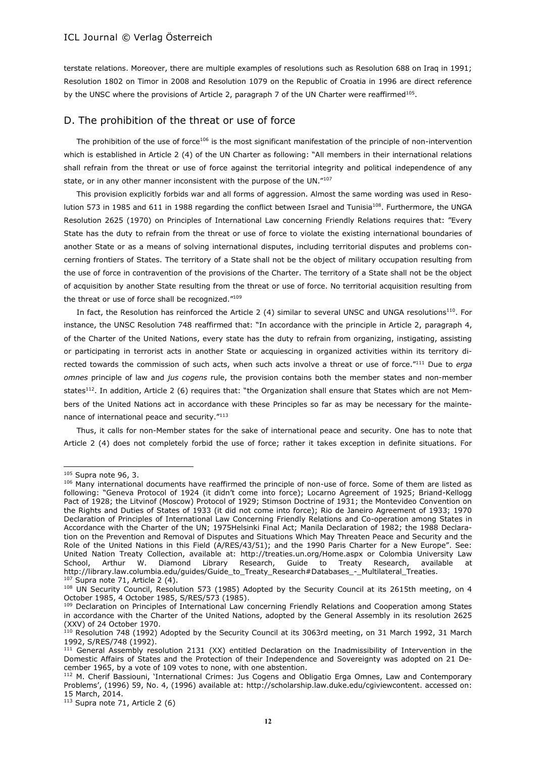terstate relations. Moreover, there are multiple examples of resolutions such as Resolution 688 on Iraq in 1991; Resolution 1802 on Timor in 2008 and Resolution 1079 on the Republic of Croatia in 1996 are direct reference by the UNSC where the provisions of Article 2, paragraph 7 of the UN Charter were reaffirmed<sup>105</sup>.

#### D. The prohibition of the threat or use of force

The prohibition of the use of force<sup>106</sup> is the most significant manifestation of the principle of non-intervention which is established in Article 2 (4) of the UN Charter as following: "All members in their international relations shall refrain from the threat or use of force against the territorial integrity and political independence of any state, or in any other manner inconsistent with the purpose of the UN."107

This provision explicitly forbids war and all forms of aggression. Almost the same wording was used in Resolution 573 in 1985 and 611 in 1988 regarding the conflict between Israel and Tunisia<sup>108</sup>. Furthermore, the UNGA Resolution 2625 (1970) on Principles of International Law concerning Friendly Relations requires that: "Every State has the duty to refrain from the threat or use of force to violate the existing international boundaries of another State or as a means of solving international disputes, including territorial disputes and problems concerning frontiers of States. The territory of a State shall not be the object of military occupation resulting from the use of force in contravention of the provisions of the Charter. The territory of a State shall not be the object of acquisition by another State resulting from the threat or use of force. No territorial acquisition resulting from the threat or use of force shall be recognized."<sup>109</sup>

In fact, the Resolution has reinforced the Article 2 (4) similar to several UNSC and UNGA resolutions<sup>110</sup>. For instance, the UNSC Resolution 748 reaffirmed that: "In accordance with the principle in Article 2, paragraph 4, of the Charter of the United Nations, every state has the duty to refrain from organizing, instigating, assisting or participating in terrorist acts in another State or acquiescing in organized activities within its territory directed towards the commission of such acts, when such acts involve a threat or use of force."<sup>111</sup> Due to *erga omnes* principle of law and *jus cogens* rule, the provision contains both the member states and non-member states<sup>112</sup>. In addition, Article 2 (6) requires that: "the Organization shall ensure that States which are not Members of the United Nations act in accordance with these Principles so far as may be necessary for the maintenance of international peace and security."<sup>113</sup>

Thus, it calls for non-Member states for the sake of international peace and security. One has to note that Article 2 (4) does not completely forbid the use of force; rather it takes exception in definite situations. For

<sup>105</sup> Supra note 96, 3.

<sup>106</sup> Many international documents have reaffirmed the principle of non-use of force. Some of them are listed as following: "Geneva Protocol of 1924 (it didn't come into force); Locarno Agreement of 1925; Briand-Kellogg Pact of 1928; the Litvinof (Moscow) Protocol of 1929; Stimson Doctrine of 1931; the Montevideo Convention on the Rights and Duties of States of 1933 (it did not come into force); Rio de Janeiro Agreement of 1933; 1970 Declaration of Principles of International Law Concerning Friendly Relations and Co-operation among States in Accordance with the Charter of the UN; 1975Helsinki Final Act; Manila Declaration of 1982; the 1988 Declaration on the Prevention and Removal of Disputes and Situations Which May Threaten Peace and Security and the Role of the United Nations in this Field (A/RES/43/51); and the 1990 Paris Charter for a New Europe". See: United Nation Treaty Collection, available at: http://treaties.un.org/Home.aspx or Colombia University Law School, Arthur W. Diamond Library Research, Guide to Treaty Research, available at http://library.law.columbia.edu/guides/Guide\_to\_Treaty\_Research#Databases\_-\_Multilateral\_Treaties.  $107$  Supra note 71, Article 2 (4).

<sup>108</sup> UN Security Council, Resolution 573 (1985) Adopted by the Security Council at its 2615th meeting, on 4 October 1985, 4 October 1985, S/RES/573 (1985).

<sup>109</sup> Declaration on Principles of International Law concerning Friendly Relations and Cooperation among States in accordance with the Charter of the United Nations, adopted by the General Assembly in its resolution 2625 (XXV) of 24 October 1970.

 $110$  Resolution 748 (1992) Adopted by the Security Council at its 3063rd meeting, on 31 March 1992, 31 March 1992, S/RES/748 (1992).

<sup>&</sup>lt;sup>111</sup> General Assembly resolution 2131 (XX) entitled Declaration on the Inadmissibility of Intervention in the Domestic Affairs of States and the Protection of their Independence and Sovereignty was adopted on 21 December 1965, by a vote of 109 votes to none, with one abstention.

<sup>112</sup> M. Cherif Bassiouni, 'International Crimes: Jus Cogens and Obligatio Erga Omnes, Law and Contemporary Problems', (1996) 59, No. 4, (1996) available at: http://scholarship.law.duke.edu/cgiviewcontent. accessed on: 15 March, 2014.

 $113$  Supra note 71, Article 2 (6)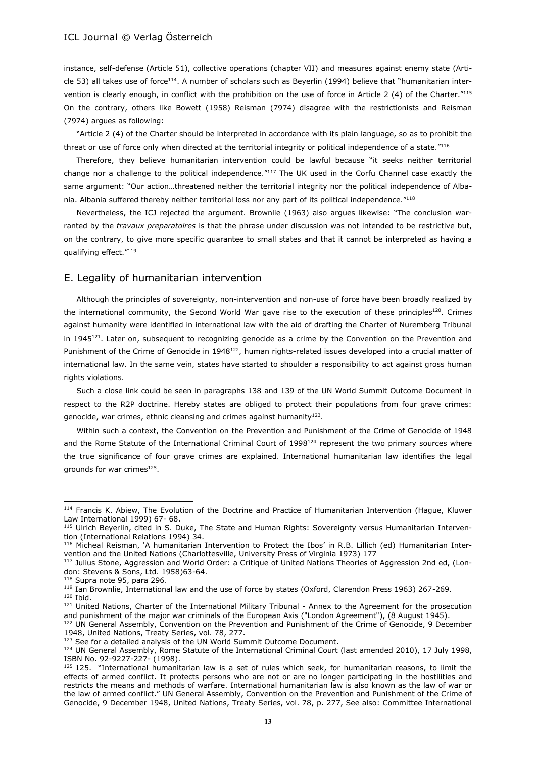instance, self-defense (Article 51), collective operations (chapter VII) and measures against enemy state (Article 53) all takes use of force<sup>114</sup>. A number of scholars such as Beyerlin (1994) believe that "humanitarian intervention is clearly enough, in conflict with the prohibition on the use of force in Article 2 (4) of the Charter."<sup>115</sup> On the contrary, others like Bowett (1958) Reisman (7974) disagree with the restrictionists and Reisman (7974) argues as following:

"Article 2 (4) of the Charter should be interpreted in accordance with its plain language, so as to prohibit the threat or use of force only when directed at the territorial integrity or political independence of a state."<sup>116</sup>

Therefore, they believe humanitarian intervention could be lawful because "it seeks neither territorial change nor a challenge to the political independence."<sup>117</sup> The UK used in the Corfu Channel case exactly the same argument: "Our action…threatened neither the territorial integrity nor the political independence of Albania. Albania suffered thereby neither territorial loss nor any part of its political independence."<sup>118</sup>

Nevertheless, the ICJ rejected the argument. Brownlie (1963) also argues likewise: "The conclusion warranted by the *travaux preparatoires* is that the phrase under discussion was not intended to be restrictive but, on the contrary, to give more specific guarantee to small states and that it cannot be interpreted as having a qualifying effect."<sup>119</sup>

#### E. Legality of humanitarian intervention

Although the principles of sovereignty, non-intervention and non-use of force have been broadly realized by the international community, the Second World War gave rise to the execution of these principles<sup>120</sup>. Crimes against humanity were identified in international law with the aid of drafting the Charter of Nuremberg Tribunal in 1945 $121$ . Later on, subsequent to recognizing genocide as a crime by the Convention on the Prevention and Punishment of the Crime of Genocide in 1948<sup>122</sup>, human rights-related issues developed into a crucial matter of international law. In the same vein, states have started to shoulder a responsibility to act against gross human rights violations.

Such a close link could be seen in paragraphs 138 and 139 of the UN World Summit Outcome Document in respect to the R2P doctrine. Hereby states are obliged to protect their populations from four grave crimes: genocide, war crimes, ethnic cleansing and crimes against humanity $^{123}$ .

Within such a context, the Convention on the Prevention and Punishment of the Crime of Genocide of 1948 and the Rome Statute of the International Criminal Court of 1998<sup>124</sup> represent the two primary sources where the true significance of four grave crimes are explained. International humanitarian law identifies the legal grounds for war crimes $^{125}$ .

<sup>118</sup> Supra note 95, para 296.

 $\overline{a}$ 

<sup>121</sup> United Nations, Charter of the International Military Tribunal - Annex to the Agreement for the prosecution and punishment of the major war criminals of the European Axis ("London Agreement"), (8 August 1945).

<sup>114</sup> Francis K. Abiew, The Evolution of the Doctrine and Practice of Humanitarian Intervention (Hague, Kluwer Law International 1999) 67- 68.

<sup>115</sup> Ulrich Beyerlin, cited in S. Duke, The State and Human Rights: Sovereignty versus Humanitarian Intervention (International Relations 1994) 34.

<sup>116</sup> Micheal Reisman, 'A humanitarian Intervention to Protect the Ibos' in R.B. Lillich (ed) Humanitarian Intervention and the United Nations (Charlottesville, University Press of Virginia 1973) 177

<sup>&</sup>lt;sup>117</sup> Julius Stone, Aggression and World Order: a Critique of United Nations Theories of Aggression 2nd ed, (London: Stevens & Sons, Ltd. 1958)63-64.

<sup>&</sup>lt;sup>119</sup> Ian Brownlie, International law and the use of force by states (Oxford, Clarendon Press 1963) 267-269. <sup>120</sup> Ibid.

<sup>&</sup>lt;sup>122</sup> UN General Assembly, Convention on the Prevention and Punishment of the Crime of Genocide, 9 December 1948, United Nations, Treaty Series, vol. 78, 277.

<sup>&</sup>lt;sup>123</sup> See for a detailed analysis of the UN World Summit Outcome Document.

<sup>&</sup>lt;sup>124</sup> UN General Assembly, Rome Statute of the International Criminal Court (last amended 2010), 17 July 1998, ISBN No. 92-9227-227- (1998).

 $125$  125. "International humanitarian law is a set of rules which seek, for humanitarian reasons, to limit the effects of armed conflict. It protects persons who are not or are no longer participating in the hostilities and restricts the means and methods of warfare. International humanitarian law is also known as the law of war or the law of armed conflict." UN General Assembly, Convention on the Prevention and Punishment of the Crime of Genocide, 9 December 1948, United Nations, Treaty Series, vol. 78, p. 277, See also: Committee International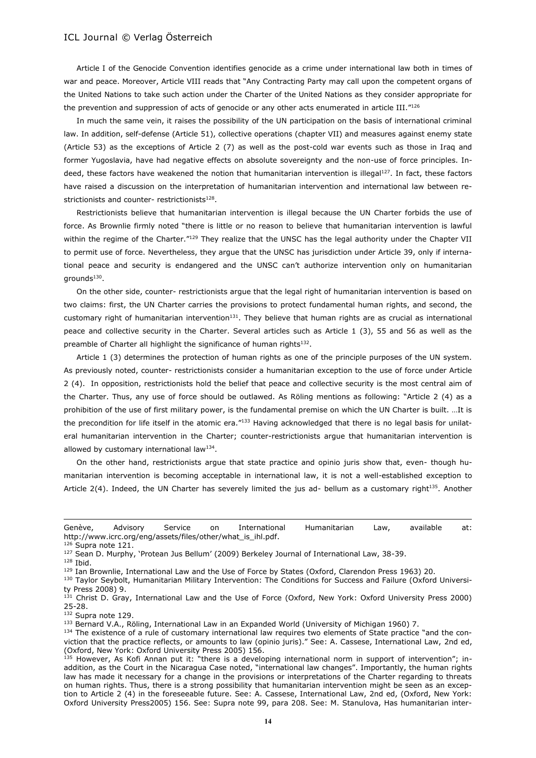Article I of the Genocide Convention identifies genocide as a crime under international law both in times of war and peace. Moreover, Article VIII reads that "Any Contracting Party may call upon the competent organs of the United Nations to take such action under the Charter of the United Nations as they consider appropriate for the prevention and suppression of acts of genocide or any other acts enumerated in article III."<sup>126</sup>

In much the same vein, it raises the possibility of the UN participation on the basis of international criminal law. In addition, self-defense (Article 51), collective operations (chapter VII) and measures against enemy state (Article 53) as the exceptions of Article 2 (7) as well as the post-cold war events such as those in Iraq and former Yugoslavia, have had negative effects on absolute sovereignty and the non-use of force principles. Indeed, these factors have weakened the notion that humanitarian intervention is illegal<sup>127</sup>. In fact, these factors have raised a discussion on the interpretation of humanitarian intervention and international law between restrictionists and counter- restrictionists<sup>128</sup>.

Restrictionists believe that humanitarian intervention is illegal because the UN Charter forbids the use of force. As Brownlie firmly noted "there is little or no reason to believe that humanitarian intervention is lawful within the regime of the Charter."<sup>129</sup> They realize that the UNSC has the legal authority under the Chapter VII to permit use of force. Nevertheless, they argue that the UNSC has jurisdiction under Article 39, only if international peace and security is endangered and the UNSC can't authorize intervention only on humanitarian grounds<sup>130</sup>.

On the other side, counter- restrictionists argue that the legal right of humanitarian intervention is based on two claims: first, the UN Charter carries the provisions to protect fundamental human rights, and second, the customary right of humanitarian intervention<sup>131</sup>. They believe that human rights are as crucial as international peace and collective security in the Charter. Several articles such as Article 1 (3), 55 and 56 as well as the preamble of Charter all highlight the significance of human rights<sup>132</sup>.

Article 1 (3) determines the protection of human rights as one of the principle purposes of the UN system. As previously noted, counter- restrictionists consider a humanitarian exception to the use of force under Article 2 (4). In opposition, restrictionists hold the belief that peace and collective security is the most central aim of the Charter. Thus, any use of force should be outlawed. As Röling mentions as following: "Article 2 (4) as a prohibition of the use of first military power, is the fundamental premise on which the UN Charter is built. …It is the precondition for life itself in the atomic era."133 Having acknowledged that there is no legal basis for unilateral humanitarian intervention in the Charter; counter-restrictionists argue that humanitarian intervention is allowed by customary international law<sup>134</sup>.

On the other hand, restrictionists argue that state practice and opinio juris show that, even- though humanitarian intervention is becoming acceptable in international law, it is not a well-established exception to Article  $2(4)$ . Indeed, the UN Charter has severely limited the jus ad- bellum as a customary right $135$ . Another

 $\overline{a}$ 

130 Taylor Seybolt, Humanitarian Military Intervention: The Conditions for Success and Failure (Oxford University Press 2008) 9.

Genève, Advisory Service on International Humanitarian Law, available at: http://www.icrc.org/eng/assets/files/other/what\_is\_ihl.pdf.

<sup>&</sup>lt;sup>126</sup> Supra note 121.

<sup>127</sup> Sean D. Murphy, 'Protean Jus Bellum' (2009) Berkeley Journal of International Law, 38-39.

<sup>128</sup> Ibid.

<sup>129</sup> Ian Brownlie, International Law and the Use of Force by States (Oxford, Clarendon Press 1963) 20.

<sup>&</sup>lt;sup>131</sup> Christ D. Gray, International Law and the Use of Force (Oxford, New York: Oxford University Press 2000) 25-28.

<sup>132</sup> Supra note 129.

<sup>133</sup> Bernard V.A., Röling, International Law in an Expanded World (University of Michigan 1960) 7.

<sup>&</sup>lt;sup>134</sup> The existence of a rule of customary international law requires two elements of State practice "and the conviction that the practice reflects, or amounts to law (opinio juris)." See: A. Cassese, International Law, 2nd ed, (Oxford, New York: Oxford University Press 2005) 156.

 $135$  However, As Kofi Annan put it: "there is a developing international norm in support of intervention"; inaddition, as the Court in the Nicaragua Case noted, "international law changes". Importantly, the human rights law has made it necessary for a change in the provisions or interpretations of the Charter regarding to threats on human rights. Thus, there is a strong possibility that humanitarian intervention might be seen as an exception to Article 2 (4) in the foreseeable future. See: A. Cassese, International Law, 2nd ed, (Oxford, New York: Oxford University Press2005) 156. See: Supra note 99, para 208. See: M. Stanulova, Has humanitarian inter-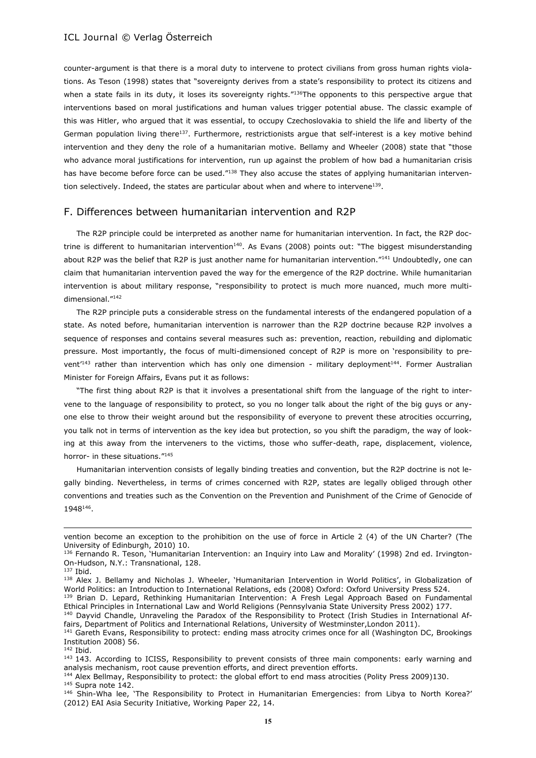counter-argument is that there is a moral duty to intervene to protect civilians from gross human rights violations. As Teson (1998) states that "sovereignty derives from a state's responsibility to protect its citizens and when a state fails in its duty, it loses its sovereignty rights."136The opponents to this perspective argue that interventions based on moral justifications and human values trigger potential abuse. The classic example of this was Hitler, who argued that it was essential, to occupy Czechoslovakia to shield the life and liberty of the German population living there<sup>137</sup>. Furthermore, restrictionists argue that self-interest is a key motive behind intervention and they deny the role of a humanitarian motive. Bellamy and Wheeler (2008) state that "those who advance moral justifications for intervention, run up against the problem of how bad a humanitarian crisis has have become before force can be used."<sup>138</sup> They also accuse the states of applying humanitarian intervention selectively. Indeed, the states are particular about when and where to intervene<sup>139</sup>.

# F. Differences between humanitarian intervention and R2P

The R2P principle could be interpreted as another name for humanitarian intervention. In fact, the R2P doctrine is different to humanitarian intervention<sup>140</sup>. As Evans (2008) points out: "The biggest misunderstanding about R2P was the belief that R2P is just another name for humanitarian intervention."141 Undoubtedly, one can claim that humanitarian intervention paved the way for the emergence of the R2P doctrine. While humanitarian intervention is about military response, "responsibility to protect is much more nuanced, much more multidimensional."<sup>142</sup>

The R2P principle puts a considerable stress on the fundamental interests of the endangered population of a state. As noted before, humanitarian intervention is narrower than the R2P doctrine because R2P involves a sequence of responses and contains several measures such as: prevention, reaction, rebuilding and diplomatic pressure. Most importantly, the focus of multi-dimensioned concept of R2P is more on 'responsibility to prevent<sup>'143</sup> rather than intervention which has only one dimension - military deployment<sup>144</sup>. Former Australian Minister for Foreign Affairs, Evans put it as follows:

"The first thing about R2P is that it involves a presentational shift from the language of the right to intervene to the language of responsibility to protect, so you no longer talk about the right of the big guys or anyone else to throw their weight around but the responsibility of everyone to prevent these atrocities occurring, you talk not in terms of intervention as the key idea but protection, so you shift the paradigm, the way of looking at this away from the interveners to the victims, those who suffer-death, rape, displacement, violence, horror- in these situations."<sup>145</sup>

Humanitarian intervention consists of legally binding treaties and convention, but the R2P doctrine is not legally binding. Nevertheless, in terms of crimes concerned with R2P, states are legally obliged through other conventions and treaties such as the Convention on the Prevention and Punishment of the Crime of Genocide of 1948<sup>146</sup> .

vention become an exception to the prohibition on the use of force in Article 2 (4) of the UN Charter? (The University of Edinburgh, 2010) 10.

<sup>136</sup> Fernando R. Teson, 'Humanitarian Intervention: an Inquiry into Law and Morality' (1998) 2nd ed. Irvington-On-Hudson, N.Y.: Transnational, 128.

 $137$  Ibid.

<sup>138</sup> Alex J. Bellamy and Nicholas J. Wheeler, 'Humanitarian Intervention in World Politics', in Globalization of World Politics: an Introduction to International Relations, eds (2008) Oxford: Oxford University Press 524. 139 Brian D. Lepard, Rethinking Humanitarian Intervention: A Fresh Legal Approach Based on Fundamental

Ethical Principles in International Law and World Religions (Pennsylvania State University Press 2002) 177.

<sup>&</sup>lt;sup>140</sup> Dayvid Chandle, Unraveling the Paradox of the Responsibility to Protect (Irish Studies in International Affairs, Department of Politics and International Relations, University of Westminster,London 2011).

<sup>141</sup> Gareth Evans, Responsibility to protect: ending mass atrocity crimes once for all (Washington DC, Brookings Institution 2008) 56.  $142$  Ibid.

<sup>&</sup>lt;sup>143</sup> 143. According to ICISS, Responsibility to prevent consists of three main components: early warning and analysis mechanism, root cause prevention efforts, and direct prevention efforts.

<sup>&</sup>lt;sup>144</sup> Alex Bellmay, Responsibility to protect: the global effort to end mass atrocities (Polity Press 2009)130.

<sup>145</sup> Supra note 142.

<sup>146</sup> Shin-Wha lee, 'The Responsibility to Protect in Humanitarian Emergencies: from Libya to North Korea?' (2012) EAI Asia Security Initiative, Working Paper 22, 14.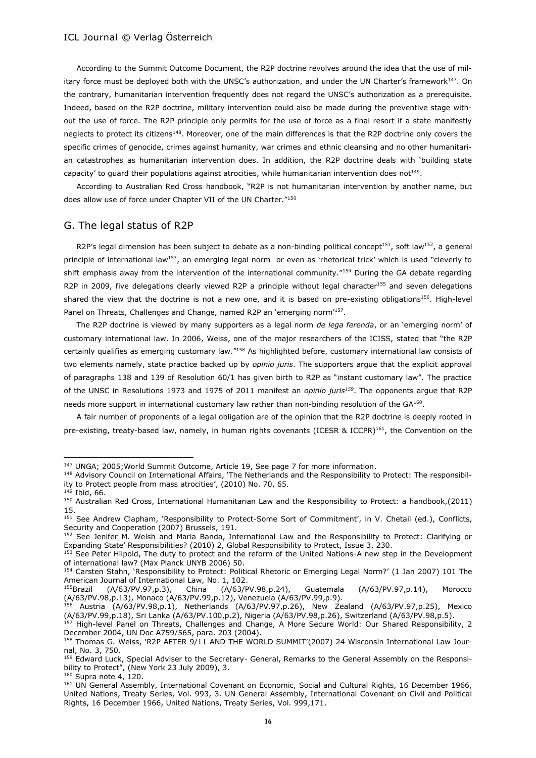According to the Summit Outcome Document, the R2P doctrine revolves around the idea that the use of military force must be deployed both with the UNSC's authorization, and under the UN Charter's framework<sup>147</sup>. On the contrary, humanitarian intervention frequently does not regard the UNSC's authorization as a prerequisite. Indeed, based on the R2P doctrine, military intervention could also be made during the preventive stage without the use of force. The R2P principle only permits for the use of force as a final resort if a state manifestly neglects to protect its citizens<sup>148</sup>. Moreover, one of the main differences is that the R2P doctrine only covers the specific crimes of genocide, crimes against humanity, war crimes and ethnic cleansing and no other humanitarian catastrophes as humanitarian intervention does. In addition, the R2P doctrine deals with 'building state capacity' to guard their populations against atrocities, while humanitarian intervention does not<sup>149</sup>.

According to Australian Red Cross handbook, "R2P is not humanitarian intervention by another name, but does allow use of force under Chapter VII of the UN Charter."<sup>150</sup>

# G. The legal status of R2P

R2P's legal dimension has been subject to debate as a non-binding political concept<sup>151</sup>, soft law<sup>152</sup>, a general principle of international law<sup>153</sup>, an emerging legal norm or even as 'rhetorical trick' which is used "cleverly to shift emphasis away from the intervention of the international community."<sup>154</sup> During the GA debate regarding R2P in 2009, five delegations clearly viewed R2P a principle without legal character<sup>155</sup> and seven delegations shared the view that the doctrine is not a new one, and it is based on pre-existing obligations<sup>156</sup>. High-level Panel on Threats, Challenges and Change, named R2P an 'emerging norm<sup>157</sup>.

The R2P doctrine is viewed by many supporters as a legal norm *de lega ferenda*, or an 'emerging norm' of customary international law. In 2006, Weiss, one of the major researchers of the ICISS, stated that "the R2P certainly qualifies as emerging customary law."<sup>158</sup> As highlighted before, customary international law consists of two elements namely, state practice backed up by *opinio juris*. The supporters argue that the explicit approval of paragraphs 138 and 139 of Resolution 60/1 has given birth to R2P as "instant customary law". The practice of the UNSC in Resolutions 1973 and 1975 of 2011 manifest an *opinio juris<sup>159</sup>*. The opponents argue that R2P needs more support in international customary law rather than non-binding resolution of the GA<sup>160</sup>.

A fair number of proponents of a legal obligation are of the opinion that the R2P doctrine is deeply rooted in pre-existing, treaty-based law, namely, in human rights covenants (ICESR & ICCPR)<sup>161</sup>, the Convention on the

<sup>&</sup>lt;sup>147</sup> UNGA; 2005; World Summit Outcome, Article 19, See page 7 for more information.

<sup>148</sup> Advisory Council on International Affairs, 'The Netherlands and the Responsibility to Protect: The responsibility to Protect people from mass atrocities', (2010) No. 70, 65.

 $149$  Ibid, 66.

<sup>150</sup> Australian Red Cross, International Humanitarian Law and the Responsibility to Protect: a handbook,(2011) 15.

<sup>151</sup> See Andrew Clapham, 'Responsibility to Protect-Some Sort of Commitment', in V. Chetail (ed.), Conflicts, Security and Cooperation (2007) Brussels, 191.

<sup>152</sup> See Jenifer M. Welsh and Maria Banda, International Law and the Responsibility to Protect: Clarifying or Expanding State' Responsibilities? (2010) 2, Global Responsibility to Protect, Issue 3, 230.

<sup>153</sup> See Peter Hilpold, The duty to protect and the reform of the United Nations-A new step in the Development of international law? (Max Planck UNYB 2006) 50.

<sup>154</sup> Carsten Stahn, 'Responsibility to Protect: Political Rhetoric or Emerging Legal Norm?' (1 Jan 2007) 101 The American Journal of International Law, No. 1, 102.

<sup>155</sup>Brazil (A/63/PV.97,p.3), China (A/63/PV.98,p.24), Guatemala (A/63/PV.97,p.14), Morocco (A/63/PV.98,p.13), Monaco (A/63/PV.99,p.12), Venezuela (A/63/PV.99,p.9).

<sup>156</sup> Austria (A/63/PV.98,p.1), Netherlands (A/63/PV.97,p.26), New Zealand (A/63/PV.97,p.25), Mexico (A/63/PV.99,p.18), Sri Lanka (A/63/PV.100,p.2), Nigeria (A/63/PV.98,p.26), Switzerland (A/63/PV.98,p.5).

<sup>157</sup> High-level Panel on Threats, Challenges and Change, A More Secure World: Our Shared Responsibility, 2 December 2004, UN Doc A759/565, para. 203 (2004).

<sup>158</sup> Thomas G. Weiss, 'R2P AFTER 9/11 AND THE WORLD SUMMIT'(2007) 24 Wisconsin International Law Journal, No. 3, 750.

<sup>159</sup> Edward Luck, Special Adviser to the Secretary- General, Remarks to the General Assembly on the Responsibility to Protect", (New York 23 July 2009), 3.

 $160$  Supra note 4, 120.

<sup>161</sup> UN General Assembly, International Covenant on Economic, Social and Cultural Rights, 16 December 1966, United Nations, Treaty Series, Vol. 993, 3. UN General Assembly, International Covenant on Civil and Political Rights, 16 December 1966, United Nations, Treaty Series, Vol. 999,171.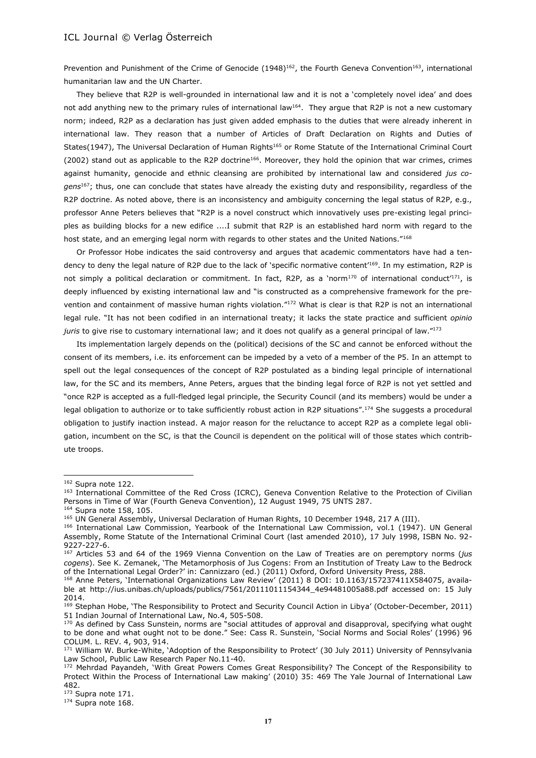Prevention and Punishment of the Crime of Genocide (1948)<sup>162</sup>, the Fourth Geneva Convention<sup>163</sup>, international humanitarian law and the UN Charter.

They believe that R2P is well-grounded in international law and it is not a 'completely novel idea' and does not add anything new to the primary rules of international law<sup>164</sup>. They argue that R2P is not a new customary norm; indeed, R2P as a declaration has just given added emphasis to the duties that were already inherent in international law. They reason that a number of Articles of Draft Declaration on Rights and Duties of States(1947), The Universal Declaration of Human Rights<sup>165</sup> or Rome Statute of the International Criminal Court (2002) stand out as applicable to the R2P doctrine<sup>166</sup>. Moreover, they hold the opinion that war crimes, crimes against humanity, genocide and ethnic cleansing are prohibited by international law and considered *jus cogens*<sup>167</sup>; thus, one can conclude that states have already the existing duty and responsibility, regardless of the R2P doctrine. As noted above, there is an inconsistency and ambiguity concerning the legal status of R2P, e.g., professor Anne Peters believes that "R2P is a novel construct which innovatively uses pre-existing legal principles as building blocks for a new edifice ....I submit that R2P is an established hard norm with regard to the host state, and an emerging legal norm with regards to other states and the United Nations."168

Or Professor Hobe indicates the said controversy and argues that academic commentators have had a tendency to deny the legal nature of R2P due to the lack of 'specific normative content'<sup>169</sup>. In my estimation, R2P is not simply a political declaration or commitment. In fact, R2P, as a 'norm<sup>170</sup> of international conduct<sup>171</sup>, is deeply influenced by existing international law and "is constructed as a comprehensive framework for the prevention and containment of massive human rights violation."<sup>172</sup> What is clear is that R2P is not an international legal rule. "It has not been codified in an international treaty; it lacks the state practice and sufficient *opinio juris* to give rise to customary international law; and it does not qualify as a general principal of law."<sup>173</sup>

Its implementation largely depends on the (political) decisions of the SC and cannot be enforced without the consent of its members, i.e. its enforcement can be impeded by a veto of a member of the P5. In an attempt to spell out the legal consequences of the concept of R2P postulated as a binding legal principle of international law, for the SC and its members, Anne Peters, argues that the binding legal force of R2P is not yet settled and "once R2P is accepted as a full-fledged legal principle, the Security Council (and its members) would be under a legal obligation to authorize or to take sufficiently robust action in R2P situations".<sup>174</sup> She suggests a procedural obligation to justify inaction instead. A major reason for the reluctance to accept R2P as a complete legal obligation, incumbent on the SC, is that the Council is dependent on the political will of those states which contribute troops.

<sup>&</sup>lt;sup>162</sup> Supra note 122.

<sup>163</sup> International Committee of the Red Cross (ICRC), Geneva Convention Relative to the Protection of Civilian Persons in Time of War (Fourth Geneva Convention), 12 August 1949, 75 UNTS 287.

<sup>&</sup>lt;sup>164</sup> Supra note 158, 105.

<sup>&</sup>lt;sup>165</sup> UN General Assembly, Universal Declaration of Human Rights, 10 December 1948, 217 A (III).

<sup>166</sup> International Law Commission, Yearbook of the International Law Commission, vol.1 (1947). UN General Assembly, Rome Statute of the International Criminal Court (last amended 2010), 17 July 1998, ISBN No. 92-9227-227-6.

<sup>167</sup> Articles 53 and 64 of the 1969 Vienna Convention on the Law of Treaties are on peremptory norms (*jus cogens*). See K. Zemanek, 'The Metamorphosis of Jus Cogens: From an Institution of Treaty Law to the Bedrock of the International Legal Order?' in: Cannizzaro (ed.) (2011) Oxford, Oxford University Press, 288.

<sup>168</sup> Anne Peters, 'International Organizations Law Review' (2011) 8 DOI: 10.1163/157237411X584075, available at http://ius.unibas.ch/uploads/publics/7561/20111011154344\_4e94481005a88.pdf accessed on: 15 July 2014.

<sup>169</sup> Stephan Hobe, 'The Responsibility to Protect and Security Council Action in Libya' (October-December, 2011) 51 Indian Journal of International Law, No.4, 505-508.

<sup>&</sup>lt;sup>170</sup> As defined by Cass Sunstein, norms are "social attitudes of approval and disapproval, specifying what ought to be done and what ought not to be done." See: Cass R. Sunstein, 'Social Norms and Social Roles' (1996) 96 COLUM. L. REV. 4, 903, 914.

<sup>171</sup> William W. Burke-White, 'Adoption of the Responsibility to Protect' (30 July 2011) University of Pennsylvania Law School, Public Law Research Paper No.11-40.

<sup>&</sup>lt;sup>172</sup> Mehrdad Payandeh, 'With Great Powers Comes Great Responsibility? The Concept of the Responsibility to Protect Within the Process of International Law making' (2010) 35: 469 The Yale Journal of International Law 482.

<sup>173</sup> Supra note 171.

<sup>&</sup>lt;sup>174</sup> Supra note 168.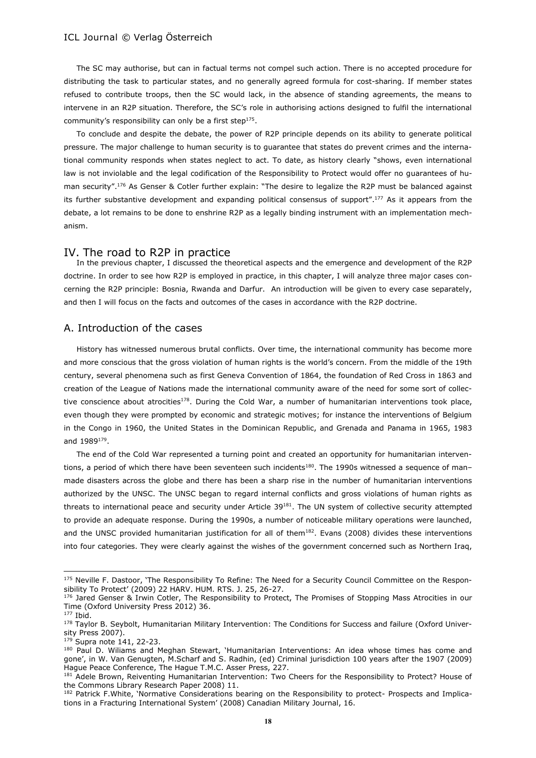The SC may authorise, but can in factual terms not compel such action. There is no accepted procedure for distributing the task to particular states, and no generally agreed formula for cost-sharing. If member states refused to contribute troops, then the SC would lack, in the absence of standing agreements, the means to intervene in an R2P situation. Therefore, the SC's role in authorising actions designed to fulfil the international community's responsibility can only be a first step $^{175}$ .

To conclude and despite the debate, the power of R2P principle depends on its ability to generate political pressure. The major challenge to human security is to guarantee that states do prevent crimes and the international community responds when states neglect to act. To date, as history clearly "shows, even international law is not inviolable and the legal codification of the Responsibility to Protect would offer no guarantees of human security".<sup>176</sup> As Genser & Cotler further explain: "The desire to legalize the R2P must be balanced against its further substantive development and expanding political consensus of support".<sup>177</sup> As it appears from the debate, a lot remains to be done to enshrine R2P as a legally binding instrument with an implementation mechanism.

#### IV. The road to R2P in practice

In the previous chapter, I discussed the theoretical aspects and the emergence and development of the R2P doctrine. In order to see how R2P is employed in practice, in this chapter, I will analyze three major cases concerning the R2P principle: Bosnia, Rwanda and Darfur. An introduction will be given to every case separately, and then I will focus on the facts and outcomes of the cases in accordance with the R2P doctrine.

#### A. Introduction of the cases

History has witnessed numerous brutal conflicts. Over time, the international community has become more and more conscious that the gross violation of human rights is the world's concern. From the middle of the 19th century, several phenomena such as first Geneva Convention of 1864, the foundation of Red Cross in 1863 and creation of the League of Nations made the international community aware of the need for some sort of collective conscience about atrocities<sup>178</sup>. During the Cold War, a number of humanitarian interventions took place, even though they were prompted by economic and strategic motives; for instance the interventions of Belgium in the Congo in 1960, the United States in the Dominican Republic, and Grenada and Panama in 1965, 1983 and 1989<sup>179</sup> .

The end of the Cold War represented a turning point and created an opportunity for humanitarian interventions, a period of which there have been seventeen such incidents<sup>180</sup>. The 1990s witnessed a sequence of manmade disasters across the globe and there has been a sharp rise in the number of humanitarian interventions authorized by the UNSC. The UNSC began to regard internal conflicts and gross violations of human rights as threats to international peace and security under Article  $39^{181}$ . The UN system of collective security attempted to provide an adequate response. During the 1990s, a number of noticeable military operations were launched, and the UNSC provided humanitarian justification for all of them<sup>182</sup>. Evans (2008) divides these interventions into four categories. They were clearly against the wishes of the government concerned such as Northern Iraq,

<sup>175</sup> Neville F. Dastoor, 'The Responsibility To Refine: The Need for a Security Council Committee on the Responsibility To Protect' (2009) 22 HARV. HUM. RTS. J. 25, 26-27.

<sup>176</sup> Jared Genser & Irwin Cotler, The Responsibility to Protect, The Promises of Stopping Mass Atrocities in our Time (Oxford University Press 2012) 36.

<sup>177</sup> Ibid.

<sup>178</sup> Taylor B. Seybolt, Humanitarian Military Intervention: The Conditions for Success and failure (Oxford University Press 2007).

<sup>179</sup> Supra note 141, 22-23.

<sup>180</sup> Paul D. Wiliams and Meghan Stewart, 'Humanitarian Interventions: An idea whose times has come and gone', in W. Van Genugten, M.Scharf and S. Radhin, (ed) Criminal jurisdiction 100 years after the 1907 (2009) Hague Peace Conference, The Hague T.M.C. Asser Press, 227.

<sup>181</sup> Adele Brown, Reiventing Humanitarian Intervention: Two Cheers for the Responsibility to Protect? House of the Commons Library Research Paper 2008) 11.

<sup>182</sup> Patrick F.White, 'Normative Considerations bearing on the Responsibility to protect- Prospects and Implications in a Fracturing International System' (2008) Canadian Military Journal, 16.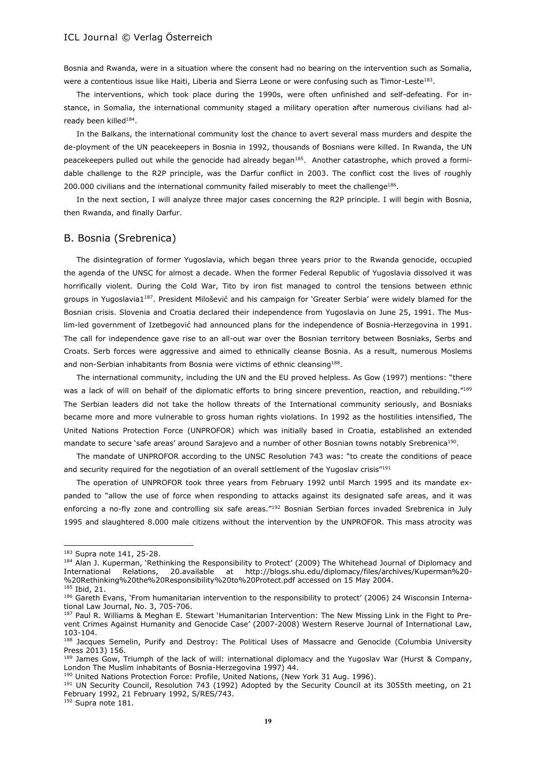Bosnia and Rwanda, were in a situation where the consent had no bearing on the intervention such as Somalia, were a contentious issue like Haiti, Liberia and Sierra Leone or were confusing such as Timor-Leste $^{183}$ .

The interventions, which took place during the 1990s, were often unfinished and self-defeating. For instance, in Somalia, the international community staged a military operation after numerous civilians had already been killed<sup>184</sup>.

In the Balkans, the international community lost the chance to avert several mass murders and despite the de-ployment of the UN peacekeepers in Bosnia in 1992, thousands of Bosnians were killed. In Rwanda, the UN peacekeepers pulled out while the genocide had already began<sup>185</sup>. Another catastrophe, which proved a formidable challenge to the R2P principle, was the Darfur conflict in 2003. The conflict cost the lives of roughly 200.000 civilians and the international community failed miserably to meet the challenge<sup>186</sup>.

In the next section, I will analyze three major cases concerning the R2P principle. I will begin with Bosnia, then Rwanda, and finally Darfur.

#### B. Bosnia (Srebrenica)

The disintegration of former Yugoslavia, which began three years prior to the Rwanda genocide, occupied the agenda of the UNSC for almost a decade. When the former Federal Republic of Yugoslavia dissolved it was horrifically violent. During the Cold War, Tito by iron fist managed to control the tensions between ethnic groups in Yugoslavia1<sup>187</sup>. President Milošević and his campaign for 'Greater Serbia' were widely blamed for the Bosnian crisis. Slovenia and Croatia declared their independence from Yugoslavia on June 25, 1991. The Muslim-led government of Izetbegović had announced plans for the independence of Bosnia-Herzegovina in 1991. The call for independence gave rise to an all-out war over the Bosnian territory between Bosniaks, Serbs and Croats. Serb forces were aggressive and aimed to ethnically cleanse Bosnia. As a result, numerous Moslems and non-Serbian inhabitants from Bosnia were victims of ethnic cleansing<sup>188</sup>.

The international community, including the UN and the EU proved helpless. As Gow (1997) mentions: "there was a lack of will on behalf of the diplomatic efforts to bring sincere prevention, reaction, and rebuilding."189 The Serbian leaders did not take the hollow threats of the International community seriously, and Bosniaks became more and more vulnerable to gross human rights violations. In 1992 as the hostilities intensified, The United Nations Protection Force (UNPROFOR) which was initially based in Croatia, established an extended mandate to secure 'safe areas' around Sarajevo and a number of other Bosnian towns notably Srebrenica<sup>190</sup>.

The mandate of UNPROFOR according to the UNSC Resolution 743 was: "to create the conditions of peace and security required for the negotiation of an overall settlement of the Yugoslav crisis"<sup>191</sup>

The operation of UNPROFOR took three years from February 1992 until March 1995 and its mandate expanded to "allow the use of force when responding to attacks against its designated safe areas, and it was enforcing a no-fly zone and controlling six safe areas."<sup>192</sup> Bosnian Serbian forces invaded Srebrenica in July 1995 and slaughtered 8.000 male citizens without the intervention by the UNPROFOR. This mass atrocity was

l

<sup>183</sup> Supra note 141, 25-28.

<sup>184</sup> Alan J. Kuperman, 'Rethinking the Responsibility to Protect' (2009) The Whitehead Journal of Diplomacy and International Relations, 20.available at http://blogs.shu.edu/diplomacy/files/archives/Kuperman%20- %20Rethinking%20the%20Responsibility%20to%20Protect.pdf accessed on 15 May 2004.

<sup>185</sup> Ibid, 21.

<sup>186</sup> Gareth Evans, 'From humanitarian intervention to the responsibility to protect' (2006) 24 Wisconsin International Law Journal, No. 3, 705-706.

<sup>187</sup> Paul R. Williams & Meghan E. Stewart 'Humanitarian Intervention: The New Missing Link in the Fight to Prevent Crimes Against Humanity and Genocide Case' (2007-2008) Western Reserve Journal of International Law, 103-104.

<sup>188</sup> Jacques Semelin, Purify and Destroy: The Political Uses of Massacre and Genocide (Columbia University Press 2013) 156.

<sup>&</sup>lt;sup>189</sup> James Gow, Triumph of the lack of will: international diplomacy and the Yugoslav War (Hurst & Company, London The Muslim inhabitants of Bosnia-Herzegovina 1997) 44.

<sup>190</sup> United Nations Protection Force: Profile, United Nations, (New York 31 Aug. 1996).

<sup>&</sup>lt;sup>191</sup> UN Security Council, Resolution 743 (1992) Adopted by the Security Council at its 3055th meeting, on 21 February 1992, 21 February 1992, S/RES/743.

 $192$  Supra note 181.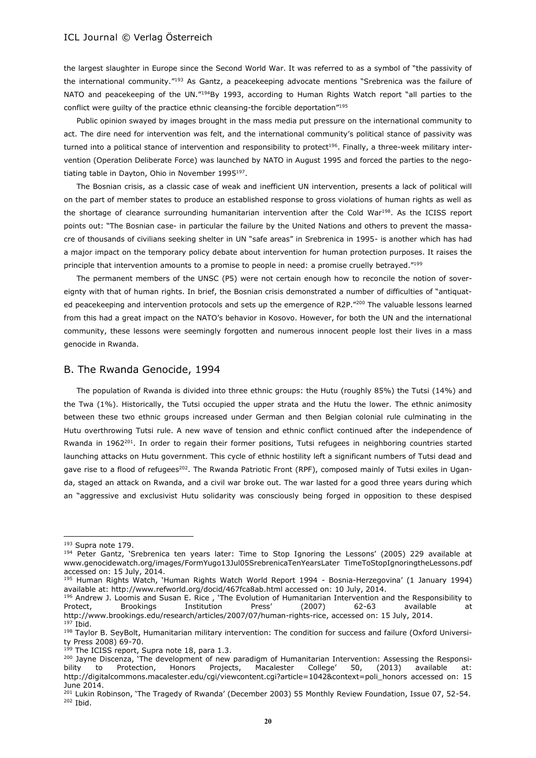the largest slaughter in Europe since the Second World War. It was referred to as a symbol of "the passivity of the international community."<sup>193</sup> As Gantz, a peacekeeping advocate mentions "Srebrenica was the failure of NATO and peacekeeping of the UN."194By 1993, according to Human Rights Watch report "all parties to the conflict were guilty of the practice ethnic cleansing-the forcible deportation"<sup>195</sup>

Public opinion swayed by images brought in the mass media put pressure on the international community to act. The dire need for intervention was felt, and the international community's political stance of passivity was turned into a political stance of intervention and responsibility to protect<sup>196</sup>. Finally, a three-week military intervention (Operation Deliberate Force) was launched by NATO in August 1995 and forced the parties to the negotiating table in Dayton, Ohio in November 1995<sup>197</sup>.

The Bosnian crisis, as a classic case of weak and inefficient UN intervention, presents a lack of political will on the part of member states to produce an established response to gross violations of human rights as well as the shortage of clearance surrounding humanitarian intervention after the Cold War<sup>198</sup>. As the ICISS report points out: "The Bosnian case- in particular the failure by the United Nations and others to prevent the massacre of thousands of civilians seeking shelter in UN "safe areas" in Srebrenica in 1995- is another which has had a major impact on the temporary policy debate about intervention for human protection purposes. It raises the principle that intervention amounts to a promise to people in need: a promise cruelly betrayed."<sup>199</sup>

The permanent members of the UNSC (P5) were not certain enough how to reconcile the notion of sovereignty with that of human rights. In brief, the Bosnian crisis demonstrated a number of difficulties of "antiquated peacekeeping and intervention protocols and sets up the emergence of R2P."200 The valuable lessons learned from this had a great impact on the NATO's behavior in Kosovo. However, for both the UN and the international community, these lessons were seemingly forgotten and numerous innocent people lost their lives in a mass genocide in Rwanda.

# B. The Rwanda Genocide, 1994

The population of Rwanda is divided into three ethnic groups: the Hutu (roughly 85%) the Tutsi (14%) and the Twa (1%). Historically, the Tutsi occupied the upper strata and the Hutu the lower. The ethnic animosity between these two ethnic groups increased under German and then Belgian colonial rule culminating in the Hutu overthrowing Tutsi rule. A new wave of tension and ethnic conflict continued after the independence of Rwanda in 1962<sup>201</sup>. In order to regain their former positions, Tutsi refugees in neighboring countries started launching attacks on Hutu government. This cycle of ethnic hostility left a significant numbers of Tutsi dead and gave rise to a flood of refugees<sup>202</sup>. The Rwanda Patriotic Front (RPF), composed mainly of Tutsi exiles in Uganda, staged an attack on Rwanda, and a civil war broke out. The war lasted for a good three years during which an "aggressive and exclusivist Hutu solidarity was consciously being forged in opposition to these despised

l

<sup>193</sup> Supra note 179.

<sup>&</sup>lt;sup>194</sup> Peter Gantz, 'Srebrenica ten years later: Time to Stop Ignoring the Lessons' (2005) 229 available at www.genocidewatch.org/images/FormYugo13Jul05SrebrenicaTenYearsLater TimeToStopIgnoringtheLessons.pdf accessed on: 15 July, 2014.

<sup>195</sup> Human Rights Watch, 'Human Rights Watch World Report 1994 - Bosnia-Herzegovina' (1 January 1994) available at: http://www.refworld.org/docid/467fca8ab.html accessed on: 10 July, 2014.

<sup>&</sup>lt;sup>196</sup> Andrew J. Loomis and Susan E. Rice, 'The Evolution of Humanitarian Intervention and the Responsibility to Protect, Brookings Institution Press' (2007) 62-63 available at http://www.brookings.edu/research/articles/2007/07/human-rights-rice, accessed on: 15 July, 2014. <sup>197</sup> Ibid.

<sup>&</sup>lt;sup>198</sup> Taylor B. SeyBolt, Humanitarian military intervention: The condition for success and failure (Oxford University Press 2008) 69-70.

<sup>&</sup>lt;sup>199</sup> The ICISS report, Supra note 18, para 1.3.

<sup>&</sup>lt;sup>200</sup> Jayne Discenza, 'The development of new paradigm of Humanitarian Intervention: Assessing the Responsibility to Protection, Honors Projects, Macalester College' 50, (2013) available at: http://digitalcommons.macalester.edu/cgi/viewcontent.cgi?article=1042&context=poli\_honors accessed on: 15 June 2014.

<sup>&</sup>lt;sup>201</sup> Lukin Robinson, 'The Tragedy of Rwanda' (December 2003) 55 Monthly Review Foundation, Issue 07, 52-54. <sup>202</sup> Ibid.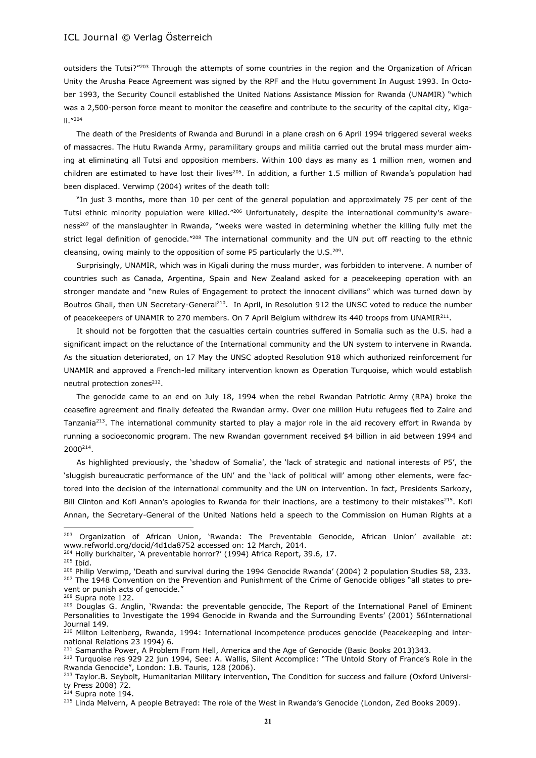outsiders the Tutsi?"<sup>203</sup> Through the attempts of some countries in the region and the Organization of African Unity the Arusha Peace Agreement was signed by the RPF and the Hutu government In August 1993. In October 1993, the Security Council established the United Nations Assistance Mission for Rwanda (UNAMIR) "which was a 2,500-person force meant to monitor the ceasefire and contribute to the security of the capital city, Kigali."<sup>204</sup>

The death of the Presidents of Rwanda and Burundi in a plane crash on 6 April 1994 triggered several weeks of massacres. The Hutu Rwanda Army, paramilitary groups and militia carried out the brutal mass murder aiming at eliminating all Tutsi and opposition members. Within 100 days as many as 1 million men, women and children are estimated to have lost their lives<sup>205</sup>. In addition, a further 1.5 million of Rwanda's population had been displaced. Verwimp (2004) writes of the death toll:

"In just 3 months, more than 10 per cent of the general population and approximately 75 per cent of the Tutsi ethnic minority population were killed."<sup>206</sup> Unfortunately, despite the international community's awareness<sup>207</sup> of the manslaughter in Rwanda, "weeks were wasted in determining whether the killing fully met the strict legal definition of genocide."<sup>208</sup> The international community and the UN put off reacting to the ethnic cleansing, owing mainly to the opposition of some P5 particularly the U.S.<sup>209</sup>.

Surprisingly, UNAMIR, which was in Kigali during the muss murder, was forbidden to intervene. A number of countries such as Canada, Argentina, Spain and New Zealand asked for a peacekeeping operation with an stronger mandate and "new Rules of Engagement to protect the innocent civilians" which was turned down by Boutros Ghali, then UN Secretary-General<sup>210</sup>. In April, in Resolution 912 the UNSC voted to reduce the number of peacekeepers of UNAMIR to 270 members. On 7 April Belgium withdrew its 440 troops from UNAMIR<sup>211</sup>.

It should not be forgotten that the casualties certain countries suffered in Somalia such as the U.S. had a significant impact on the reluctance of the International community and the UN system to intervene in Rwanda. As the situation deteriorated, on 17 May the UNSC adopted Resolution 918 which authorized reinforcement for UNAMIR and approved a French-led military intervention known as Operation Turquoise, which would establish neutral protection zones<sup>212</sup>.

The genocide came to an end on July 18, 1994 when the rebel Rwandan Patriotic Army (RPA) broke the ceasefire agreement and finally defeated the Rwandan army. Over one million Hutu refugees fled to Zaire and Tanzania<sup>213</sup>. The international community started to play a major role in the aid recovery effort in Rwanda by running a socioeconomic program. The new Rwandan government received \$4 billion in aid between 1994 and 2000<sup>214</sup> .

As highlighted previously, the 'shadow of Somalia', the 'lack of strategic and national interests of P5', the 'sluggish bureaucratic performance of the UN' and the 'lack of political will' among other elements, were factored into the decision of the international community and the UN on intervention. In fact, Presidents Sarkozy, Bill Clinton and Kofi Annan's apologies to Rwanda for their inactions, are a testimony to their mistakes<sup>215</sup>. Kofi Annan, the Secretary-General of the United Nations held a speech to the Commission on Human Rights at a

<sup>&</sup>lt;sup>203</sup> Organization of African Union, 'Rwanda: The Preventable Genocide, African Union' available at: www.refworld.org/docid/4d1da8752 accessed on: 12 March, 2014.

<sup>&</sup>lt;sup>204</sup> Holly burkhalter, 'A preventable horror?' (1994) Africa Report, 39.6, 17.

<sup>205</sup> Ibid.

<sup>&</sup>lt;sup>206</sup> Philip Verwimp, 'Death and survival during the 1994 Genocide Rwanda' (2004) 2 population Studies 58, 233. <sup>207</sup> The 1948 Convention on the Prevention and Punishment of the Crime of Genocide obliges "all states to prevent or punish acts of genocide."

<sup>208</sup> Supra note 122.

<sup>&</sup>lt;sup>209</sup> Douglas G. Anglin, 'Rwanda: the preventable genocide, The Report of the International Panel of Eminent Personalities to Investigate the 1994 Genocide in Rwanda and the Surrounding Events' (2001) 56International Journal 149.

<sup>&</sup>lt;sup>210</sup> Milton Leitenberg, Rwanda, 1994: International incompetence produces genocide (Peacekeeping and international Relations 23 1994) 6.

<sup>&</sup>lt;sup>211</sup> Samantha Power, A Problem From Hell, America and the Age of Genocide (Basic Books 2013)343.

<sup>&</sup>lt;sup>212</sup> Turquoise res 929 22 jun 1994, See: A. Wallis, Silent Accomplice: "The Untold Story of France's Role in the Rwanda Genocide", London: I.B. Tauris, 128 (2006).

<sup>&</sup>lt;sup>213</sup> Taylor.B. Seybolt, Humanitarian Military intervention, The Condition for success and failure (Oxford University Press 2008) 72.

 $214$  Supra note 194.

<sup>&</sup>lt;sup>215</sup> Linda Melvern, A people Betrayed: The role of the West in Rwanda's Genocide (London, Zed Books 2009).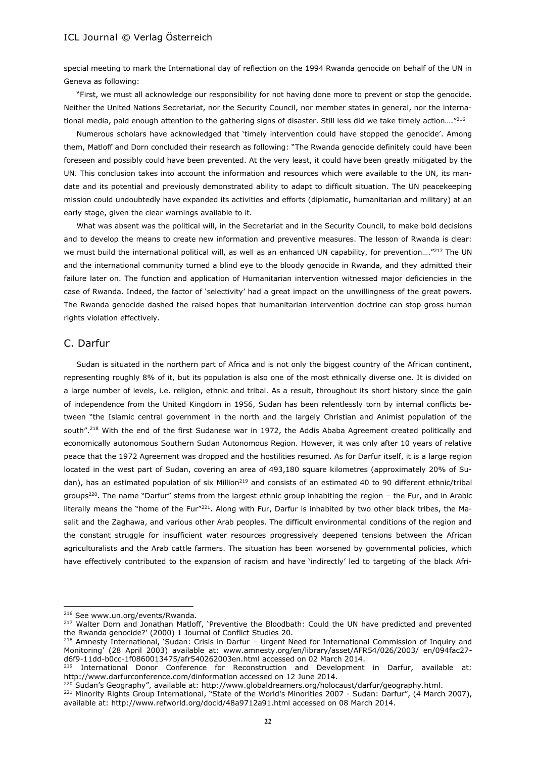special meeting to mark the International day of reflection on the 1994 Rwanda genocide on behalf of the UN in Geneva as following:

"First, we must all acknowledge our responsibility for not having done more to prevent or stop the genocide. Neither the United Nations Secretariat, nor the Security Council, nor member states in general, nor the international media, paid enough attention to the gathering signs of disaster. Still less did we take timely action...."<sup>216</sup>

Numerous scholars have acknowledged that 'timely intervention could have stopped the genocide'. Among them, Matloff and Dorn concluded their research as following: "The Rwanda genocide definitely could have been foreseen and possibly could have been prevented. At the very least, it could have been greatly mitigated by the UN. This conclusion takes into account the information and resources which were available to the UN, its mandate and its potential and previously demonstrated ability to adapt to difficult situation. The UN peacekeeping mission could undoubtedly have expanded its activities and efforts (diplomatic, humanitarian and military) at an early stage, given the clear warnings available to it.

What was absent was the political will, in the Secretariat and in the Security Council, to make bold decisions and to develop the means to create new information and preventive measures. The lesson of Rwanda is clear: we must build the international political will, as well as an enhanced UN capability, for prevention...."<sup>217</sup> The UN and the international community turned a blind eye to the bloody genocide in Rwanda, and they admitted their failure later on. The function and application of Humanitarian intervention witnessed major deficiencies in the case of Rwanda. Indeed, the factor of 'selectivity' had a great impact on the unwillingness of the great powers. The Rwanda genocide dashed the raised hopes that humanitarian intervention doctrine can stop gross human rights violation effectively.

#### C. Darfur

Sudan is situated in the northern part of Africa and is not only the biggest country of the African continent, representing roughly 8% of it, but its population is also one of the most ethnically diverse one. It is divided on a large number of levels, i.e. religion, ethnic and tribal. As a result, throughout its short history since the gain of independence from the United Kingdom in 1956, Sudan has been relentlessly torn by internal conflicts between "the Islamic central government in the north and the largely Christian and Animist population of the south".<sup>218</sup> With the end of the first Sudanese war in 1972, the Addis Ababa Agreement created politically and economically autonomous Southern Sudan Autonomous Region. However, it was only after 10 years of relative peace that the 1972 Agreement was dropped and the hostilities resumed. As for Darfur itself, it is a large region located in the west part of Sudan, covering an area of 493,180 square kilometres (approximately 20% of Sudan), has an estimated population of six Million<sup>219</sup> and consists of an estimated 40 to 90 different ethnic/tribal groups<sup>220</sup>. The name "Darfur" stems from the largest ethnic group inhabiting the region - the Fur, and in Arabic literally means the "home of the Fur" $^{221}$ . Along with Fur, Darfur is inhabited by two other black tribes, the Masalit and the Zaghawa, and various other Arab peoples. The difficult environmental conditions of the region and the constant struggle for insufficient water resources progressively deepened tensions between the African agriculturalists and the Arab cattle farmers. The situation has been worsened by governmental policies, which have effectively contributed to the expansion of racism and have 'indirectly' led to targeting of the black Afri-

<sup>216</sup> See www.un.org/events/Rwanda.

<sup>&</sup>lt;sup>217</sup> Walter Dorn and Jonathan Matloff, 'Preventive the Bloodbath: Could the UN have predicted and prevented the Rwanda genocide?' (2000) 1 Journal of Conflict Studies 20.

<sup>218</sup> Amnesty International, 'Sudan: Crisis in Darfur – Urgent Need for International Commission of Inquiry and Monitoring' (28 April 2003) available at: www.amnesty.org/en/library/asset/AFR54/026/2003/ en/094fac27 d6f9-11dd-b0cc-1f0860013475/afr540262003en.html accessed on 02 March 2014.

International Donor Conference for Reconstruction and Development in Darfur, available at: http://www.darfurconference.com/dinformation accessed on 12 June 2014.

<sup>&</sup>lt;sup>220</sup> Sudan's Geography", available at: http://www.globaldreamers.org/holocaust/darfur/geography.html.

<sup>&</sup>lt;sup>221</sup> Minority Rights Group International, "State of the World's Minorities 2007 - Sudan: Darfur", (4 March 2007), available at: http://www.refworld.org/docid/48a9712a91.html accessed on 08 March 2014.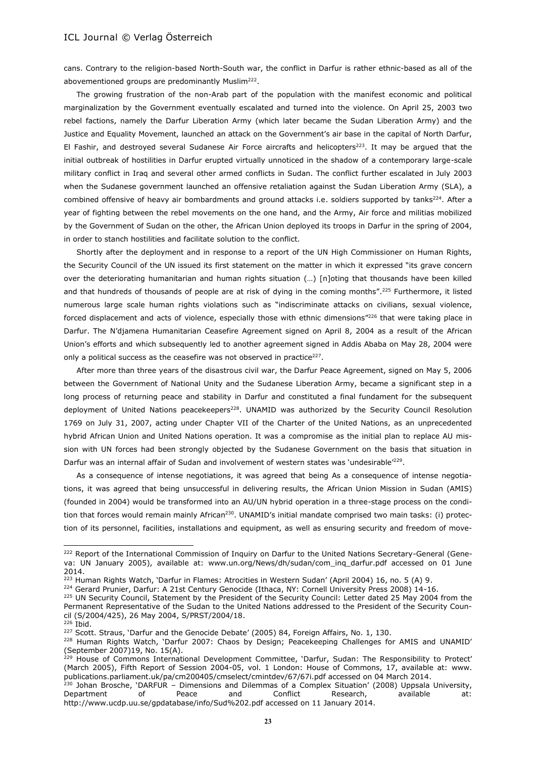cans. Contrary to the religion-based North-South war, the conflict in Darfur is rather ethnic-based as all of the abovementioned groups are predominantly Muslim<sup>222</sup>.

The growing frustration of the non-Arab part of the population with the manifest economic and political marginalization by the Government eventually escalated and turned into the violence. On April 25, 2003 two rebel factions, namely the Darfur Liberation Army (which later became the Sudan Liberation Army) and the Justice and Equality Movement, launched an attack on the Government's air base in the capital of North Darfur, El Fashir, and destroyed several Sudanese Air Force aircrafts and helicopters<sup>223</sup>. It may be argued that the initial outbreak of hostilities in Darfur erupted virtually unnoticed in the shadow of a contemporary large-scale military conflict in Iraq and several other armed conflicts in Sudan. The conflict further escalated in July 2003 when the Sudanese government launched an offensive retaliation against the Sudan Liberation Army (SLA), a combined offensive of heavy air bombardments and ground attacks i.e. soldiers supported by tanks<sup>224</sup>. After a year of fighting between the rebel movements on the one hand, and the Army, Air force and militias mobilized by the Government of Sudan on the other, the African Union deployed its troops in Darfur in the spring of 2004, in order to stanch hostilities and facilitate solution to the conflict.

Shortly after the deployment and in response to a report of the UN High Commissioner on Human Rights, the Security Council of the UN issued its first statement on the matter in which it expressed "its grave concern over the deteriorating humanitarian and human rights situation (…) [n]oting that thousands have been killed and that hundreds of thousands of people are at risk of dying in the coming months".<sup>225</sup> Furthermore, it listed numerous large scale human rights violations such as "indiscriminate attacks on civilians, sexual violence, forced displacement and acts of violence, especially those with ethnic dimensions"<sup>226</sup> that were taking place in Darfur. The N'diamena Humanitarian Ceasefire Agreement signed on April 8, 2004 as a result of the African Union's efforts and which subsequently led to another agreement signed in Addis Ababa on May 28, 2004 were only a political success as the ceasefire was not observed in practice $^{227}$ .

After more than three years of the disastrous civil war, the Darfur Peace Agreement, signed on May 5, 2006 between the Government of National Unity and the Sudanese Liberation Army, became a significant step in a long process of returning peace and stability in Darfur and constituted a final fundament for the subsequent deployment of United Nations peacekeepers<sup>228</sup>. UNAMID was authorized by the Security Council Resolution 1769 on July 31, 2007, acting under Chapter VII of the Charter of the United Nations, as an unprecedented hybrid African Union and United Nations operation. It was a compromise as the initial plan to replace AU mission with UN forces had been strongly objected by the Sudanese Government on the basis that situation in Darfur was an internal affair of Sudan and involvement of western states was 'undesirable'<sup>229</sup>.

As a consequence of intense negotiations, it was agreed that being As a consequence of intense negotiations, it was agreed that being unsuccessful in delivering results, the African Union Mission in Sudan (AMIS) (founded in 2004) would be transformed into an AU/UN hybrid operation in a three-stage process on the condition that forces would remain mainly African<sup>230</sup>. UNAMID's initial mandate comprised two main tasks: (i) protection of its personnel, facilities, installations and equipment, as well as ensuring security and freedom of move-

<sup>224</sup> Gerard Prunier, Darfur: A 21st Century Genocide (Ithaca, NY: Cornell University Press 2008) 14-16.

l

<sup>&</sup>lt;sup>222</sup> Report of the International Commission of Inquiry on Darfur to the United Nations Secretary-General (Geneva: UN January 2005), available at: www.un.org/News/dh/sudan/com\_inq\_darfur.pdf accessed on 01 June 2014.

<sup>&</sup>lt;sup>223</sup> Human Rights Watch, 'Darfur in Flames: Atrocities in Western Sudan' (April 2004) 16, no. 5 (A) 9.

<sup>&</sup>lt;sup>225</sup> UN Security Council, Statement by the President of the Security Council: Letter dated 25 May 2004 from the Permanent Representative of the Sudan to the United Nations addressed to the President of the Security Council (S/2004/425), 26 May 2004, S/PRST/2004/18.

<sup>226</sup> Ibid.

<sup>&</sup>lt;sup>227</sup> Scott. Straus, 'Darfur and the Genocide Debate' (2005) 84, Foreign Affairs, No. 1, 130.

<sup>&</sup>lt;sup>228</sup> Human Rights Watch, 'Darfur 2007: Chaos by Design; Peacekeeping Challenges for AMIS and UNAMID' (September 2007)19, No. 15(A).

<sup>&</sup>lt;sup>229</sup> House of Commons International Development Committee, 'Darfur, Sudan: The Responsibility to Protect' (March 2005), Fifth Report of Session 2004-05, vol. 1 London: House of Commons, 17, available at: www. publications.parliament.uk/pa/cm200405/cmselect/cmintdev/67/67i.pdf accessed on 04 March 2014.

<sup>&</sup>lt;sup>230</sup> Johan Brosche, 'DARFUR – Dimensions and Dilemmas of a Complex Situation' (2008) Uppsala University, Department of Peace and Conflict Research, available at: http://www.ucdp.uu.se/gpdatabase/info/Sud%202.pdf accessed on 11 January 2014.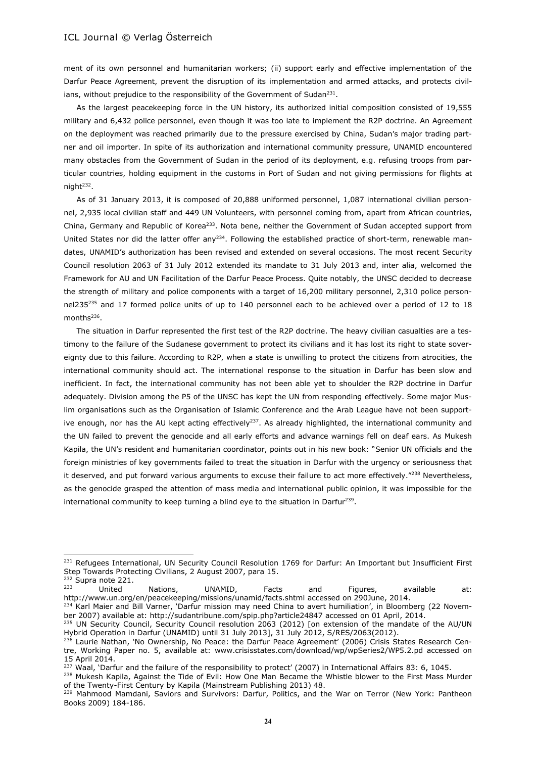ment of its own personnel and humanitarian workers; (ii) support early and effective implementation of the Darfur Peace Agreement, prevent the disruption of its implementation and armed attacks, and protects civilians, without prejudice to the responsibility of the Government of Sudan<sup>231</sup>.

As the largest peacekeeping force in the UN history, its authorized initial composition consisted of 19,555 military and 6,432 police personnel, even though it was too late to implement the R2P doctrine. An Agreement on the deployment was reached primarily due to the pressure exercised by China, Sudan's major trading partner and oil importer. In spite of its authorization and international community pressure, UNAMID encountered many obstacles from the Government of Sudan in the period of its deployment, e.g. refusing troops from particular countries, holding equipment in the customs in Port of Sudan and not giving permissions for flights at night<sup>232</sup>.

As of 31 January 2013, it is composed of 20,888 uniformed personnel, 1,087 international civilian personnel, 2,935 local civilian staff and 449 UN Volunteers, with personnel coming from, apart from African countries, China, Germany and Republic of Korea<sup>233</sup>. Nota bene, neither the Government of Sudan accepted support from United States nor did the latter offer any<sup>234</sup>. Following the established practice of short-term, renewable mandates, UNAMID's authorization has been revised and extended on several occasions. The most recent Security Council resolution 2063 of 31 July 2012 extended its mandate to 31 July 2013 and, inter alia, welcomed the Framework for AU and UN Facilitation of the Darfur Peace Process. Quite notably, the UNSC decided to decrease the strength of military and police components with a target of 16,200 military personnel, 2,310 police personnel235<sup>235</sup> and 17 formed police units of up to 140 personnel each to be achieved over a period of 12 to 18 months<sup>236</sup>.

The situation in Darfur represented the first test of the R2P doctrine. The heavy civilian casualties are a testimony to the failure of the Sudanese government to protect its civilians and it has lost its right to state sovereignty due to this failure. According to R2P, when a state is unwilling to protect the citizens from atrocities, the international community should act. The international response to the situation in Darfur has been slow and inefficient. In fact, the international community has not been able yet to shoulder the R2P doctrine in Darfur adequately. Division among the P5 of the UNSC has kept the UN from responding effectively. Some major Muslim organisations such as the Organisation of Islamic Conference and the Arab League have not been supportive enough, nor has the AU kept acting effectively<sup>237</sup>. As already highlighted, the international community and the UN failed to prevent the genocide and all early efforts and advance warnings fell on deaf ears. As Mukesh Kapila, the UN's resident and humanitarian coordinator, points out in his new book: "Senior UN officials and the foreign ministries of key governments failed to treat the situation in Darfur with the urgency or seriousness that it deserved, and put forward various arguments to excuse their failure to act more effectively."<sup>238</sup> Nevertheless, as the genocide grasped the attention of mass media and international public opinion, it was impossible for the international community to keep turning a blind eye to the situation in Darfur<sup>239</sup>.

<sup>&</sup>lt;sup>231</sup> Refugees International, UN Security Council Resolution 1769 for Darfur: An Important but Insufficient First Step Towards Protecting Civilians, 2 August 2007, para 15.

 $\frac{232}{233}$  Supra note 221.

<sup>&</sup>lt;sup>233</sup> United Nations, UNAMID, Facts and Figures, available at: http://www.un.org/en/peacekeeping/missions/unamid/facts.shtml accessed on 290June, 2014.

<sup>&</sup>lt;sup>234</sup> Karl Maier and Bill Varner, 'Darfur mission may need China to avert humiliation', in Bloomberg (22 November 2007) available at: http://sudantribune.com/spip.php?article24847 accessed on 01 April, 2014. <sup>235</sup> UN Security Council, Security Council resolution 2063 (2012) [on extension of the mandate of the AU/UN

Hybrid Operation in Darfur (UNAMID) until 31 July 2013], 31 July 2012, S/RES/2063(2012).

<sup>&</sup>lt;sup>236</sup> Laurie Nathan, 'No Ownership, No Peace: the Darfur Peace Agreement' (2006) Crisis States Research Centre, Working Paper no. 5, available at: www.crisisstates.com/download/wp/wpSeries2/WP5.2.pd accessed on 15 April 2014.

<sup>&</sup>lt;sup>237</sup> Waal, 'Darfur and the failure of the responsibility to protect' (2007) in International Affairs 83: 6, 1045.

<sup>&</sup>lt;sup>238</sup> Mukesh Kapila, Against the Tide of Evil: How One Man Became the Whistle blower to the First Mass Murder of the Twenty-First Century by Kapila (Mainstream Publishing 2013) 48.

<sup>&</sup>lt;sup>239</sup> Mahmood Mamdani, Saviors and Survivors: Darfur, Politics, and the War on Terror (New York: Pantheon Books 2009) 184-186.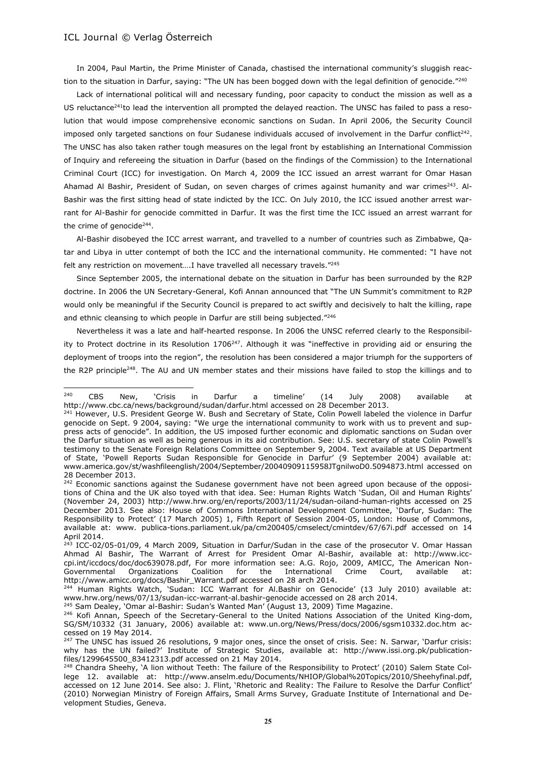In 2004, Paul Martin, the Prime Minister of Canada, chastised the international community's sluggish reaction to the situation in Darfur, saying: "The UN has been bogged down with the legal definition of genocide."<sup>240</sup>

Lack of international political will and necessary funding, poor capacity to conduct the mission as well as a US reluctance<sup>241</sup>to lead the intervention all prompted the delayed reaction. The UNSC has failed to pass a resolution that would impose comprehensive economic sanctions on Sudan. In April 2006, the Security Council imposed only targeted sanctions on four Sudanese individuals accused of involvement in the Darfur conflict<sup>242</sup>. The UNSC has also taken rather tough measures on the legal front by establishing an International Commission of Inquiry and refereeing the situation in Darfur (based on the findings of the Commission) to the International Criminal Court (ICC) for investigation. On March 4, 2009 the ICC issued an arrest warrant for Omar Hasan Ahamad Al Bashir, President of Sudan, on seven charges of crimes against humanity and war crimes<sup>243</sup>. Al-Bashir was the first sitting head of state indicted by the ICC. On July 2010, the ICC issued another arrest warrant for Al-Bashir for genocide committed in Darfur. It was the first time the ICC issued an arrest warrant for the crime of genocide $^{244}$ .

Al-Bashir disobeyed the ICC arrest warrant, and travelled to a number of countries such as Zimbabwe, Qatar and Libya in utter contempt of both the ICC and the international community. He commented: "I have not felt any restriction on movement….I have travelled all necessary travels."<sup>245</sup>

Since September 2005, the international debate on the situation in Darfur has been surrounded by the R2P doctrine. In 2006 the UN Secretary-General, Kofi Annan announced that "The UN Summit's commitment to R2P would only be meaningful if the Security Council is prepared to act swiftly and decisively to halt the killing, rape and ethnic cleansing to which people in Darfur are still being subjected."<sup>246</sup>

Nevertheless it was a late and half-hearted response. In 2006 the UNSC referred clearly to the Responsibility to Protect doctrine in its Resolution  $1706^{247}$ . Although it was "ineffective in providing aid or ensuring the deployment of troops into the region", the resolution has been considered a major triumph for the supporters of the R2P principle<sup>248</sup>. The AU and UN member states and their missions have failed to stop the killings and to

<sup>245</sup> Sam Dealey, 'Omar al-Bashir: Sudan's Wanted Man' (August 13, 2009) Time Magazine.

 $240$ <sup>240</sup> CBS New, `Crisis in Darfur a timeline' (14 July 2008) available at http://www.cbc.ca/news/background/sudan/darfur.html accessed on 28 December 2013.

<sup>&</sup>lt;sup>241</sup> However, U.S. President George W. Bush and Secretary of State, Colin Powell labeled the violence in Darfur genocide on Sept. 9 2004, saying: "We urge the international community to work with us to prevent and suppress acts of genocide". In addition, the US imposed further economic and diplomatic sanctions on Sudan over the Darfur situation as well as being generous in its aid contribution. See: U.S. secretary of state Colin Powell's testimony to the Senate Foreign Relations Committee on September 9, 2004. Text available at US Department of State, 'Powell Reports Sudan Responsible for Genocide in Darfur' (9 September 2004) available at: www.america.gov/st/washfileenglish/2004/September/20040909115958JTgnilwoD0.5094873.html accessed on 28 December 2013.

<sup>&</sup>lt;sup>242</sup> Economic sanctions against the Sudanese government have not been agreed upon because of the oppositions of China and the UK also toyed with that idea. See: Human Rights Watch 'Sudan, Oil and Human Rights' (November 24, 2003) http://www.hrw.org/en/reports/2003/11/24/sudan-oiland-human-rights accessed on 25 December 2013. See also: House of Commons International Development Committee, 'Darfur, Sudan: The Responsibility to Protect' (17 March 2005) 1, Fifth Report of Session 2004-05, London: House of Commons, available at: www. publica-tions.parliament.uk/pa/cm200405/cmselect/cmintdev/67/67i.pdf accessed on 14 April 2014.

<sup>&</sup>lt;sup>243</sup> ICC-02/05-01/09, 4 March 2009, Situation in Darfur/Sudan in the case of the prosecutor V. Omar Hassan Ahmad Al Bashir, The Warrant of Arrest for President Omar Al-Bashir, available at: http://www.icccpi.int/iccdocs/doc/doc639078.pdf, For more information see: A.G. Rojo, 2009, AMICC, The American Non-Governmental Organizations Coalition for the International Crime Court, available at: http://www.amicc.org/docs/Bashir\_Warrant.pdf accessed on 28 arch 2014.

<sup>&</sup>lt;sup>244</sup> Human Rights Watch, 'Sudan: ICC Warrant for Al.Bashir on Genocide' (13 July 2010) available at: www.hrw.org/news/07/13/sudan-icc-warrant-al.bashir-genocide accessed on 28 arch 2014.

<sup>&</sup>lt;sup>246</sup> Kofi Annan, Speech of the Secretary-General to the United Nations Association of the United King-dom, SG/SM/10332 (31 January, 2006) available at: www.un.org/News/Press/docs/2006/sgsm10332.doc.htm accessed on 19 May 2014.

<sup>&</sup>lt;sup>247</sup> The UNSC has issued 26 resolutions, 9 major ones, since the onset of crisis. See: N. Sarwar, 'Darfur crisis: why has the UN failed?' Institute of Strategic Studies, available at: http://www.issi.org.pk/publicationfiles/1299645500\_83412313.pdf accessed on 21 May 2014.

<sup>&</sup>lt;sup>248</sup> Chandra Sheehy, 'A lion without Teeth: The failure of the Responsibility to Protect' (2010) Salem State College 12. available at: http://www.anselm.edu/Documents/NHIOP/Global%20Topics/2010/Sheehyfinal.pdf, accessed on 12 June 2014. See also: J. Flint, 'Rhetoric and Reality: The Failure to Resolve the Darfur Conflict' (2010) Norwegian Ministry of Foreign Affairs, Small Arms Survey, Graduate Institute of International and Development Studies, Geneva.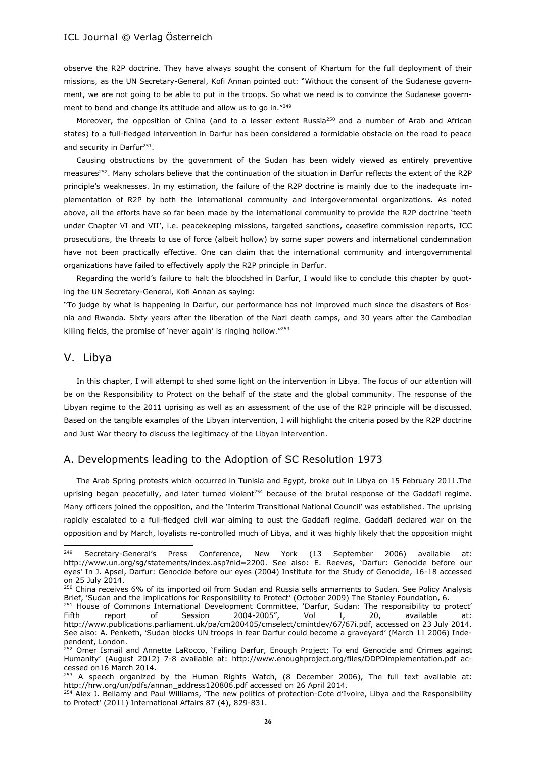observe the R2P doctrine. They have always sought the consent of Khartum for the full deployment of their missions, as the UN Secretary-General, Kofi Annan pointed out: "Without the consent of the Sudanese government, we are not going to be able to put in the troops. So what we need is to convince the Sudanese government to bend and change its attitude and allow us to go in."249

Moreover, the opposition of China (and to a lesser extent Russia<sup>250</sup> and a number of Arab and African states) to a full-fledged intervention in Darfur has been considered a formidable obstacle on the road to peace and security in Darfur<sup>251</sup>.

Causing obstructions by the government of the Sudan has been widely viewed as entirely preventive measures<sup>252</sup>. Many scholars believe that the continuation of the situation in Darfur reflects the extent of the R2P principle's weaknesses. In my estimation, the failure of the R2P doctrine is mainly due to the inadequate implementation of R2P by both the international community and intergovernmental organizations. As noted above, all the efforts have so far been made by the international community to provide the R2P doctrine 'teeth under Chapter VI and VII', i.e. peacekeeping missions, targeted sanctions, ceasefire commission reports, ICC prosecutions, the threats to use of force (albeit hollow) by some super powers and international condemnation have not been practically effective. One can claim that the international community and intergovernmental organizations have failed to effectively apply the R2P principle in Darfur.

Regarding the world's failure to halt the bloodshed in Darfur, I would like to conclude this chapter by quoting the UN Secretary-General, Kofi Annan as saying:

"To judge by what is happening in Darfur, our performance has not improved much since the disasters of Bosnia and Rwanda. Sixty years after the liberation of the Nazi death camps, and 30 years after the Cambodian killing fields, the promise of 'never again' is ringing hollow."<sup>253</sup>

# V. Libya

l

In this chapter, I will attempt to shed some light on the intervention in Libya. The focus of our attention will be on the Responsibility to Protect on the behalf of the state and the global community. The response of the Libyan regime to the 2011 uprising as well as an assessment of the use of the R2P principle will be discussed. Based on the tangible examples of the Libyan intervention, I will highlight the criteria posed by the R2P doctrine and Just War theory to discuss the legitimacy of the Libyan intervention.

#### A. Developments leading to the Adoption of SC Resolution 1973

The Arab Spring protests which occurred in Tunisia and Egypt, broke out in Libya on 15 February 2011.The uprising began peacefully, and later turned violent<sup>254</sup> because of the brutal response of the Gaddafi regime. Many officers joined the opposition, and the 'Interim Transitional National Council' was established. The uprising rapidly escalated to a full-fledged civil war aiming to oust the Gaddafi regime. Gaddafi declared war on the opposition and by March, loyalists re-controlled much of Libya, and it was highly likely that the opposition might

 $249$  Secretary-General's Press Conference, New York (13 September 2006) available at: http://www.un.org/sg/statements/index.asp?nid=2200. See also: E. Reeves, 'Darfur: Genocide before our eyes' In J. Apsel, Darfur: Genocide before our eyes (2004) Institute for the Study of Genocide, 16-18 accessed on 25 July 2014.

<sup>250</sup> China receives 6% of its imported oil from Sudan and Russia sells armaments to Sudan. See Policy Analysis Brief, 'Sudan and the implications for Responsibility to Protect' (October 2009) The Stanley Foundation, 6.

<sup>&</sup>lt;sup>251</sup> House of Commons International Development Committee, 'Darfur, Sudan: The responsibility to protect' Fifth report of Session 2004-2005", Vol I, 20, available at: http://www.publications.parliament.uk/pa/cm200405/cmselect/cmintdev/67/67i.pdf, accessed on 23 July 2014. See also: A. Penketh, 'Sudan blocks UN troops in fear Darfur could become a graveyard' (March 11 2006) Independent, London.

<sup>&</sup>lt;sup>252</sup> Omer Ismail and Annette LaRocco, 'Failing Darfur, Enough Project; To end Genocide and Crimes against Humanity' (August 2012) 7-8 available at: http://www.enoughproject.org/files/DDPDimplementation.pdf accessed on16 March 2014.

<sup>253</sup> A speech organized by the Human Rights Watch, (8 December 2006), The full text available at: http://hrw.org/un/pdfs/annan\_address120806.pdf accessed on 26 April 2014.

<sup>&</sup>lt;sup>254</sup> Alex J. Bellamy and Paul Williams, 'The new politics of protection-Cote d'Ivoire, Libya and the Responsibility to Protect' (2011) International Affairs 87 (4), 829-831.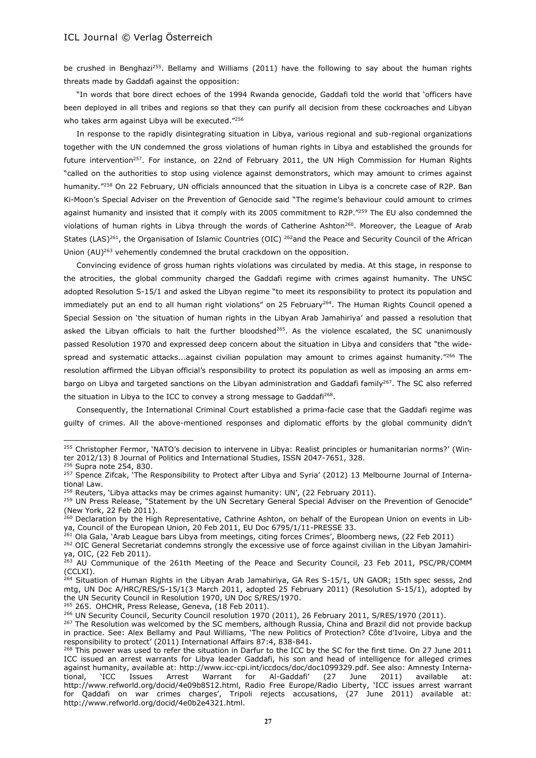be crushed in Benghazi<sup>255</sup>. Bellamy and Williams (2011) have the following to say about the human rights threats made by Gaddafi against the opposition:

"In words that bore direct echoes of the 1994 Rwanda genocide, Gaddafi told the world that 'officers have been deployed in all tribes and regions so that they can purify all decision from these cockroaches and Libyan who takes arm against Libya will be executed."<sup>256</sup>

In response to the rapidly disintegrating situation in Libya, various regional and sub-regional organizations together with the UN condemned the gross violations of human rights in Libya and established the grounds for future intervention<sup>257</sup>. For instance, on 22nd of February 2011, the UN High Commission for Human Rights "called on the authorities to stop using violence against demonstrators, which may amount to crimes against humanity."<sup>258</sup> On 22 February, UN officials announced that the situation in Libya is a concrete case of R2P. Ban Ki-Moon's Special Adviser on the Prevention of Genocide said "The regime's behaviour could amount to crimes against humanity and insisted that it comply with its 2005 commitment to R2P."<sup>259</sup> The EU also condemned the violations of human rights in Libya through the words of Catherine Ashton<sup>260</sup>. Moreover, the League of Arab States (LAS)<sup>261</sup>, the Organisation of Islamic Countries (OIC) <sup>262</sup>and the Peace and Security Council of the African Union  $(AU)^{263}$  vehemently condemned the brutal crackdown on the opposition.

Convincing evidence of gross human rights violations was circulated by media. At this stage, in response to the atrocities, the global community charged the Gaddafi regime with crimes against humanity. The UNSC adopted Resolution S-15/1 and asked the Libyan regime "to meet its responsibility to protect its population and immediately put an end to all human right violations" on 25 February<sup>264</sup>. The Human Rights Council opened a Special Session on 'the situation of human rights in the Libyan Arab Jamahiriya' and passed a resolution that asked the Libyan officials to halt the further bloodshed<sup>265</sup>. As the violence escalated, the SC unanimously passed Resolution 1970 and expressed deep concern about the situation in Libya and considers that "the widespread and systematic attacks...against civilian population may amount to crimes against humanity."<sup>266</sup> The resolution affirmed the Libyan official's responsibility to protect its population as well as imposing an arms embargo on Libya and targeted sanctions on the Libyan administration and Gaddafi family<sup>267</sup>. The SC also referred the situation in Libya to the ICC to convey a strong message to Gaddafi<sup>268</sup>.

Consequently, the International Criminal Court established a prima-facie case that the Gaddafi regime was guilty of crimes. All the above-mentioned responses and diplomatic efforts by the global community didn't

 $\overline{a}$ 

<sup>265</sup> 265. OHCHR, Press Release, Geneva, (18 Feb 2011).

<sup>&</sup>lt;sup>255</sup> Christopher Fermor, 'NATO's decision to intervene in Libya: Realist principles or humanitarian norms?' (Winter 2012/13) 8 Journal of Politics and International Studies, ISSN 2047-7651, 328.

<sup>&</sup>lt;sup>256</sup> Supra note 254, 830.

<sup>&</sup>lt;sup>257</sup> Spence Zifcak, 'The Responsibility to Protect after Libya and Syria' (2012) 13 Melbourne Journal of International Law.

 $258$  Reuters, 'Libya attacks may be crimes against humanity: UN', (22 February 2011).

<sup>&</sup>lt;sup>259</sup> UN Press Release, "Statement by the UN Secretary General Special Adviser on the Prevention of Genocide" (New York, 22 Feb 2011).

<sup>260</sup> Declaration by the High Representative, Cathrine Ashton, on behalf of the European Union on events in Libya, Council of the European Union, 20 Feb 2011, EU Doc 6795/1/11-PRESSE 33.

<sup>&</sup>lt;sup>261</sup> Ola Gala, `Arab League bars Libya from meetings, citing forces Crimes', Bloomberg news, (22 Feb 2011)

<sup>&</sup>lt;sup>262</sup> OIC General Secretariat condemns strongly the excessive use of force against civilian in the Libyan Jamahiriya, OIC, (22 Feb 2011).

<sup>&</sup>lt;sup>263</sup> AU Communique of the 261th Meeting of the Peace and Security Council, 23 Feb 2011, PSC/PR/COMM (CCLXI).

<sup>&</sup>lt;sup>264</sup> Situation of Human Rights in the Libyan Arab Jamahiriya, GA Res S-15/1, UN GAOR; 15th spec sesss, 2nd mtg, UN Doc A/HRC/RES/S-15/1(3 March 2011, adopted 25 February 2011) (Resolution S-15/1), adopted by the UN Security Council in Resolution 1970, UN Doc S/RES/1970.

<sup>&</sup>lt;sup>266</sup> UN Security Council, Security Council resolution 1970 (2011), 26 February 2011, S/RES/1970 (2011).

<sup>&</sup>lt;sup>267</sup> The Resolution was welcomed by the SC members, although Russia, China and Brazil did not provide backup in practice. See: Alex Bellamy and Paul Williams, 'The new Politics of Protection? Côte d'Ivoire, Libya and the responsibility to protect' (2011) International Affairs 87:4, 838-841.

<sup>&</sup>lt;sup>268</sup> This power was used to refer the situation in Darfur to the ICC by the SC for the first time. On 27 June 2011 ICC issued an arrest warrants for Libya leader Gaddafi, his son and head of intelligence for alleged crimes against humanity, available at: http://www.icc-cpi.int/iccdocs/doc/doc1099329.pdf. See also: Amnesty International, 'ICC Issues Arrest Warrant for Al-Gaddafi' (27 June 2011) available at: http://www.refworld.org/docid/4e09b8512.html, Radio Free Europe/Radio Liberty, 'ICC issues arrest warrant for Qaddafi on war crimes charges', Tripoli rejects accusations, (27 June 2011) available at: http://www.refworld.org/docid/4e0b2e4321.html.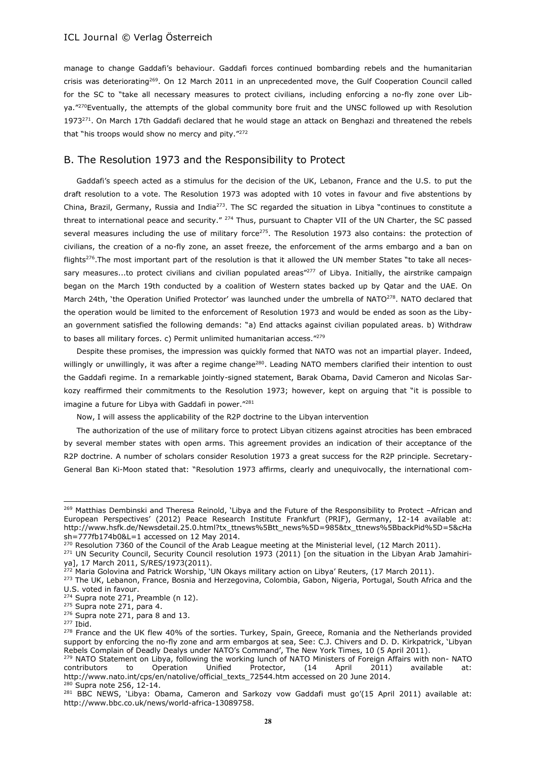manage to change Gaddafi's behaviour. Gaddafi forces continued bombarding rebels and the humanitarian crisis was deteriorating<sup>269</sup>. On 12 March 2011 in an unprecedented move, the Gulf Cooperation Council called for the SC to "take all necessary measures to protect civilians, including enforcing a no-fly zone over Libya."<sup>270</sup>Eventually, the attempts of the global community bore fruit and the UNSC followed up with Resolution 1973<sup>271</sup>. On March 17th Gaddafi declared that he would stage an attack on Benghazi and threatened the rebels that "his troops would show no mercy and pity."272

# B. The Resolution 1973 and the Responsibility to Protect

Gaddafi's speech acted as a stimulus for the decision of the UK, Lebanon, France and the U.S. to put the draft resolution to a vote. The Resolution 1973 was adopted with 10 votes in favour and five abstentions by China, Brazil, Germany, Russia and India<sup>273</sup>. The SC regarded the situation in Libya "continues to constitute a threat to international peace and security." <sup>274</sup> Thus, pursuant to Chapter VII of the UN Charter, the SC passed several measures including the use of military force<sup>275</sup>. The Resolution 1973 also contains: the protection of civilians, the creation of a no-fly zone, an asset freeze, the enforcement of the arms embargo and a ban on flights<sup>276</sup>. The most important part of the resolution is that it allowed the UN member States "to take all necessary measures...to protect civilians and civilian populated areas"<sup>277</sup> of Libya. Initially, the airstrike campaign began on the March 19th conducted by a coalition of Western states backed up by Qatar and the UAE. On March 24th, 'the Operation Unified Protector' was launched under the umbrella of NATO<sup>278</sup>. NATO declared that the operation would be limited to the enforcement of Resolution 1973 and would be ended as soon as the Libyan government satisfied the following demands: "a) End attacks against civilian populated areas. b) Withdraw to bases all military forces. c) Permit unlimited humanitarian access."<sup>279</sup>

Despite these promises, the impression was quickly formed that NATO was not an impartial player. Indeed, willingly or unwillingly, it was after a regime change<sup>280</sup>. Leading NATO members clarified their intention to oust the Gaddafi regime. In a remarkable jointly-signed statement, Barak Obama, David Cameron and Nicolas Sarkozy reaffirmed their commitments to the Resolution 1973; however, kept on arguing that "it is possible to imagine a future for Libya with Gaddafi in power."<sup>281</sup>

Now, I will assess the applicability of the R2P doctrine to the Libyan intervention

The authorization of the use of military force to protect Libyan citizens against atrocities has been embraced by several member states with open arms. This agreement provides an indication of their acceptance of the R2P doctrine. A number of scholars consider Resolution 1973 a great success for the R2P principle. Secretary-General Ban Ki-Moon stated that: "Resolution 1973 affirms, clearly and unequivocally, the international com-

<sup>&</sup>lt;sup>269</sup> Matthias Dembinski and Theresa Reinold, 'Libya and the Future of the Responsibility to Protect -African and European Perspectives' (2012) Peace Research Institute Frankfurt (PRIF), Germany, 12-14 available at: http://www.hsfk.de/Newsdetail.25.0.html?tx\_ttnews%5Btt\_news%5D=985&tx\_ttnews%5BbackPid%5D=5&cHa sh=777fb174b0&L=1 accessed on 12 May 2014.

<sup>&</sup>lt;sup>270</sup> Resolution 7360 of the Council of the Arab League meeting at the Ministerial level, (12 March 2011).

<sup>&</sup>lt;sup>271</sup> UN Security Council, Security Council resolution 1973 (2011) [on the situation in the Libyan Arab Jamahiriya], 17 March 2011, S/RES/1973(2011).

<sup>272</sup> Maria Golovina and Patrick Worship, 'UN Okays military action on Libya' Reuters, (17 March 2011).

<sup>&</sup>lt;sup>273</sup> The UK, Lebanon, France, Bosnia and Herzegovina, Colombia, Gabon, Nigeria, Portugal, South Africa and the U.S. voted in favour.

<sup>&</sup>lt;sup>274</sup> Supra note 271, Preamble (n 12).

<sup>&</sup>lt;sup>275</sup> Supra note 271, para 4.

<sup>276</sup> Supra note 271, para 8 and 13.

<sup>277</sup> Ibid.

<sup>&</sup>lt;sup>278</sup> France and the UK flew 40% of the sorties. Turkey, Spain, Greece, Romania and the Netherlands provided support by enforcing the no-fly zone and arm embargos at sea, See: C.J. Chivers and D. D. Kirkpatrick, 'Libyan Rebels Complain of Deadly Dealys under NATO's Command', The New York Times, 10 (5 April 2011).

<sup>&</sup>lt;sup>279</sup> NATO Statement on Libya, following the working lunch of NATO Ministers of Foreign Affairs with non- NATO contributors to Operation Unified Protector,  $(14 \text{ April} 2011)$  available at: contributors to Operation Unified Protector, (14 April 2011) available at: http://www.nato.int/cps/en/natolive/official\_texts\_72544.htm accessed on 20 June 2014. <sup>280</sup> Supra note 256, 12-14.

<sup>&</sup>lt;sup>281</sup> BBC NEWS, 'Libya: Obama, Cameron and Sarkozy vow Gaddafi must go'(15 April 2011) available at: http://www.bbc.co.uk/news/world-africa-13089758.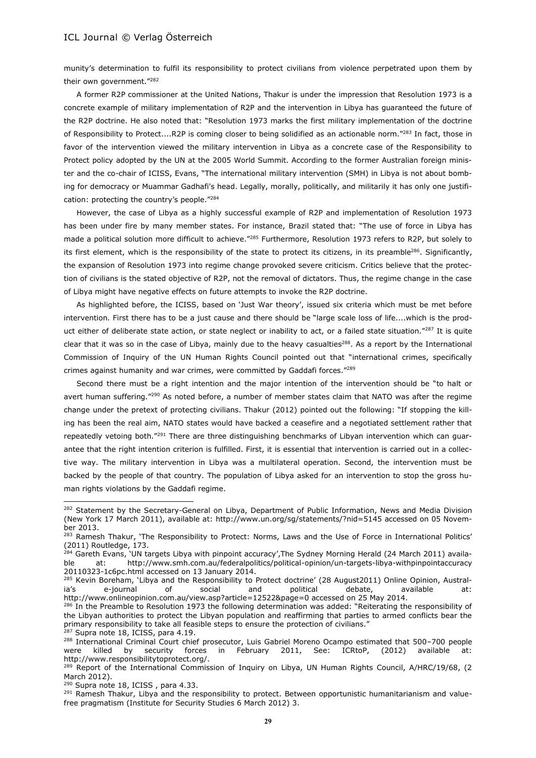munity's determination to fulfil its responsibility to protect civilians from violence perpetrated upon them by their own government."<sup>282</sup>

A former R2P commissioner at the United Nations, Thakur is under the impression that Resolution 1973 is a concrete example of military implementation of R2P and the intervention in Libya has guaranteed the future of the R2P doctrine. He also noted that: "Resolution 1973 marks the first military implementation of the doctrine of Responsibility to Protect....R2P is coming closer to being solidified as an actionable norm."<sup>283</sup> In fact, those in favor of the intervention viewed the military intervention in Libya as a concrete case of the Responsibility to Protect policy adopted by the UN at the 2005 World Summit. According to the former Australian foreign minister and the co-chair of ICISS, Evans, "The international military intervention (SMH) in Libya is not about bombing for democracy or Muammar Gadhafi's head. Legally, morally, politically, and militarily it has only one justification: protecting the country's people."<sup>284</sup>

However, the case of Libya as a highly successful example of R2P and implementation of Resolution 1973 has been under fire by many member states. For instance, Brazil stated that: "The use of force in Libya has made a political solution more difficult to achieve."<sup>285</sup> Furthermore, Resolution 1973 refers to R2P, but solely to its first element, which is the responsibility of the state to protect its citizens, in its preamble<sup>286</sup>. Significantly, the expansion of Resolution 1973 into regime change provoked severe criticism. Critics believe that the protection of civilians is the stated objective of R2P, not the removal of dictators. Thus, the regime change in the case of Libya might have negative effects on future attempts to invoke the R2P doctrine.

As highlighted before, the ICISS, based on 'Just War theory', issued six criteria which must be met before intervention. First there has to be a just cause and there should be "large scale loss of life....which is the product either of deliberate state action, or state neglect or inability to act, or a failed state situation."<sup>287</sup> It is quite clear that it was so in the case of Libya, mainly due to the heavy casualties<sup>288</sup>. As a report by the International Commission of Inquiry of the UN Human Rights Council pointed out that "international crimes, specifically crimes against humanity and war crimes, were committed by Gaddafi forces."<sup>289</sup>

Second there must be a right intention and the major intention of the intervention should be "to halt or avert human suffering."<sup>290</sup> As noted before, a number of member states claim that NATO was after the regime change under the pretext of protecting civilians. Thakur (2012) pointed out the following: "If stopping the killing has been the real aim, NATO states would have backed a ceasefire and a negotiated settlement rather that repeatedly vetoing both."<sup>291</sup> There are three distinguishing benchmarks of Libyan intervention which can guarantee that the right intention criterion is fulfilled. First, it is essential that intervention is carried out in a collective way. The military intervention in Libya was a multilateral operation. Second, the intervention must be backed by the people of that country. The population of Libya asked for an intervention to stop the gross human rights violations by the Gaddafi regime.

 $\overline{a}$ 

 $290$  Supra note 18, ICISS, para 4.33.

<sup>&</sup>lt;sup>282</sup> Statement by the Secretary-General on Libya, Department of Public Information, News and Media Division (New York 17 March 2011), available at: http://www.un.org/sg/statements/?nid=5145 accessed on 05 November 2013.

<sup>&</sup>lt;sup>283</sup> Ramesh Thakur, 'The Responsibility to Protect: Norms, Laws and the Use of Force in International Politics' (2011) Routledge, 173.

<sup>&</sup>lt;sup>284</sup> Gareth Evans, 'UN targets Libya with pinpoint accuracy', The Sydney Morning Herald (24 March 2011) availaat: http://www.smh.com.au/federalpolitics/political-opinion/un-targets-libya-withpinpointaccuracy 20110323-1c6pc.html accessed on 13 January 2014.

<sup>285</sup> Kevin Boreham, 'Libya and the Responsibility to Protect doctrine' (28 August2011) Online Opinion, Australia's e-journal of social and political debate, available at: http://www.onlineopinion.com.au/view.asp?article=12522&page=0 accessed on 25 May 2014.

<sup>&</sup>lt;sup>286</sup> In the Preamble to Resolution 1973 the following determination was added: "Reiterating the responsibility of the Libyan authorities to protect the Libyan population and reaffirming that parties to armed conflicts bear the primary responsibility to take all feasible steps to ensure the protection of civilians."

<sup>&</sup>lt;sup>287</sup> Supra note 18, ICISS, para 4.19.

<sup>&</sup>lt;sup>288</sup> International Criminal Court chief prosecutor, Luis Gabriel Moreno Ocampo estimated that 500-700 people were killed by security forces in February 2011, See: ICRtoP, (2012) available at: http://www.responsibilitytoprotect.org/.

<sup>&</sup>lt;sup>289</sup> Report of the International Commission of Inquiry on Libya, UN Human Rights Council, A/HRC/19/68, (2 March 2012).

<sup>&</sup>lt;sup>291</sup> Ramesh Thakur, Libya and the responsibility to protect. Between opportunistic humanitarianism and valuefree pragmatism (Institute for Security Studies 6 March 2012) 3.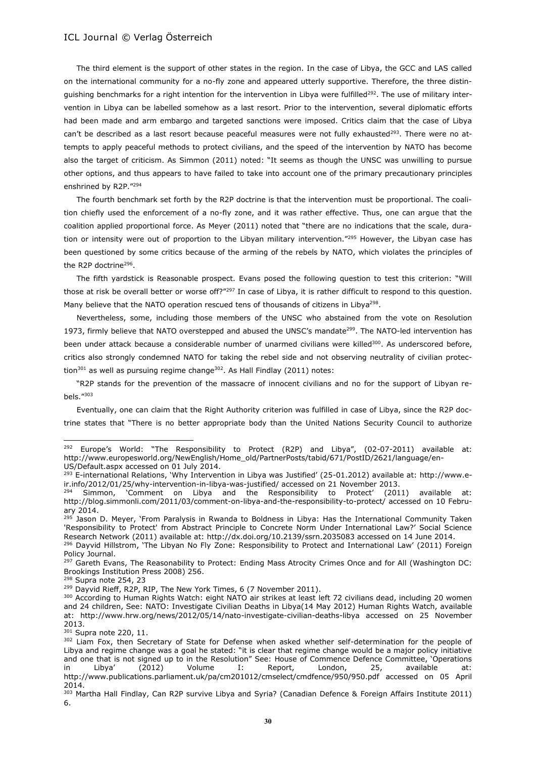The third element is the support of other states in the region. In the case of Libya, the GCC and LAS called on the international community for a no-fly zone and appeared utterly supportive. Therefore, the three distinquishing benchmarks for a right intention for the intervention in Libya were fulfilled<sup>292</sup>. The use of military intervention in Libya can be labelled somehow as a last resort. Prior to the intervention, several diplomatic efforts had been made and arm embargo and targeted sanctions were imposed. Critics claim that the case of Libya can't be described as a last resort because peaceful measures were not fully exhausted<sup>293</sup>. There were no attempts to apply peaceful methods to protect civilians, and the speed of the intervention by NATO has become also the target of criticism. As Simmon (2011) noted: "It seems as though the UNSC was unwilling to pursue other options, and thus appears to have failed to take into account one of the primary precautionary principles enshrined by R2P."<sup>294</sup>

The fourth benchmark set forth by the R2P doctrine is that the intervention must be proportional. The coalition chiefly used the enforcement of a no-fly zone, and it was rather effective. Thus, one can argue that the coalition applied proportional force. As Meyer (2011) noted that "there are no indications that the scale, duration or intensity were out of proportion to the Libyan military intervention."<sup>295</sup> However, the Libyan case has been questioned by some critics because of the arming of the rebels by NATO, which violates the principles of the R2P doctrine<sup>296</sup>.

The fifth yardstick is Reasonable prospect. Evans posed the following question to test this criterion: "Will those at risk be overall better or worse off?"<sup>297</sup> In case of Libya, it is rather difficult to respond to this question. Many believe that the NATO operation rescued tens of thousands of citizens in Libya<sup>298</sup>.

Nevertheless, some, including those members of the UNSC who abstained from the vote on Resolution 1973, firmly believe that NATO overstepped and abused the UNSC's mandate<sup>299</sup>. The NATO-led intervention has been under attack because a considerable number of unarmed civilians were killed<sup>300</sup>. As underscored before, critics also strongly condemned NATO for taking the rebel side and not observing neutrality of civilian protection<sup>301</sup> as well as pursuing regime change<sup>302</sup>. As Hall Findlay (2011) notes:

"R2P stands for the prevention of the massacre of innocent civilians and no for the support of Libyan rebels."<sup>303</sup>

Eventually, one can claim that the Right Authority criterion was fulfilled in case of Libya, since the R2P doctrine states that "There is no better appropriate body than the United Nations Security Council to authorize

<sup>&</sup>lt;sup>292</sup> Europe's World: "The Responsibility to Protect (R2P) and Libya", (02-07-2011) available at: http://www.europesworld.org/NewEnglish/Home\_old/PartnerPosts/tabid/671/PostID/2621/language/en-US/Default.aspx accessed on 01 July 2014.

<sup>293</sup> E-international Relations, 'Why Intervention in Libya was Justified' (25-01.2012) available at: http://www.eir.info/2012/01/25/why-intervention-in-libya-was-justified/ accessed on 21 November 2013.

 $294$  Simmon, 'Comment on Libya and the Responsibility to Protect' (2011) available at: http://blog.simmonli.com/2011/03/comment-on-libya-and-the-responsibility-to-protect/ accessed on 10 February 2014.

<sup>&</sup>lt;sup>295</sup> Jason D. Meyer, 'From Paralysis in Rwanda to Boldness in Libya: Has the International Community Taken 'Responsibility to Protect' from Abstract Principle to Concrete Norm Under International Law?' Social Science Research Network (2011) available at: http://dx.doi.org/10.2139/ssrn.2035083 accessed on 14 June 2014. <sup>296</sup> Dayvid Hillstrom, 'The Libyan No Fly Zone: Responsibility to Protect and International Law' (2011) Foreign Policy Journal.

<sup>&</sup>lt;sup>297</sup> Gareth Evans, The Reasonability to Protect: Ending Mass Atrocity Crimes Once and for All (Washington DC: Brookings Institution Press 2008) 256.

<sup>298</sup> Supra note 254, 23

<sup>&</sup>lt;sup>299</sup> Dayvid Rieff, R2P, RIP, The New York Times, 6 (7 November 2011).

<sup>300</sup> According to Human Rights Watch: eight NATO air strikes at least left 72 civilians dead, including 20 women and 24 children, See: NATO: Investigate Civilian Deaths in Libya(14 May 2012) Human Rights Watch, available at: http://www.hrw.org/news/2012/05/14/nato-investigate-civilian-deaths-libya accessed on 25 November 2013.

<sup>301</sup> Supra note 220, 11.

<sup>&</sup>lt;sup>302</sup> Liam Fox, then Secretary of State for Defense when asked whether self-determination for the people of Libya and regime change was a goal he stated: "it is clear that regime change would be a major policy initiative and one that is not signed up to in the Resolution" See: House of Commence Defence Committee, 'Operations in Libya' (2012) Volume I: Report, London, 25, available at: http://www.publications.parliament.uk/pa/cm201012/cmselect/cmdfence/950/950.pdf accessed on 05 April 2014.

<sup>303</sup> Martha Hall Findlay, Can R2P survive Libya and Syria? (Canadian Defence & Foreign Affairs Institute 2011) 6.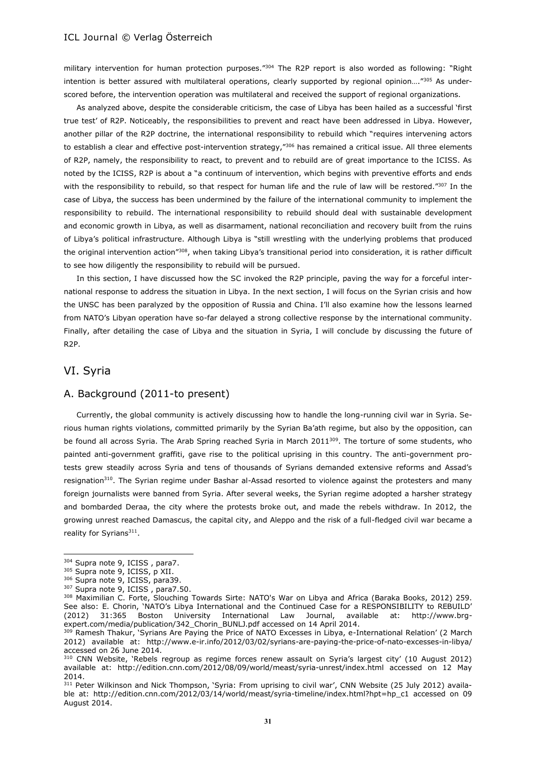military intervention for human protection purposes."<sup>304</sup> The R2P report is also worded as following: "Right intention is better assured with multilateral operations, clearly supported by regional opinion...."305 As underscored before, the intervention operation was multilateral and received the support of regional organizations.

As analyzed above, despite the considerable criticism, the case of Libya has been hailed as a successful 'first true test' of R2P. Noticeably, the responsibilities to prevent and react have been addressed in Libya. However, another pillar of the R2P doctrine, the international responsibility to rebuild which "requires intervening actors to establish a clear and effective post-intervention strategy,"<sup>306</sup> has remained a critical issue. All three elements of R2P, namely, the responsibility to react, to prevent and to rebuild are of great importance to the ICISS. As noted by the ICISS, R2P is about a "a continuum of intervention, which begins with preventive efforts and ends with the responsibility to rebuild, so that respect for human life and the rule of law will be restored."307 In the case of Libya, the success has been undermined by the failure of the international community to implement the responsibility to rebuild. The international responsibility to rebuild should deal with sustainable development and economic growth in Libya, as well as disarmament, national reconciliation and recovery built from the ruins of Libya's political infrastructure. Although Libya is "still wrestling with the underlying problems that produced the original intervention action"<sup>308</sup>, when taking Libya's transitional period into consideration, it is rather difficult to see how diligently the responsibility to rebuild will be pursued.

In this section, I have discussed how the SC invoked the R2P principle, paving the way for a forceful international response to address the situation in Libya. In the next section, I will focus on the Syrian crisis and how the UNSC has been paralyzed by the opposition of Russia and China. I'll also examine how the lessons learned from NATO's Libyan operation have so-far delayed a strong collective response by the international community. Finally, after detailing the case of Libya and the situation in Syria, I will conclude by discussing the future of R2P.

# VI. Syria

 $\overline{a}$ 

#### A. Background (2011-to present)

Currently, the global community is actively discussing how to handle the long-running civil war in Syria. Serious human rights violations, committed primarily by the Syrian Ba'ath regime, but also by the opposition, can be found all across Syria. The Arab Spring reached Syria in March 2011<sup>309</sup>. The torture of some students, who painted anti-government graffiti, gave rise to the political uprising in this country. The anti-government protests grew steadily across Syria and tens of thousands of Syrians demanded extensive reforms and Assad's resignation<sup>310</sup>. The Syrian regime under Bashar al-Assad resorted to violence against the protesters and many foreign journalists were banned from Syria. After several weeks, the Syrian regime adopted a harsher strategy and bombarded Deraa, the city where the protests broke out, and made the rebels withdraw. In 2012, the growing unrest reached Damascus, the capital city, and Aleppo and the risk of a full-fledged civil war became a reality for Syrians<sup>311</sup>.

<sup>304</sup> Supra note 9, ICISS, para7.

<sup>305</sup> Supra note 9, ICISS, p XII.

<sup>306</sup> Supra note 9, ICISS, para39.

<sup>307</sup> Supra note 9, ICISS, para7.50.

<sup>308</sup> Maximilian C. Forte, Slouching Towards Sirte: NATO's War on Libya and Africa (Baraka Books, 2012) 259. See also: E. Chorin, 'NATO's Libya International and the Continued Case for a RESPONSIBILITY to REBUILD' (2012) 31:365 Boston University International Law Journal, available at: http://www.brgexpert.com/media/publication/342\_Chorin\_BUNLJ.pdf accessed on 14 April 2014.

<sup>&</sup>lt;sup>309</sup> Ramesh Thakur, 'Syrians Are Paying the Price of NATO Excesses in Libya, e-International Relation' (2 March 2012) available at: http://www.e-ir.info/2012/03/02/syrians-are-paying-the-price-of-nato-excesses-in-libya/ accessed on 26 June 2014.

<sup>310</sup> CNN Website, 'Rebels regroup as regime forces renew assault on Syria's largest city' (10 August 2012) available at: http://edition.cnn.com/2012/08/09/world/meast/syria-unrest/index.html accessed on 12 May 2014.

<sup>&</sup>lt;sup>311</sup> Peter Wilkinson and Nick Thompson, 'Syria: From uprising to civil war', CNN Website (25 July 2012) available at: http://edition.cnn.com/2012/03/14/world/meast/syria-timeline/index.html?hpt=hp\_c1 accessed on 09 August 2014.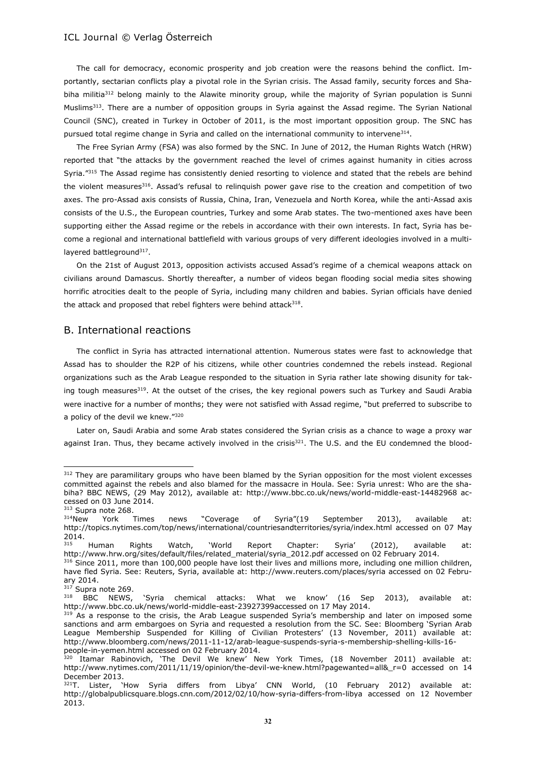The call for democracy, economic prosperity and job creation were the reasons behind the conflict. Importantly, sectarian conflicts play a pivotal role in the Syrian crisis. The Assad family, security forces and Shabiha militia<sup>312</sup> belong mainly to the Alawite minority group, while the majority of Syrian population is Sunni Muslims<sup>313</sup>. There are a number of opposition groups in Syria against the Assad regime. The Syrian National Council (SNC), created in Turkey in October of 2011, is the most important opposition group. The SNC has pursued total regime change in Syria and called on the international community to intervene<sup>314</sup>.

The Free Syrian Army (FSA) was also formed by the SNC. In June of 2012, the Human Rights Watch (HRW) reported that "the attacks by the government reached the level of crimes against humanity in cities across Syria."<sup>315</sup> The Assad regime has consistently denied resorting to violence and stated that the rebels are behind the violent measures<sup>316</sup>. Assad's refusal to relinquish power gave rise to the creation and competition of two axes. The pro-Assad axis consists of Russia, China, Iran, Venezuela and North Korea, while the anti-Assad axis consists of the U.S., the European countries, Turkey and some Arab states. The two-mentioned axes have been supporting either the Assad regime or the rebels in accordance with their own interests. In fact, Syria has become a regional and international battlefield with various groups of very different ideologies involved in a multilayered battleground<sup>317</sup>.

On the 21st of August 2013, opposition activists accused Assad's regime of a chemical weapons attack on civilians around Damascus. Shortly thereafter, a number of videos began flooding social media sites showing horrific atrocities dealt to the people of Syria, including many children and babies. Syrian officials have denied the attack and proposed that rebel fighters were behind attack $318$ .

# B. International reactions

The conflict in Syria has attracted international attention. Numerous states were fast to acknowledge that Assad has to shoulder the R2P of his citizens, while other countries condemned the rebels instead. Regional organizations such as the Arab League responded to the situation in Syria rather late showing disunity for taking tough measures<sup>319</sup>. At the outset of the crises, the key regional powers such as Turkey and Saudi Arabia were inactive for a number of months; they were not satisfied with Assad regime, "but preferred to subscribe to a policy of the devil we knew."<sup>320</sup>

Later on, Saudi Arabia and some Arab states considered the Syrian crisis as a chance to wage a proxy war against Iran. Thus, they became actively involved in the crisis $321$ . The U.S. and the EU condemned the blood-

<sup>&</sup>lt;sup>312</sup> They are paramilitary groups who have been blamed by the Syrian opposition for the most violent excesses committed against the rebels and also blamed for the massacre in Houla. See: Syria unrest: Who are the shabiha? BBC NEWS, (29 May 2012), available at: http://www.bbc.co.uk/news/world-middle-east-14482968 accessed on 03 June 2014.

 $313$  Supra note 268.<br> $314$ New York York Times news "Coverage of Syria"(19 September 2013), available at: http://topics.nytimes.com/top/news/international/countriesandterritories/syria/index.html accessed on 07 May 2014.

<sup>&</sup>lt;sup>315</sup> Human Rights Watch, 'World Report Chapter: Syria' (2012), available at: http://www.hrw.org/sites/default/files/related\_material/syria\_2012.pdf accessed on 02 February 2014.

<sup>&</sup>lt;sup>316</sup> Since 2011, more than 100,000 people have lost their lives and millions more, including one million children, have fled Syria. See: Reuters, Syria, available at: http://www.reuters.com/places/syria accessed on 02 February 2014.

 $317$  Supra note 269.<br> $318$  BBC NEWS, 'Syria chemical attacks: What we know' (16 Sep 2013), available at: http://www.bbc.co.uk/news/world-middle-east-23927399accessed on 17 May 2014.

<sup>&</sup>lt;sup>319</sup> As a response to the crisis, the Arab League suspended Syria's membership and later on imposed some sanctions and arm embargoes on Syria and requested a resolution from the SC. See: Bloomberg 'Syrian Arab League Membership Suspended for Killing of Civilian Protesters' (13 November, 2011) available at: http://www.bloomberg.com/news/2011-11-12/arab-league-suspends-syria-s-membership-shelling-kills-16 people-in-yemen.html accessed on 02 February 2014.

 $320$  Itamar Rabinovich, 'The Devil We knew' New York Times, (18 November 2011) available at: http://www.nytimes.com/2011/11/19/opinion/the-devil-we-knew.html?pagewanted=all&\_r=0 accessed on 14 December 2013.

 $321$ T. Lister, 'How Syria differs from Libya' CNN World, (10 February 2012) available at: http://globalpublicsquare.blogs.cnn.com/2012/02/10/how-syria-differs-from-libya accessed on 12 November 2013.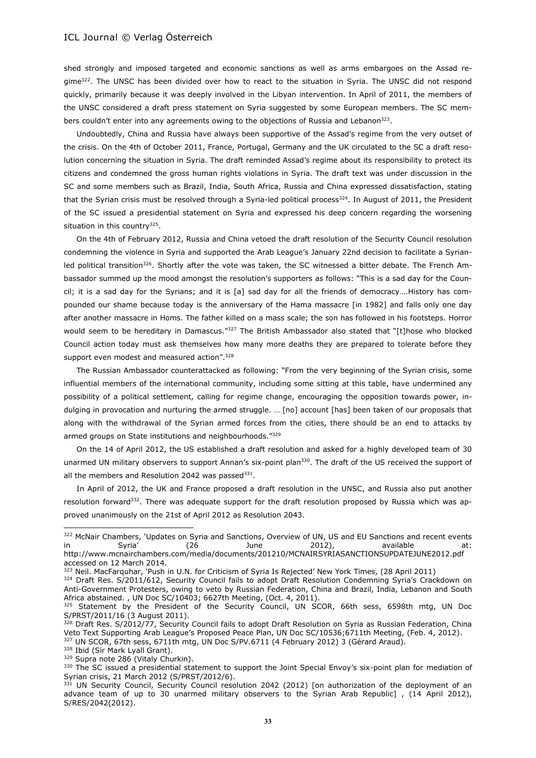shed strongly and imposed targeted and economic sanctions as well as arms embargoes on the Assad regime<sup>322</sup>. The UNSC has been divided over how to react to the situation in Syria. The UNSC did not respond quickly, primarily because it was deeply involved in the Libyan intervention. In April of 2011, the members of the UNSC considered a draft press statement on Syria suggested by some European members. The SC members couldn't enter into any agreements owing to the objections of Russia and Lebanon $323$ .

Undoubtedly, China and Russia have always been supportive of the Assad's regime from the very outset of the crisis. On the 4th of October 2011, France, Portugal, Germany and the UK circulated to the SC a draft resolution concerning the situation in Syria. The draft reminded Assad's regime about its responsibility to protect its citizens and condemned the gross human rights violations in Syria. The draft text was under discussion in the SC and some members such as Brazil, India, South Africa, Russia and China expressed dissatisfaction, stating that the Syrian crisis must be resolved through a Syria-led political process<sup>324</sup>. In August of 2011, the President of the SC issued a presidential statement on Syria and expressed his deep concern regarding the worsening situation in this country<sup>325</sup>.

On the 4th of February 2012, Russia and China vetoed the draft resolution of the Security Council resolution condemning the violence in Syria and supported the Arab League's January 22nd decision to facilitate a Syrianled political transition<sup>326</sup>. Shortly after the vote was taken, the SC witnessed a bitter debate. The French Ambassador summed up the mood amongst the resolution's supporters as follows: "This is a sad day for the Council; it is a sad day for the Syrians; and it is [a] sad day for all the friends of democracy….History has compounded our shame because today is the anniversary of the Hama massacre [in 1982] and falls only one day after another massacre in Homs. The father killed on a mass scale; the son has followed in his footsteps. Horror would seem to be hereditary in Damascus."<sup>327</sup> The British Ambassador also stated that "[t]hose who blocked Council action today must ask themselves how many more deaths they are prepared to tolerate before they support even modest and measured action".<sup>328</sup>

The Russian Ambassador counterattacked as following: "From the very beginning of the Syrian crisis, some influential members of the international community, including some sitting at this table, have undermined any possibility of a political settlement, calling for regime change, encouraging the opposition towards power, indulging in provocation and nurturing the armed struggle. … [no] account [has] been taken of our proposals that along with the withdrawal of the Syrian armed forces from the cities, there should be an end to attacks by armed groups on State institutions and neighbourhoods."<sup>329</sup>

On the 14 of April 2012, the US established a draft resolution and asked for a highly developed team of 30 unarmed UN military observers to support Annan's six-point plan<sup>330</sup>. The draft of the US received the support of all the members and Resolution 2042 was passed<sup>331</sup>.

In April of 2012, the UK and France proposed a draft resolution in the UNSC, and Russia also put another resolution forward<sup>332</sup>. There was adequate support for the draft resolution proposed by Russia which was approved unanimously on the 21st of April 2012 as Resolution 2043.

<sup>328</sup> Ibid (Sir Mark Lyall Grant).

 $\overline{a}$ 

329 Supra note 286 (Vitaly Churkin).

<sup>322</sup> McNair Chambers, 'Updates on Syria and Sanctions, Overview of UN, US and EU Sanctions and recent events in Syria' (26 June 2012), available at: http://www.mcnairchambers.com/media/documents/201210/MCNAIRSYRIASANCTIONSUPDATEJUNE2012.pdf accessed on 12 March 2014.

<sup>&</sup>lt;sup>323</sup> Neil. MacFarquhar, 'Push in U.N. for Criticism of Syria Is Rejected' New York Times, (28 April 2011)

<sup>324</sup> Draft Res. S/2011/612, Security Council fails to adopt Draft Resolution Condemning Syria's Crackdown on Anti-Government Protesters, owing to veto by Russian Federation, China and Brazil, India, Lebanon and South Africa abstained. , UN Doc SC/10403; 6627th Meeting, (Oct. 4, 2011).

<sup>325</sup> Statement by the President of the Security Council, UN SCOR, 66th sess, 6598th mtg, UN Doc S/PRST/2011/16 (3 August 2011).

<sup>326</sup> Draft Res. S/2012/77, Security Council fails to adopt Draft Resolution on Syria as Russian Federation, China Veto Text Supporting Arab League's Proposed Peace Plan, UN Doc SC/10536;6711th Meeting, (Feb. 4, 2012). 327 UN SCOR, 67th sess, 6711th mtg, UN Doc S/PV.6711 (4 February 2012) 3 (Gérard Araud).

<sup>330</sup> The SC issued a presidential statement to support the Joint Special Envoy's six-point plan for mediation of Syrian crisis, 21 March 2012 (S/PRST/2012/6).

<sup>331</sup> UN Security Council, Security Council resolution 2042 (2012) [on authorization of the deployment of an advance team of up to 30 unarmed military observers to the Syrian Arab Republic] , (14 April 2012), S/RES/2042(2012).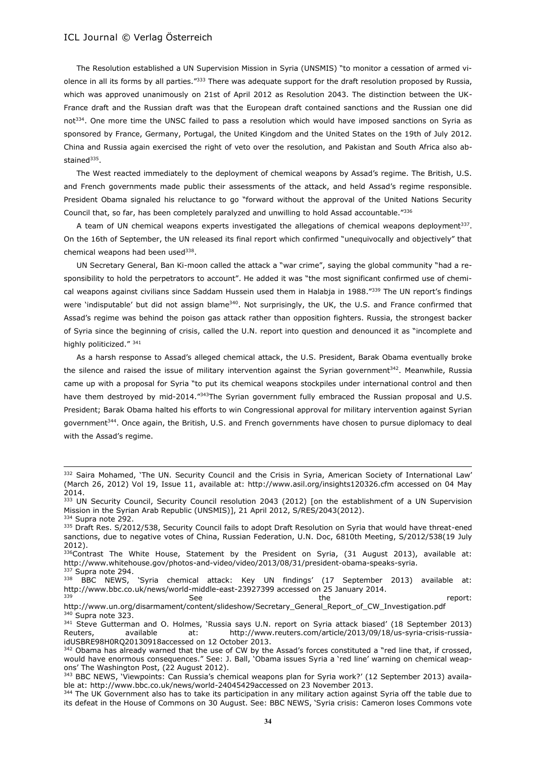$\overline{a}$ 

The Resolution established a UN Supervision Mission in Syria (UNSMIS) "to monitor a cessation of armed violence in all its forms by all parties."333 There was adequate support for the draft resolution proposed by Russia, which was approved unanimously on 21st of April 2012 as Resolution 2043. The distinction between the UK-France draft and the Russian draft was that the European draft contained sanctions and the Russian one did not<sup>334</sup>. One more time the UNSC failed to pass a resolution which would have imposed sanctions on Syria as sponsored by France, Germany, Portugal, the United Kingdom and the United States on the 19th of July 2012. China and Russia again exercised the right of veto over the resolution, and Pakistan and South Africa also abstained<sup>335</sup>.

The West reacted immediately to the deployment of chemical weapons by Assad's regime. The British, U.S. and French governments made public their assessments of the attack, and held Assad's regime responsible. President Obama signaled his reluctance to go "forward without the approval of the United Nations Security Council that, so far, has been completely paralyzed and unwilling to hold Assad accountable."<sup>336</sup>

A team of UN chemical weapons experts investigated the allegations of chemical weapons deployment<sup>337</sup>. On the 16th of September, the UN released its final report which confirmed "unequivocally and objectively" that chemical weapons had been used<sup>338</sup>.

UN Secretary General, Ban Ki-moon called the attack a "war crime", saying the global community "had a responsibility to hold the perpetrators to account". He added it was "the most significant confirmed use of chemical weapons against civilians since Saddam Hussein used them in Halabia in 1988."<sup>339</sup> The UN report's findings were 'indisputable' but did not assign blame<sup>340</sup>. Not surprisingly, the UK, the U.S. and France confirmed that Assad's regime was behind the poison gas attack rather than opposition fighters. Russia, the strongest backer of Syria since the beginning of crisis, called the U.N. report into question and denounced it as "incomplete and highly politicized." 341

As a harsh response to Assad's alleged chemical attack, the U.S. President, Barak Obama eventually broke the silence and raised the issue of military intervention against the Syrian government<sup>342</sup>. Meanwhile, Russia came up with a proposal for Syria "to put its chemical weapons stockpiles under international control and then have them destroyed by mid-2014."<sup>343</sup>The Syrian government fully embraced the Russian proposal and U.S. President; Barak Obama halted his efforts to win Congressional approval for military intervention against Syrian government<sup>344</sup>. Once again, the British, U.S. and French governments have chosen to pursue diplomacy to deal with the Assad's regime.

<sup>332</sup> Saira Mohamed, 'The UN. Security Council and the Crisis in Syria, American Society of International Law' (March 26, 2012) Vol 19, Issue 11, available at: http://www.asil.org/insights120326.cfm accessed on 04 May 2014.

<sup>333</sup> UN Security Council, Security Council resolution 2043 (2012) [on the establishment of a UN Supervision Mission in the Syrian Arab Republic (UNSMIS)], 21 April 2012, S/RES/2043(2012). 334 Supra note 292.

<sup>335</sup> Draft Res. S/2012/538, Security Council fails to adopt Draft Resolution on Syria that would have threat-ened sanctions, due to negative votes of China, Russian Federation, U.N. Doc, 6810th Meeting, S/2012/538(19 July 2012).

<sup>336</sup>Contrast The White House, Statement by the President on Syria, (31 August 2013), available at: http://www.whitehouse.gov/photos-and-video/video/2013/08/31/president-obama-speaks-syria. 337 Supra note 294.

<sup>338</sup> BBC NEWS, 'Syria chemical attack: Key UN findings' (17 September 2013) available at: http://www.bbc.co.uk/news/world-middle-east-23927399 accessed on 25 January 2014. <sup>339</sup> See See the report:

http://www.un.org/disarmament/content/slideshow/Secretary\_General\_Report\_of\_CW\_Investigation.pdf <sup>340</sup> Supra note 323.

<sup>&</sup>lt;sup>341</sup> Steve Gutterman and O. Holmes, 'Russia says U.N. report on Syria attack biased' (18 September 2013) Reuters, available at: http://www.reuters.com/article/2013/09/18/us-syria-crisis-russiaidUSBRE98H0RQ20130918accessed on 12 October 2013.

<sup>342</sup> Obama has already warned that the use of CW by the Assad's forces constituted a "red line that, if crossed, would have enormous consequences." See: J. Ball, 'Obama issues Syria a 'red line' warning on chemical weapons' The Washington Post, (22 August 2012).

<sup>343</sup> BBC NEWS, 'Viewpoints: Can Russia's chemical weapons plan for Syria work?' (12 September 2013) available at: http://www.bbc.co.uk/news/world-24045429accessed on 23 November 2013.

<sup>344</sup> The UK Government also has to take its participation in any military action against Syria off the table due to its defeat in the House of Commons on 30 August. See: BBC NEWS, 'Syria crisis: Cameron loses Commons vote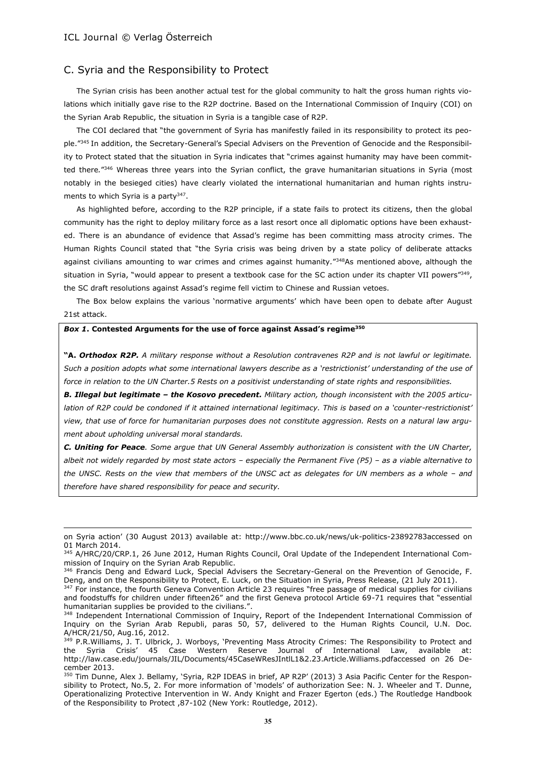$\overline{a}$ 

## C. Syria and the Responsibility to Protect

The Syrian crisis has been another actual test for the global community to halt the gross human rights violations which initially gave rise to the R2P doctrine. Based on the International Commission of Inquiry (COI) on the Syrian Arab Republic, the situation in Syria is a tangible case of R2P.

The COI declared that "the government of Syria has manifestly failed in its responsibility to protect its people."<sup>345</sup> In addition, the Secretary-General's Special Advisers on the Prevention of Genocide and the Responsibility to Protect stated that the situation in Syria indicates that "crimes against humanity may have been committed there*.*" <sup>346</sup> Whereas three years into the Syrian conflict, the grave humanitarian situations in Syria (most notably in the besieged cities) have clearly violated the international humanitarian and human rights instruments to which Syria is a party<sup>347</sup>.

As highlighted before, according to the R2P principle, if a state fails to protect its citizens, then the global community has the right to deploy military force as a last resort once all diplomatic options have been exhausted. There is an abundance of evidence that Assad's regime has been committing mass atrocity crimes. The Human Rights Council stated that "the Syria crisis was being driven by a state policy of deliberate attacks against civilians amounting to war crimes and crimes against humanity."<sup>348</sup>As mentioned above, although the situation in Syria, "would appear to present a textbook case for the SC action under its chapter VII powers"<sup>349</sup> , the SC draft resolutions against Assad's regime fell victim to Chinese and Russian vetoes.

The Box below explains the various 'normative arguments' which have been open to debate after August 21st attack.

#### *Box 1***. Contested Arguments for the use of force against Assad's regime<sup>350</sup>**

**"A.** *Orthodox R2P. A military response without a Resolution contravenes R2P and is not lawful or legitimate. Such a position adopts what some international lawyers describe as a 'restrictionist' understanding of the use of force in relation to the UN Charter.5 Rests on a positivist understanding of state rights and responsibilities.* 

*B. Illegal but legitimate – the Kosovo precedent. Military action, though inconsistent with the 2005 articulation of R2P could be condoned if it attained international legitimacy. This is based on a 'counter-restrictionist' view, that use of force for humanitarian purposes does not constitute aggression. Rests on a natural law argument about upholding universal moral standards.* 

*C. Uniting for Peace. Some argue that UN General Assembly authorization is consistent with the UN Charter, albeit not widely regarded by most state actors – especially the Permanent Five (P5) – as a viable alternative to the UNSC. Rests on the view that members of the UNSC act as delegates for UN members as a whole - and therefore have shared responsibility for peace and security.* 

on Syria action' (30 August 2013) available at: http://www.bbc.co.uk/news/uk-politics-23892783accessed on 01 March 2014.

<sup>345</sup> A/HRC/20/CRP.1, 26 June 2012, Human Rights Council, Oral Update of the Independent International Commission of Inquiry on the Syrian Arab Republic.

<sup>346</sup> Francis Deng and Edward Luck, Special Advisers the Secretary-General on the Prevention of Genocide, F. Deng, and on the Responsibility to Protect, E. Luck, on the Situation in Syria, Press Release, (21 July 2011).

<sup>&</sup>lt;sup>347</sup> For instance, the fourth Geneva Convention Article 23 requires "free passage of medical supplies for civilians and foodstuffs for children under fifteen26" and the first Geneva protocol Article 69-71 requires that "essential humanitarian supplies be provided to the civilians.".

<sup>348</sup> Independent International Commission of Inquiry, Report of the Independent International Commission of Inquiry on the Syrian Arab Republi, paras 50, 57, delivered to the Human Rights Council, U.N. Doc. A/HCR/21/50, Aug.16, 2012.

<sup>&</sup>lt;sup>349</sup> P.R.Williams, J. T. Ulbrick, J. Worboys, 'Preventing Mass Atrocity Crimes: The Responsibility to Protect and the Syria Crisis' 45 Case Western Reserve Journal of International Law, available at: http://law.case.edu/journals/JIL/Documents/45CaseWResJIntlL1&2.23.Article.Williams.pdfaccessed on 26 December 2013.

<sup>350</sup> Tim Dunne, Alex J. Bellamy, 'Syria, R2P IDEAS in brief, AP R2P' (2013) 3 Asia Pacific Center for the Responsibility to Protect, No.5, 2. For more information of 'models' of authorization See: N. J. Wheeler and T. Dunne, Operationalizing Protective Intervention in W. Andy Knight and Frazer Egerton (eds.) The Routledge Handbook of the Responsibility to Protect ,87-102 (New York: Routledge, 2012).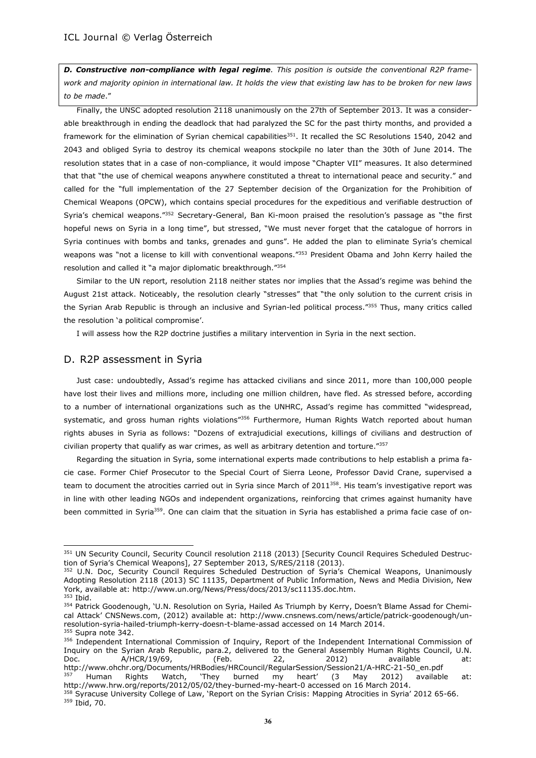*D. Constructive non-compliance with legal regime. This position is outside the conventional R2P framework and majority opinion in international law. It holds the view that existing law has to be broken for new laws to be made*."

Finally, the UNSC adopted resolution 2118 unanimously on the 27th of September 2013. It was a considerable breakthrough in ending the deadlock that had paralyzed the SC for the past thirty months, and provided a framework for the elimination of Syrian chemical capabilities<sup>351</sup>. It recalled the SC Resolutions 1540, 2042 and 2043 and obliged Syria to destroy its chemical weapons stockpile no later than the 30th of June 2014. The resolution states that in a case of non-compliance, it would impose "Chapter VII" measures. It also determined that that "the use of chemical weapons anywhere constituted a threat to international peace and security." and called for the "full implementation of the 27 September decision of the Organization for the Prohibition of Chemical Weapons (OPCW), which contains special procedures for the expeditious and verifiable destruction of Syria's chemical weapons."<sup>352</sup> Secretary-General, Ban Ki-moon praised the resolution's passage as "the first hopeful news on Syria in a long time", but stressed, "We must never forget that the catalogue of horrors in Syria continues with bombs and tanks, grenades and guns". He added the plan to eliminate Syria's chemical weapons was "not a license to kill with conventional weapons."<sup>353</sup> President Obama and John Kerry hailed the resolution and called it "a major diplomatic breakthrough."<sup>354</sup>

Similar to the UN report, resolution 2118 neither states nor implies that the Assad's regime was behind the August 21st attack. Noticeably, the resolution clearly "stresses" that "the only solution to the current crisis in the Syrian Arab Republic is through an inclusive and Syrian-led political process."355 Thus, many critics called the resolution 'a political compromise'.

I will assess how the R2P doctrine justifies a military intervention in Syria in the next section.

#### D. R2P assessment in Syria

Just case: undoubtedly, Assad's regime has attacked civilians and since 2011, more than 100,000 people have lost their lives and millions more, including one million children, have fled. As stressed before, according to a number of international organizations such as the UNHRC, Assad's regime has committed "widespread, systematic, and gross human rights violations"<sup>356</sup> Furthermore, Human Rights Watch reported about human rights abuses in Syria as follows: "Dozens of extrajudicial executions, killings of civilians and destruction of civilian property that qualify as war crimes, as well as arbitrary detention and torture."<sup>357</sup>

Regarding the situation in Syria, some international experts made contributions to help establish a prima facie case. Former Chief Prosecutor to the Special Court of Sierra Leone, Professor David Crane, supervised a team to document the atrocities carried out in Syria since March of 2011 $358$ . His team's investigative report was in line with other leading NGOs and independent organizations, reinforcing that crimes against humanity have been committed in Syria<sup>359</sup>. One can claim that the situation in Syria has established a prima facie case of on-

l

<sup>351</sup> UN Security Council, Security Council resolution 2118 (2013) [Security Council Requires Scheduled Destruction of Syria's Chemical Weapons], 27 September 2013, S/RES/2118 (2013).

<sup>352</sup> U.N. Doc, Security Council Requires Scheduled Destruction of Syria's Chemical Weapons, Unanimously Adopting Resolution 2118 (2013) SC 11135, Department of Public Information, News and Media Division, New York, available at: http://www.un.org/News/Press/docs/2013/sc11135.doc.htm.

<sup>353</sup> Ibid.

<sup>354</sup> Patrick Goodenough, 'U.N. Resolution on Syria, Hailed As Triumph by Kerry, Doesn't Blame Assad for Chemical Attack' CNSNews.com, (2012) available at: http://www.cnsnews.com/news/article/patrick-goodenough/unresolution-syria-hailed-triumph-kerry-doesn-t-blame-assad accessed on 14 March 2014. <sup>355</sup> Supra note 342.

<sup>&</sup>lt;sup>356</sup> Independent International Commission of Inquiry, Report of the Independent International Commission of Inquiry on the Syrian Arab Republic, para.2, delivered to the General Assembly Human Rights Council, U.N. Doc. A/HCR/19/69, (Feb. 22, 2012) available at: http://www.ohchr.org/Documents/HRBodies/HRCouncil/RegularSession/Session21/A-HRC-21-50\_en.pdf

<sup>&</sup>lt;sup>357</sup> Human Rights Watch, 'They burned my heart' (3 May 2012) available at: http://www.hrw.org/reports/2012/05/02/they-burned-my-heart-0 accessed on 16 March 2014.

<sup>&</sup>lt;sup>358</sup> Syracuse University College of Law, 'Report on the Syrian Crisis: Mapping Atrocities in Syria' 2012 65-66. <sup>359</sup> Ibid, 70.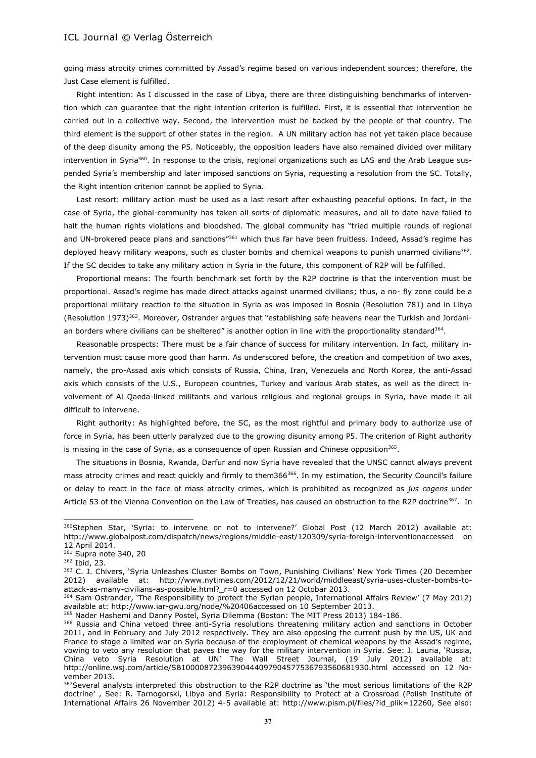going mass atrocity crimes committed by Assad's regime based on various independent sources; therefore, the Just Case element is fulfilled.

Right intention: As I discussed in the case of Libya, there are three distinguishing benchmarks of intervention which can guarantee that the right intention criterion is fulfilled. First, it is essential that intervention be carried out in a collective way. Second, the intervention must be backed by the people of that country. The third element is the support of other states in the region. A UN military action has not yet taken place because of the deep disunity among the P5. Noticeably, the opposition leaders have also remained divided over military intervention in Syria<sup>360</sup>. In response to the crisis, regional organizations such as LAS and the Arab League suspended Syria's membership and later imposed sanctions on Syria, requesting a resolution from the SC. Totally, the Right intention criterion cannot be applied to Syria.

Last resort: military action must be used as a last resort after exhausting peaceful options. In fact, in the case of Syria, the global-community has taken all sorts of diplomatic measures, and all to date have failed to halt the human rights violations and bloodshed. The global community has "tried multiple rounds of regional and UN-brokered peace plans and sanctions"<sup>361</sup> which thus far have been fruitless. Indeed, Assad's regime has deployed heavy military weapons, such as cluster bombs and chemical weapons to punish unarmed civilians<sup>362</sup>. If the SC decides to take any military action in Syria in the future, this component of R2P will be fulfilled.

Proportional means: The fourth benchmark set forth by the R2P doctrine is that the intervention must be proportional. Assad's regime has made direct attacks against unarmed civilians; thus, a no- fly zone could be a proportional military reaction to the situation in Syria as was imposed in Bosnia (Resolution 781) and in Libya (Resolution 1973)363. Moreover, Ostrander argues that "establishing safe heavens near the Turkish and Jordanian borders where civilians can be sheltered" is another option in line with the proportionality standard<sup>364</sup>.

Reasonable prospects: There must be a fair chance of success for military intervention. In fact, military intervention must cause more good than harm. As underscored before, the creation and competition of two axes, namely, the pro-Assad axis which consists of Russia, China, Iran, Venezuela and North Korea, the anti-Assad axis which consists of the U.S., European countries, Turkey and various Arab states, as well as the direct involvement of Al Qaeda-linked militants and various religious and regional groups in Syria, have made it all difficult to intervene.

Right authority: As highlighted before, the SC, as the most rightful and primary body to authorize use of force in Syria, has been utterly paralyzed due to the growing disunity among P5. The criterion of Right authority is missing in the case of Syria, as a consequence of open Russian and Chinese opposition $365$ .

The situations in Bosnia, Rwanda, Darfur and now Syria have revealed that the UNSC cannot always prevent mass atrocity crimes and react quickly and firmly to them366<sup>366</sup>. In my estimation, the Security Council's failure or delay to react in the face of mass atrocity crimes, which is prohibited as recognized as *jus cogens* under Article 53 of the Vienna Convention on the Law of Treaties, has caused an obstruction to the R2P doctrine<sup>367</sup>. In

<sup>&</sup>lt;sup>360</sup>Stephen Star, 'Syria: to intervene or not to intervene?' Global Post (12 March 2012) available at: http://www.globalpost.com/dispatch/news/regions/middle-east/120309/syria-foreign-interventionaccessed on 12 April 2014.

<sup>361</sup> Supra note 340, 20

<sup>362</sup> Ibid, 23.

<sup>363</sup> C. J. Chivers, 'Syria Unleashes Cluster Bombs on Town, Punishing Civilians' New York Times (20 December 2012) available at: http://www.nytimes.com/2012/12/21/world/middleeast/syria-uses-cluster-bombs-toattack-as-many-civilians-as-possible.html?\_r=0 accessed on 12 Octobar 2013.

<sup>364</sup> Sam Ostrander, 'The Responsibility to protect the Syrian people, International Affairs Review' (7 May 2012) available at: http://www.iar-gwu.org/node/%20406accessed on 10 September 2013.

<sup>&</sup>lt;sup>365</sup> Nader Hashemi and Danny Postel, Syria Dilemma (Boston: The MIT Press 2013) 184-186.

<sup>366</sup> Russia and China vetoed three anti-Syria resolutions threatening military action and sanctions in October 2011, and in February and July 2012 respectively. They are also opposing the current push by the US, UK and France to stage a limited war on Syria because of the employment of chemical weapons by the Assad's regime, vowing to veto any resolution that paves the way for the military intervention in Syria. See: J. Lauria, 'Russia, China veto Syria Resolution at UN' The Wall Street Journal, (19 July 2012) available at: http://online.wsj.com/article/SB10000872396390444097904577536793560681930.html accessed on 12 November 2013.

<sup>&</sup>lt;sup>367</sup>Several analysts interpreted this obstruction to the R2P doctrine as 'the most serious limitations of the R2P doctrine' , See: R. Tarnogorski, Libya and Syria: Responsibility to Protect at a Crossroad (Polish Institute of International Affairs 26 November 2012) 4-5 available at: http://www.pism.pl/files/?id\_plik=12260, See also: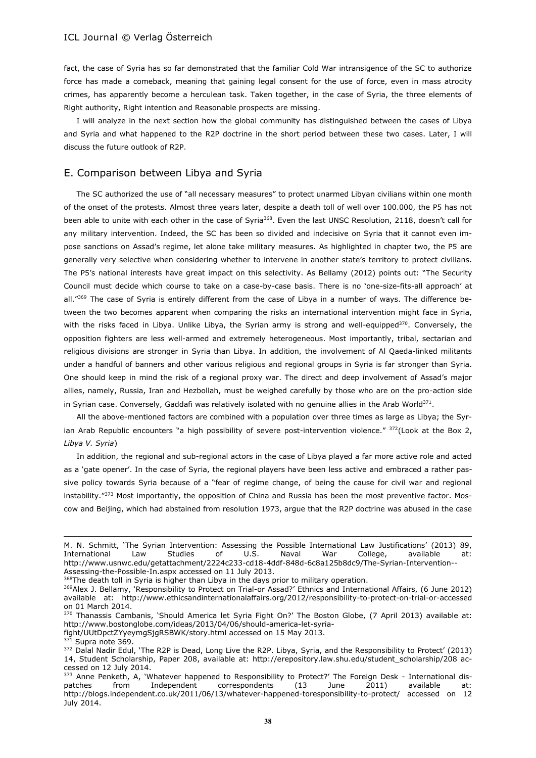fact, the case of Syria has so far demonstrated that the familiar Cold War intransigence of the SC to authorize force has made a comeback, meaning that gaining legal consent for the use of force, even in mass atrocity crimes, has apparently become a herculean task. Taken together, in the case of Syria, the three elements of Right authority, Right intention and Reasonable prospects are missing.

I will analyze in the next section how the global community has distinguished between the cases of Libya and Syria and what happened to the R2P doctrine in the short period between these two cases. Later, I will discuss the future outlook of R2P.

# E. Comparison between Libya and Syria

The SC authorized the use of "all necessary measures" to protect unarmed Libyan civilians within one month of the onset of the protests. Almost three years later, despite a death toll of well over 100.000, the P5 has not been able to unite with each other in the case of Syria<sup>368</sup>. Even the last UNSC Resolution, 2118, doesn't call for any military intervention. Indeed, the SC has been so divided and indecisive on Syria that it cannot even impose sanctions on Assad's regime, let alone take military measures. As highlighted in chapter two, the P5 are generally very selective when considering whether to intervene in another state's territory to protect civilians. The P5's national interests have great impact on this selectivity. As Bellamy (2012) points out: "The Security Council must decide which course to take on a case-by-case basis. There is no 'one-size-fits-all approach' at all."<sup>369</sup> The case of Syria is entirely different from the case of Libya in a number of ways. The difference between the two becomes apparent when comparing the risks an international intervention might face in Syria, with the risks faced in Libya. Unlike Libya, the Syrian army is strong and well-equipped<sup>370</sup>. Conversely, the opposition fighters are less well-armed and extremely heterogeneous. Most importantly, tribal, sectarian and religious divisions are stronger in Syria than Libya. In addition, the involvement of Al Qaeda-linked militants under a handful of banners and other various religious and regional groups in Syria is far stronger than Syria. One should keep in mind the risk of a regional proxy war. The direct and deep involvement of Assad's major allies, namely, Russia, Iran and Hezbollah, must be weighed carefully by those who are on the pro-action side in Syrian case. Conversely, Gaddafi was relatively isolated with no genuine allies in the Arab World $^{371}\cdot$ 

All the above-mentioned factors are combined with a population over three times as large as Libya; the Syrian Arab Republic encounters "a high possibility of severe post-intervention violence." <sup>372</sup>(Look at the Box 2, *Libya V. Syria*)

In addition, the regional and sub-regional actors in the case of Libya played a far more active role and acted as a 'gate opener'. In the case of Syria, the regional players have been less active and embraced a rather passive policy towards Syria because of a "fear of regime change, of being the cause for civil war and regional instability."<sup>373</sup> Most importantly, the opposition of China and Russia has been the most preventive factor. Moscow and Beijing, which had abstained from resolution 1973, argue that the R2P doctrine was abused in the case

368The death toll in Syria is higher than Libya in the days prior to military operation.

 $371$  Supra note 369.

l

M. N. Schmitt, 'The Syrian Intervention: Assessing the Possible International Law Justifications' (2013) 89, International Law Studies of U.S. Naval War College, available at: http://www.usnwc.edu/getattachment/2224c233-cd18-4ddf-848d-6c8a125b8dc9/The-Syrian-Intervention-- Assessing-the-Possible-In.aspx accessed on 11 July 2013.

<sup>369</sup>Alex J. Bellamy, 'Responsibility to Protect on Trial-or Assad?' Ethnics and International Affairs, (6 June 2012) available at: http://www.ethicsandinternationalaffairs.org/2012/responsibility-to-protect-on-trial-or-accessed on 01 March 2014.

<sup>370</sup> Thanassis Cambanis, 'Should America let Syria Fight On?' The Boston Globe, (7 April 2013) available at: http://www.bostonglobe.com/ideas/2013/04/06/should-america-let-syria-

fight/UUtDpctZYyeymgSjgRSBWK/story.html accessed on 15 May 2013.

<sup>&</sup>lt;sup>372</sup> Dalal Nadir Edul, 'The R2P is Dead, Long Live the R2P. Libya, Syria, and the Responsibility to Protect' (2013) 14, Student Scholarship, Paper 208, available at: http://erepository.law.shu.edu/student\_scholarship/208 accessed on 12 July 2014.

<sup>373</sup> Anne Penketh, A, 'Whatever happened to Responsibility to Protect?' The Foreign Desk - International dispatches from Independent correspondents (13 June 2011) available at: http://blogs.independent.co.uk/2011/06/13/whatever-happened-toresponsibility-to-protect/ accessed on 12 July 2014.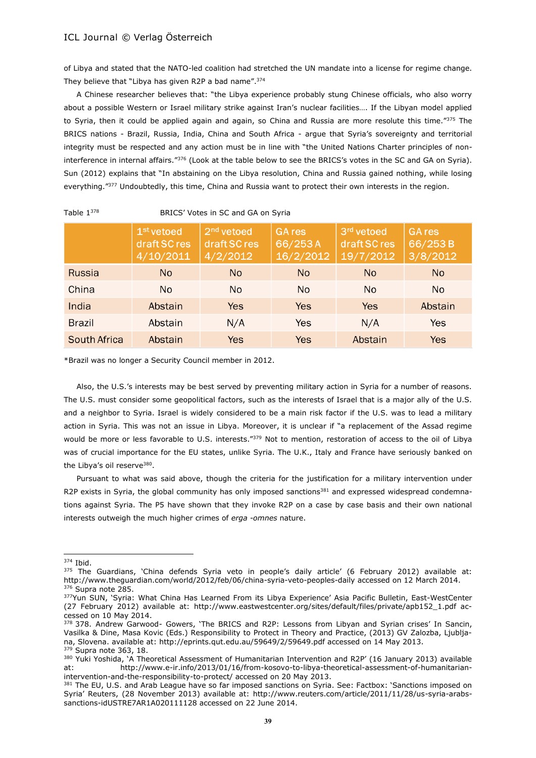of Libya and stated that the NATO-led coalition had stretched the UN mandate into a license for regime change. They believe that "Libya has given R2P a bad name". 374

A Chinese researcher believes that: "the Libya experience probably stung Chinese officials, who also worry about a possible Western or Israel military strike against Iran's nuclear facilities…. If the Libyan model applied to Syria, then it could be applied again and again, so China and Russia are more resolute this time."375 The BRICS nations - Brazil, Russia, India, China and South Africa - argue that Syria's sovereignty and territorial integrity must be respected and any action must be in line with "the United Nations Charter principles of noninterference in internal affairs."<sup>376</sup> (Look at the table below to see the BRICS's votes in the SC and GA on Syria). Sun (2012) explains that "In abstaining on the Libya resolution, China and Russia gained nothing, while losing everything."<sup>377</sup> Undoubtedly, this time, China and Russia want to protect their own interests in the region.

| Table $1^{378}$     | BRICS' Votes in SC and GA on Syria                  |                                                    |                                       |                                         |                                      |  |  |
|---------------------|-----------------------------------------------------|----------------------------------------------------|---------------------------------------|-----------------------------------------|--------------------------------------|--|--|
|                     | 1 <sup>st</sup> vetoed<br>draft SC res<br>4/10/2011 | 2 <sup>nd</sup> vetoed<br>draft SC res<br>4/2/2012 | <b>GA</b> res<br>66/253A<br>16/2/2012 | 3rd vetoed<br>draft SC res<br>19/7/2012 | <b>GA</b> res<br>66/253B<br>3/8/2012 |  |  |
| <b>Russia</b>       | <b>No</b>                                           | N <sub>o</sub>                                     | <b>No</b>                             | N <sub>o</sub>                          | N <sub>o</sub>                       |  |  |
| China               | <b>No</b>                                           | N <sub>o</sub>                                     | No.                                   | N <sub>o</sub>                          | <b>No</b>                            |  |  |
| India               | Abstain                                             | <b>Yes</b>                                         | <b>Yes</b>                            | Yes                                     | Abstain                              |  |  |
| <b>Brazil</b>       | Abstain                                             | N/A                                                | Yes                                   | N/A                                     | Yes                                  |  |  |
| <b>South Africa</b> | Abstain                                             | <b>Yes</b>                                         | Yes                                   | Abstain                                 | <b>Yes</b>                           |  |  |

BRICS' Votes in SC and GA on Syria

\*Brazil was no longer a Security Council member in 2012.

Also, the U.S.'s interests may be best served by preventing military action in Syria for a number of reasons. The U.S. must consider some geopolitical factors, such as the interests of Israel that is a major ally of the U.S. and a neighbor to Syria. Israel is widely considered to be a main risk factor if the U.S. was to lead a military action in Syria. This was not an issue in Libya. Moreover, it is unclear if "a replacement of the Assad regime would be more or less favorable to U.S. interests."<sup>379</sup> Not to mention, restoration of access to the oil of Libya was of crucial importance for the EU states, unlike Syria. The U.K., Italy and France have seriously banked on the Libya's oil reserve<sup>380</sup>.

Pursuant to what was said above, though the criteria for the justification for a military intervention under R2P exists in Syria, the global community has only imposed sanctions<sup>381</sup> and expressed widespread condemnations against Syria. The P5 have shown that they invoke R2P on a case by case basis and their own national interests outweigh the much higher crimes of *erga -omnes* nature.

<sup>374</sup> Ibid.

<sup>375</sup> The Guardians, 'China defends Syria veto in people's daily article' (6 February 2012) available at: http://www.theguardian.com/world/2012/feb/06/china-syria-veto-peoples-daily accessed on 12 March 2014. <sup>376</sup> Supra note 285.

<sup>377</sup>Yun SUN, 'Syria: What China Has Learned From its Libya Experience' Asia Pacific Bulletin, East-WestCenter (27 February 2012) available at: http://www.eastwestcenter.org/sites/default/files/private/apb152\_1.pdf accessed on 10 May 2014.

<sup>378 378.</sup> Andrew Garwood- Gowers, 'The BRICS and R2P: Lessons from Libyan and Syrian crises' In Sancin, Vasilka & Dine, Masa Kovic (Eds.) Responsibility to Protect in Theory and Practice, (2013) GV Zalozba, Ljubljana, Slovena. available at: http://eprints.qut.edu.au/59649/2/59649.pdf accessed on 14 May 2013. <sup>379</sup> Supra note 363, 18.

<sup>380</sup> Yuki Yoshida, 'A Theoretical Assessment of Humanitarian Intervention and R2P' (16 January 2013) available at: http://www.e-ir.info/2013/01/16/from-kosovo-to-libya-theoretical-assessment-of-humanitarianintervention-and-the-responsibility-to-protect/ accessed on 20 May 2013.

<sup>&</sup>lt;sup>381</sup> The EU, U.S. and Arab League have so far imposed sanctions on Syria. See: Factbox: 'Sanctions imposed on Syria' Reuters, (28 November 2013) available at: http://www.reuters.com/article/2011/11/28/us-syria-arabssanctions-idUSTRE7AR1A020111128 accessed on 22 June 2014.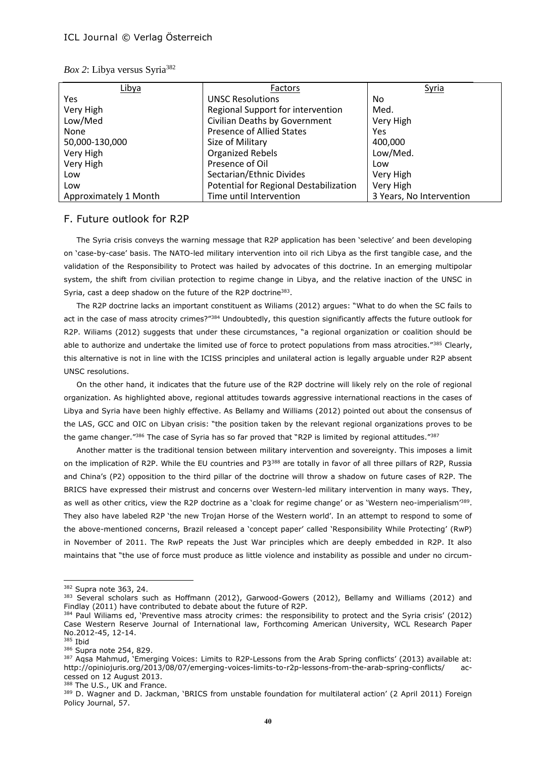| Libya                 | Factors                                | <b>Syria</b>             |
|-----------------------|----------------------------------------|--------------------------|
| Yes                   | <b>UNSC Resolutions</b>                | No                       |
| Very High             | Regional Support for intervention      | Med.                     |
| Low/Med               | Civilian Deaths by Government          | Very High                |
| None                  | <b>Presence of Allied States</b>       | Yes                      |
| 50,000-130,000        | Size of Military                       | 400,000                  |
| Very High             | <b>Organized Rebels</b>                | Low/Med.                 |
| Very High             | Presence of Oil                        | Low                      |
| Low                   | Sectarian/Ethnic Divides               | Very High                |
| Low                   | Potential for Regional Destabilization | Very High                |
| Approximately 1 Month | Time until Intervention                | 3 Years, No Intervention |

|  |  | Box 2: Libya versus Syria <sup>382</sup> |  |  |
|--|--|------------------------------------------|--|--|
|--|--|------------------------------------------|--|--|

#### F. Future outlook for R2P

The Syria crisis conveys the warning message that R2P application has been 'selective' and been developing on 'case-by-case' basis. The NATO-led military intervention into oil rich Libya as the first tangible case, and the validation of the Responsibility to Protect was hailed by advocates of this doctrine. In an emerging multipolar system, the shift from civilian protection to regime change in Libya, and the relative inaction of the UNSC in Syria, cast a deep shadow on the future of the R2P doctrine<sup>383</sup>.

The R2P doctrine lacks an important constituent as Wiliams (2012) argues: "What to do when the SC fails to act in the case of mass atrocity crimes?"<sup>384</sup> Undoubtedly, this question significantly affects the future outlook for R2P. Wiliams (2012) suggests that under these circumstances, "a regional organization or coalition should be able to authorize and undertake the limited use of force to protect populations from mass atrocities."385 Clearly, this alternative is not in line with the ICISS principles and unilateral action is legally arguable under R2P absent UNSC resolutions.

On the other hand, it indicates that the future use of the R2P doctrine will likely rely on the role of regional organization. As highlighted above, regional attitudes towards aggressive international reactions in the cases of Libya and Syria have been highly effective. As Bellamy and Williams (2012) pointed out about the consensus of the LAS, GCC and OIC on Libyan crisis: "the position taken by the relevant regional organizations proves to be the game changer."386 The case of Syria has so far proved that "R2P is limited by regional attitudes."387

Another matter is the traditional tension between military intervention and sovereignty. This imposes a limit on the implication of R2P. While the EU countries and P3<sup>388</sup> are totally in favor of all three pillars of R2P, Russia and China's (P2) opposition to the third pillar of the doctrine will throw a shadow on future cases of R2P. The BRICS have expressed their mistrust and concerns over Western-led military intervention in many ways. They, as well as other critics, view the R2P doctrine as a 'cloak for regime change' or as 'Western neo-imperialism'<sup>389</sup>. They also have labeled R2P 'the new Trojan Horse of the Western world'. In an attempt to respond to some of the above-mentioned concerns, Brazil released a 'concept paper' called 'Responsibility While Protecting' (RwP) in November of 2011. The RwP repeats the Just War principles which are deeply embedded in R2P. It also maintains that "the use of force must produce as little violence and instability as possible and under no circum-

 $\overline{a}$ 

388 The U.S., UK and France.

<sup>382</sup> Supra note 363, 24.

<sup>383</sup> Several scholars such as Hoffmann (2012), Garwood-Gowers (2012), Bellamy and Williams (2012) and Findlay (2011) have contributed to debate about the future of R2P.

<sup>384</sup> Paul Wiliams ed, 'Preventive mass atrocity crimes: the responsibility to protect and the Syria crisis' (2012) Case Western Reserve Journal of International law, Forthcoming American University, WCL Research Paper No.2012-45, 12-14.

<sup>385</sup> Ibid

<sup>386</sup> Supra note 254, 829.

<sup>&</sup>lt;sup>387</sup> Aqsa Mahmud, 'Emerging Voices: Limits to R2P-Lessons from the Arab Spring conflicts' (2013) available at: http://opiniojuris.org/2013/08/07/emerging-voices-limits-to-r2p-lessons-from-the-arab-spring-conflicts/ accessed on 12 August 2013.

<sup>389</sup> D. Wagner and D. Jackman, 'BRICS from unstable foundation for multilateral action' (2 April 2011) Foreign Policy Journal, 57.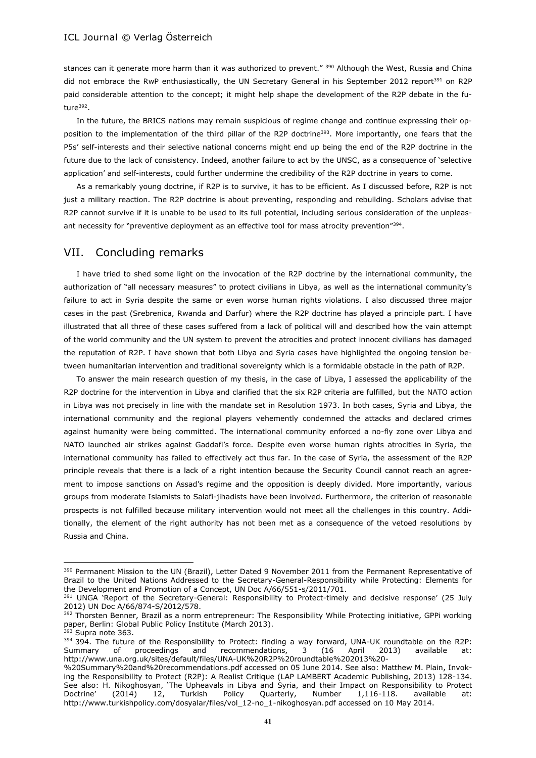stances can it generate more harm than it was authorized to prevent." <sup>390</sup> Although the West, Russia and China did not embrace the RwP enthusiastically, the UN Secretary General in his September 2012 report<sup>391</sup> on R2P paid considerable attention to the concept; it might help shape the development of the R2P debate in the future<sup>392</sup>.

In the future, the BRICS nations may remain suspicious of regime change and continue expressing their opposition to the implementation of the third pillar of the R2P doctrine<sup>393</sup>. More importantly, one fears that the P5s' self-interests and their selective national concerns might end up being the end of the R2P doctrine in the future due to the lack of consistency. Indeed, another failure to act by the UNSC, as a consequence of 'selective application' and self-interests, could further undermine the credibility of the R2P doctrine in years to come.

As a remarkably young doctrine, if R2P is to survive, it has to be efficient. As I discussed before, R2P is not just a military reaction. The R2P doctrine is about preventing, responding and rebuilding. Scholars advise that R2P cannot survive if it is unable to be used to its full potential, including serious consideration of the unpleasant necessity for "preventive deployment as an effective tool for mass atrocity prevention"<sup>394</sup>.

# VII. Concluding remarks

 $\overline{a}$ 

I have tried to shed some light on the invocation of the R2P doctrine by the international community, the authorization of "all necessary measures" to protect civilians in Libya, as well as the international community's failure to act in Syria despite the same or even worse human rights violations. I also discussed three major cases in the past (Srebrenica, Rwanda and Darfur) where the R2P doctrine has played a principle part. I have illustrated that all three of these cases suffered from a lack of political will and described how the vain attempt of the world community and the UN system to prevent the atrocities and protect innocent civilians has damaged the reputation of R2P. I have shown that both Libya and Syria cases have highlighted the ongoing tension between humanitarian intervention and traditional sovereignty which is a formidable obstacle in the path of R2P.

To answer the main research question of my thesis, in the case of Libya, I assessed the applicability of the R2P doctrine for the intervention in Libya and clarified that the six R2P criteria are fulfilled, but the NATO action in Libya was not precisely in line with the mandate set in Resolution 1973. In both cases, Syria and Libya, the international community and the regional players vehemently condemned the attacks and declared crimes against humanity were being committed. The international community enforced a no-fly zone over Libya and NATO launched air strikes against Gaddafi's force. Despite even worse human rights atrocities in Syria, the international community has failed to effectively act thus far. In the case of Syria, the assessment of the R2P principle reveals that there is a lack of a right intention because the Security Council cannot reach an agreement to impose sanctions on Assad's regime and the opposition is deeply divided. More importantly, various groups from moderate Islamists to Salafi-jihadists have been involved. Furthermore, the criterion of reasonable prospects is not fulfilled because military intervention would not meet all the challenges in this country. Additionally, the element of the right authority has not been met as a consequence of the vetoed resolutions by Russia and China.

<sup>&</sup>lt;sup>390</sup> Permanent Mission to the UN (Brazil), Letter Dated 9 November 2011 from the Permanent Representative of Brazil to the United Nations Addressed to the Secretary-General-Responsibility while Protecting: Elements for the Development and Promotion of a Concept, UN Doc A/66/551-s/2011/701.

<sup>391</sup> UNGA 'Report of the Secretary-General: Responsibility to Protect-timely and decisive response' (25 July 2012) UN Doc A/66/874-S/2012/578.

<sup>392</sup> Thorsten Benner, Brazil as a norm entrepreneur: The Responsibility While Protecting initiative, GPPi working paper, Berlin: Global Public Policy Institute (March 2013). <sup>393</sup> Supra note 363.

<sup>394 394.</sup> The future of the Responsibility to Protect: finding a way forward, UNA-UK roundtable on the R2P: Summary of proceedings and recommendations, 3 (16 April 2013) available at: http://www.una.org.uk/sites/default/files/UNA-UK%20R2P%20roundtable%202013%20-

<sup>%20</sup>Summary%20and%20recommendations.pdf accessed on 05 June 2014. See also: Matthew M. Plain, Invoking the Responsibility to Protect (R2P): A Realist Critique (LAP LAMBERT Academic Publishing, 2013) 128-134. See also: H. Nikoghosyan, 'The Upheavals in Libya and Syria, and their Impact on Responsibility to Protect Doctrine' (2014) 12, Turkish Policy Quarterly, Number 1,116-118. available at: http://www.turkishpolicy.com/dosyalar/files/vol\_12-no\_1-nikoghosyan.pdf accessed on 10 May 2014.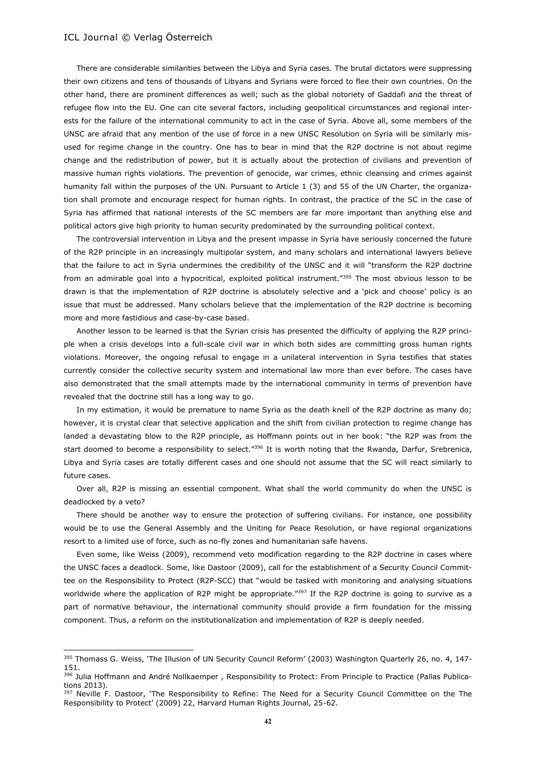$\overline{a}$ 

There are considerable similarities between the Libya and Syria cases. The brutal dictators were suppressing their own citizens and tens of thousands of Libyans and Syrians were forced to flee their own countries. On the other hand, there are prominent differences as well; such as the global notoriety of Gaddafi and the threat of refugee flow into the EU. One can cite several factors, including geopolitical circumstances and regional interests for the failure of the international community to act in the case of Syria. Above all, some members of the UNSC are afraid that any mention of the use of force in a new UNSC Resolution on Syria will be similarly misused for regime change in the country. One has to bear in mind that the R2P doctrine is not about regime change and the redistribution of power, but it is actually about the protection of civilians and prevention of massive human rights violations. The prevention of genocide, war crimes, ethnic cleansing and crimes against humanity fall within the purposes of the UN. Pursuant to Article 1 (3) and 55 of the UN Charter, the organization shall promote and encourage respect for human rights. In contrast, the practice of the SC in the case of Syria has affirmed that national interests of the SC members are far more important than anything else and political actors give high priority to human security predominated by the surrounding political context.

The controversial intervention in Libya and the present impasse in Syria have seriously concerned the future of the R2P principle in an increasingly multipolar system, and many scholars and international lawyers believe that the failure to act in Syria undermines the credibility of the UNSC and it will "transform the R2P doctrine from an admirable goal into a hypocritical, exploited political instrument."<sup>395</sup> The most obvious lesson to be drawn is that the implementation of R2P doctrine is absolutely selective and a 'pick and choose' policy is an issue that must be addressed. Many scholars believe that the implementation of the R2P doctrine is becoming more and more fastidious and case-by-case based.

Another lesson to be learned is that the Syrian crisis has presented the difficulty of applying the R2P principle when a crisis develops into a full-scale civil war in which both sides are committing gross human rights violations. Moreover, the ongoing refusal to engage in a unilateral intervention in Syria testifies that states currently consider the collective security system and international law more than ever before. The cases have also demonstrated that the small attempts made by the international community in terms of prevention have revealed that the doctrine still has a long way to go.

In my estimation, it would be premature to name Syria as the death knell of the R2P doctrine as many do; however, it is crystal clear that selective application and the shift from civilian protection to regime change has landed a devastating blow to the R2P principle, as Hoffmann points out in her book: "the R2P was from the start doomed to become a responsibility to select."<sup>396</sup> It is worth noting that the Rwanda, Darfur, Srebrenica, Libya and Syria cases are totally different cases and one should not assume that the SC will react similarly to future cases.

Over all, R2P is missing an essential component. What shall the world community do when the UNSC is deadlocked by a veto?

There should be another way to ensure the protection of suffering civilians. For instance, one possibility would be to use the General Assembly and the Uniting for Peace Resolution, or have regional organizations resort to a limited use of force, such as no-fly zones and humanitarian safe havens.

Even some, like Weiss (2009), recommend veto modification regarding to the R2P doctrine in cases where the UNSC faces a deadlock. Some, like Dastoor (2009), call for the establishment of a Security Council Committee on the Responsibility to Protect (R2P-SCC) that "would be tasked with monitoring and analysing situations worldwide where the application of R2P might be appropriate."397 If the R2P doctrine is going to survive as a part of normative behaviour, the international community should provide a firm foundation for the missing component. Thus, a reform on the institutionalization and implementation of R2P is deeply needed.

<sup>395</sup> Thomass G. Weiss, 'The Illusion of UN Security Council Reform' (2003) Washington Quarterly 26, no. 4, 147-151.

<sup>396</sup> Julia Hoffmann and André Nollkaemper , Responsibility to Protect: From Principle to Practice (Pallas Publications 2013).

<sup>&</sup>lt;sup>397</sup> Neville F. Dastoor, 'The Responsibility to Refine: The Need for a Security Council Committee on the The Responsibility to Protect' (2009) 22, Harvard Human Rights Journal, 25-62.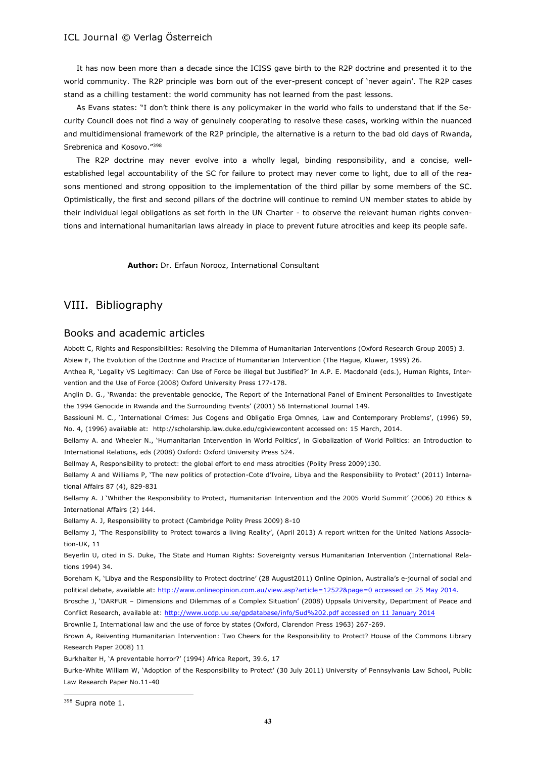It has now been more than a decade since the ICISS gave birth to the R2P doctrine and presented it to the world community. The R2P principle was born out of the ever-present concept of 'never again'. The R2P cases stand as a chilling testament: the world community has not learned from the past lessons.

As Evans states: "I don't think there is any policymaker in the world who fails to understand that if the Security Council does not find a way of genuinely cooperating to resolve these cases, working within the nuanced and multidimensional framework of the R2P principle, the alternative is a return to the bad old days of Rwanda, Srebrenica and Kosovo."<sup>398</sup>

The R2P doctrine may never evolve into a wholly legal, binding responsibility, and a concise, wellestablished legal accountability of the SC for failure to protect may never come to light, due to all of the reasons mentioned and strong opposition to the implementation of the third pillar by some members of the SC. Optimistically, the first and second pillars of the doctrine will continue to remind UN member states to abide by their individual legal obligations as set forth in the UN Charter - to observe the relevant human rights conventions and international humanitarian laws already in place to prevent future atrocities and keep its people safe.

**Author:** Dr. Erfaun Norooz, International Consultant

# VIII. Bibliography

# Books and academic articles

Abbott C, Rights and Responsibilities: Resolving the Dilemma of Humanitarian Interventions (Oxford Research Group 2005) 3. Abiew F, The Evolution of the Doctrine and Practice of Humanitarian Intervention (The Hague, Kluwer, 1999) 26.

Anthea R, 'Legality VS Legitimacy: Can Use of Force be illegal but Justified?' In A.P. E. Macdonald (eds.), Human Rights, Intervention and the Use of Force (2008) Oxford University Press 177-178.

Anglin D. G., 'Rwanda: the preventable genocide, The Report of the International Panel of Eminent Personalities to Investigate the 1994 Genocide in Rwanda and the Surrounding Events' (2001) 56 International Journal 149.

Bassiouni M. C., 'International Crimes: Jus Cogens and Obligatio Erga Omnes, Law and Contemporary Problems', (1996) 59, No. 4, (1996) available at: <http://scholarship.law.duke.edu/cgiviewcontent> accessed on: 15 March, 2014.

Bellamy A. and Wheeler N., 'Humanitarian Intervention in World Politics', in Globalization of World Politics: an Introduction to International Relations, eds (2008) Oxford: Oxford University Press 524.

Bellmay A, Responsibility to protect: the global effort to end mass atrocities (Polity Press 2009)130.

Bellamy A and Williams P, 'The new politics of protection-Cote d'Ivoire, Libya and the Responsibility to Protect' (2011) International Affairs 87 (4), 829-831

Bellamy A. J 'Whither the Responsibility to Protect, Humanitarian Intervention and the 2005 World Summit' (2006) 20 Ethics & International Affairs (2) 144.

Bellamy A. J, Responsibility to protect (Cambridge Polity Press 2009) 8-10

Bellamy J, 'The Responsibility to Protect towards a living Reality', (April 2013) A report written for the United Nations Association-UK, 11

Beyerlin U, cited in S. Duke, The State and Human Rights: Sovereignty versus Humanitarian Intervention (International Relations 1994) 34.

[Boreham](http://www.onlineopinion.com.au/author.asp?id=6393) K, 'Libya and the Responsibility to Protect doctrine' (28 August2011) Online Opinion, Australia's e-journal of social and political debate, available at:<http://www.onlineopinion.com.au/view.asp?article=12522&page=0> accessed on 25 May 2014.

Brosche J, 'DARFUR – Dimensions and Dilemmas of a Complex Situation' (2008) Uppsala University, Department of Peace and Conflict Research, available at:<http://www.ucdp.uu.se/gpdatabase/info/Sud%202.pdf> accessed on 11 January 2014

Brownlie I, International law and the use of force by states (Oxford, Clarendon Press 1963) 267-269.

Brown A, Reiventing Humanitarian Intervention: Two Cheers for the Responsibility to Protect? House of the Commons Library Research Paper 2008) 11

Burkhalter H, 'A preventable horror?' (1994) Africa Report, 39.6, 17

Burke-White William W, 'Adoption of the Responsibility to Protect' (30 July 2011) University of Pennsylvania Law School, Public Law Research Paper No.11-40

<sup>398</sup> Supra note 1.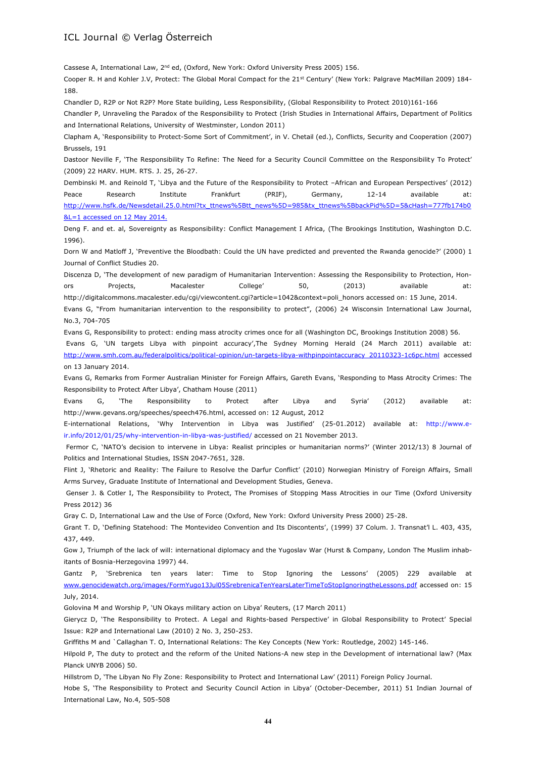Cassese A, International Law, 2<sup>nd</sup> ed, (Oxford, New York: Oxford University Press 2005) 156.

Cooper R. H and Kohler J.V, Protect: The Global Moral Compact for the 21<sup>st</sup> Century' (New York: Palgrave MacMillan 2009) 184-188.

Chandler D, R2P or Not R2P? More State building, Less Responsibility, (Global Responsibility to Protect 2010)161-166

Chandler P, Unraveling the Paradox of the Responsibility to Protect (Irish Studies in International Affairs, Department of Politics and International Relations, University of Westminster, London 2011)

Clapham A, 'Responsibility to Protect-Some Sort of Commitment', in V. Chetail (ed.), Conflicts, Security and Cooperation (2007) Brussels, 191

Dastoor Neville F, 'The Responsibility To Refine: The Need for a Security Council Committee on the Responsibility To Protect' (2009) 22 HARV. HUM. RTS. J. 25, 26-27.

Dembinski M. and Reinold T, 'Libya and the Future of the Responsibility to Protect –African and European Perspectives' (2012) Peace Research Institute Frankfurt (PRIF), Germany, 12-14 available at: [http://www.hsfk.de/Newsdetail.25.0.html?tx\\_ttnews%5Btt\\_news%5D=985&tx\\_ttnews%5BbackPid%5D=5&cHash=777fb174b0](http://www.hsfk.de/Newsdetail.25.0.html?tx_ttnews%5Btt_news%5D=985&tx_ttnews%5BbackPid%5D=5&cHash=777fb174b0&L=1)  $&$  =1 accessed on 12 May 2014.

Deng F. and et. al, Sovereignty as Responsibility: Conflict Management I Africa, (The Brookings Institution, Washington D.C. 1996).

Dorn W and Matloff J, 'Preventive the Bloodbath: Could the UN have predicted and prevented the Rwanda genocide?' (2000) 1 Journal of Conflict Studies 20.

Discenza D, 'The development of new paradigm of Humanitarian Intervention: Assessing the Responsibility to Protection, Honors Projects, Macalester College' 50, (2013) available at: http://digitalcommons.macalester.edu/cgi/viewcontent.cgi?article=1042&context=poli\_honors accessed on: 15 June, 2014. Evans G, "From humanitarian intervention to the responsibility to protect", (2006) 24 Wisconsin International Law Journal, No.3, 704-705

Evans G, Responsibility to protect: ending mass atrocity crimes once for all (Washington DC, Brookings Institution 2008) 56.

Evans G, 'UN targets Libya with pinpoint accuracy',The Sydney Morning Herald (24 March 2011) available at: [http://www.smh.com.au/federalpolitics/political-opinion/un-targets-libya-withpinpointaccuracy 20110323-1c6pc.html](http://www.smh.com.au/federalpolitics/political-opinion/un-targets-libya-withpinpointaccuracy%2020110323-1c6pc.html) accessed on 13 January 2014.

Evans G, Remarks from Former Australian Minister for Foreign Affairs, Gareth Evans, 'Responding to Mass Atrocity Crimes: The Responsibility to Protect After Libya', Chatham House (2011)

Evans G, 'The Responsibility to Protect after Libya and Syria' (2012) available at: http://www.gevans.org/speeches/speech476.html, accessed on: 12 August, 2012

E-international Relations, 'Why Intervention in Libya was Justified' (25-01.2012) available at: http://www.eir.info/2012/01/25/why-intervention-in-libya-was-justified/ accessed on 21 November 2013.

Fermor C, 'NATO's decision to intervene in Libya: Realist principles or humanitarian norms?' (Winter 2012/13) 8 Journal of Politics and International Studies, ISSN 2047-7651, 328.

Flint J, 'Rhetoric and Reality: The Failure to Resolve the Darfur Conflict' (2010) Norwegian Ministry of Foreign Affairs, Small Arms Survey, Graduate Institute of International and Development Studies, Geneva.

Genser J. & Cotler I, The Responsibility to Protect, The Promises of Stopping Mass Atrocities in our Time (Oxford University Press 2012) 36

Gray C. D, International Law and the Use of Force (Oxford, New York: Oxford University Press 2000) 25-28.

Grant T. D, 'Defining Statehood: The Montevideo Convention and Its Discontents', (1999) 37 Colum. J. Transnat'l L. 403, 435, 437, 449.

Gow J, Triumph of the lack of will: international diplomacy and the Yugoslav War (Hurst & Company, London The Muslim inhabitants of Bosnia-Herzegovina 1997) 44.

Gantz P, 'Srebrenica ten years later: Time to Stop Ignoring the Lessons' (2005) 229 available at [www.genocidewatch.org/images/FormYugo13Jul05SrebrenicaTenYearsLaterTimeToStopIgnoringtheLessons.pdf](http://www.genocidewatch.org/images/FormYugo13Jul05SrebrenicaTenYearsLaterTimeToStopIgnoringtheLessons.pdf) accessed on: 15 July, 2014.

Golovina M and Worship P, 'UN Okays military action on Libya' Reuters, (17 March 2011)

Gierycz D, 'The Responsibility to Protect. A Legal and Rights-based Perspective' in Global Responsibility to Protect' Special Issue: R2P and International Law (2010) 2 No. 3, 250-253.

Griffiths M and `Callaghan T. O, International Relations: The Key Concepts (New York: Routledge, 2002) 145-146.

Hilpold P, The duty to protect and the reform of the United Nations-A new step in the Development of international law? (Max Planck UNYB 2006) 50.

Hillstrom D, 'The Libyan No Fly Zone: Responsibility to Protect and International Law' (2011) Foreign Policy Journal.

Hobe S, 'The Responsibility to Protect and Security Council Action in Libya' (October-December, 2011) 51 Indian Journal of International Law, No.4, 505-508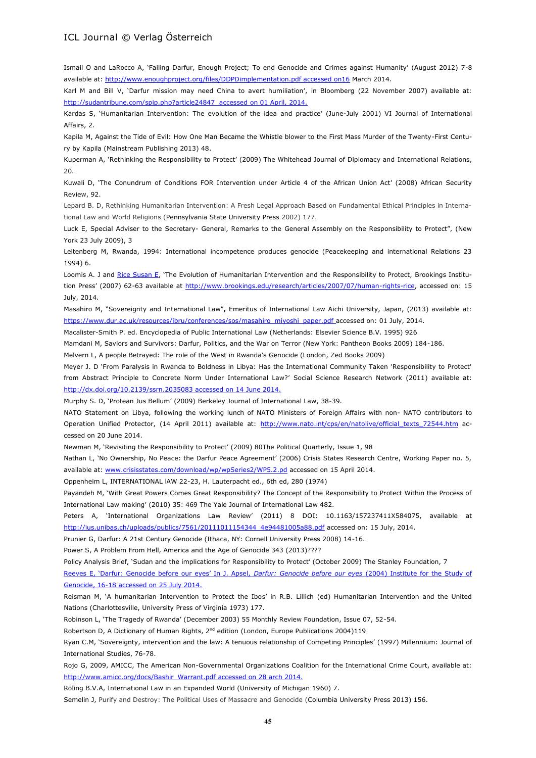Ismail O and LaRocco A, 'Failing Darfur, Enough Project; To end Genocide and Crimes against Humanity' (August 2012) 7-8 available at: [http://www.enoughproject.org/files/DDPDimplementation.pdf accessed on16](http://www.enoughproject.org/files/DDPDimplementation.pdf%20accessed%20on16) March 2014.

Karl M and Bill V, 'Darfur mission may need China to avert humiliation', in Bloomberg (22 November 2007) available at: [http://sudantribune.com/spip.php?article24847 accessed](http://sudantribune.com/spip.php?article24847%20%20accessed) on 01 April, 2014.

Kardas S, 'Humanitarian Intervention: The evolution of the idea and practice' (June-July 2001) VI Journal of International Affairs, 2.

Kapila M, Against the Tide of Evil: How One Man Became the Whistle blower to the First Mass Murder of the Twenty-First Century by Kapila (Mainstream Publishing 2013) 48.

Kuperman A, 'Rethinking the Responsibility to Protect' (2009) The Whitehead Journal of Diplomacy and International Relations, 20.

Kuwali D, 'The Conundrum of Conditions FOR Intervention under Article 4 of the African Union Act' (2008) African Security Review, 92.

Lepard B. D, Rethinking Humanitarian Intervention: A Fresh Legal Approach Based on Fundamental Ethical Principles in International Law and World Religions (Pennsylvania State University Press 2002) 177.

Luck E, Special Adviser to the Secretary- General, Remarks to the General Assembly on the Responsibility to Protect", (New York 23 July 2009), 3

Leitenberg M, Rwanda, 1994: International incompetence produces genocide (Peacekeeping and international Relations 23 1994) 6.

Loomis A. J and [Rice](http://www.brookings.edu/experts/rices) Susan E, 'The Evolution of Humanitarian Intervention and the Responsibility to Protect, Brookings Institution Press' (2007) 62-63 available at [http://www.brookings.edu/research/articles/2007/07/human-rights-rice,](http://www.brookings.edu/research/articles/2007/07/human-rights-rice) accessed on: 15 July, 2014.

Masahiro M, "Sovereignty and International Law"**,** Emeritus of International Law Aichi University, Japan, (2013) available at: [https://www.dur.ac.uk/resources/ibru/conferences/sos/masahiro\\_miyoshi\\_paper.pdf](https://www.dur.ac.uk/resources/ibru/conferences/sos/masahiro_miyoshi_paper.pdf) accessed on: 01 July, 2014.

Macalister-Smith P. ed. Encyclopedia of Public International Law (Netherlands: Elsevier Science B.V. 1995) 926

Mamdani M, Saviors and Survivors: Darfur, Politics, and the War on Terror (New York: Pantheon Books 2009) 184-186.

Melvern L, A people Betrayed: The role of the West in Rwanda's Genocide (London, Zed Books 2009)

Meyer J. D 'From Paralysis in Rwanda to Boldness in Libya: Has the International Community Taken 'Responsibility to Protect' from Abstract Principle to Concrete Norm Under International Law?' Social Science Research Network (2011) available at: <http://dx.doi.org/10.2139/ssrn.2035083> accessed on 14 June 2014.

Murphy S. D, 'Protean Jus Bellum' (2009) Berkeley Journal of International Law, 38-39.

NATO Statement on Libya, following the working lunch of NATO Ministers of Foreign Affairs with non- NATO contributors to Operation Unified Protector, (14 April 2011) available at: http://www.nato.int/cps/en/natolive/official texts 72544.htm accessed on 20 June 2014.

Newman M, 'Revisiting the Responsibility to Protect' (2009) 80The Political Quarterly, Issue 1, 98

Nathan L, 'No Ownership, No Peace: the Darfur Peace Agreement' (2006) Crisis States Research Centre, Working Paper no. 5, available at: [www.crisisstates.com/download/wp/wpSeries2/WP5.2.pd](http://www.crisisstates.com/download/wp/wpSeries2/WP5.2.pd) accessed on 15 April 2014.

Oppenheim L, INTERNATIONAL lAW 22-23, H. Lauterpacht ed., 6th ed, 280 (1974)

Payandeh M, 'With Great Powers Comes Great Responsibility? The Concept of the Responsibility to Protect Within the Process of International Law making' (2010) 35: 469 The Yale Journal of International Law 482.

Peters A, 'International Organizations Law Review' (2011) 8 DOI: 10.1163/157237411X584075, available at [http://ius.unibas.ch/uploads/publics/7561/20111011154344\\_4e94481005a88.pdf](http://ius.unibas.ch/uploads/publics/7561/20111011154344_4e94481005a88.pdf) accessed on: 15 July, 2014.

Prunier G, Darfur: A 21st Century Genocide (Ithaca, NY: Cornell University Press 2008) 14-16.

Power S, A Problem From Hell, America and the Age of Genocide 343 (2013)????

Policy Analysis Brief, 'Sudan and the implications for Responsibility to Protect' (October 2009) The Stanley Foundation, 7

Reeves E, 'Darfur: Genocide before our eyes' In J. Apsel, *Darfur: Genocide before our eyes* (2004) Institute for the Study of Genocide, 16-18 accessed on 25 July 2014.

Reisman M, 'A humanitarian Intervention to Protect the Ibos' in R.B. Lillich (ed) Humanitarian Intervention and the United Nations (Charlottesville, University Press of Virginia 1973) 177.

Robinson L, 'The Tragedy of Rwanda' (December 2003) 55 Monthly Review Foundation, Issue 07, 52-54.

Robertson D, A Dictionary of Human Rights, 2<sup>nd</sup> edition (London, Europe Publications 2004)119

Ryan C.M, 'Sovereignty, intervention and the law: A tenuous relationship of Competing Principles' (1997) Millennium: Journal of International Studies, 76-78.

Rojo G, 2009, AMICC, The American Non-Governmental Organizations Coalition for the International Crime Court, available at: [http://www.amicc.org/docs/Bashir\\_Warrant.pdf](http://www.amicc.org/docs/Bashir_Warrant.pdf) accessed on 28 arch 2014.

Röling B.V.A, International Law in an Expanded World (University of Michigan 1960) 7.

Semelin J, Purify and Destroy: The Political Uses of Massacre and Genocide (Columbia University Press 2013) 156.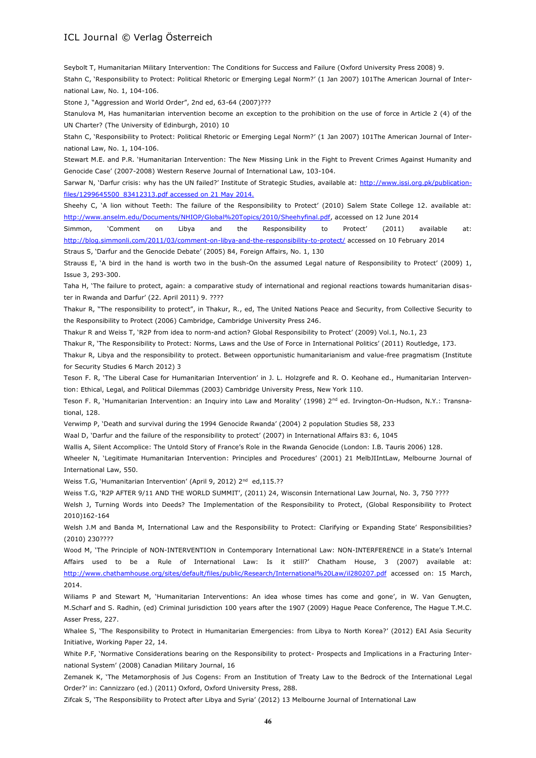Seybolt T, Humanitarian Military Intervention: The Conditions for Success and Failure (Oxford University Press 2008) 9. Stahn C, 'Responsibility to Protect: Political Rhetoric or Emerging Legal Norm?' (1 Jan 2007) 101The American Journal of International Law, No. 1, 104-106.

Stone J, "Aggression and World Order", 2nd ed, 63-64 (2007)???

Stanulova M, Has humanitarian intervention become an exception to the prohibition on the use of force in Article 2 (4) of the UN Charter? (The University of Edinburgh, 2010) 10

Stahn C, 'Responsibility to Protect: Political Rhetoric or Emerging Legal Norm?' (1 Jan 2007) 101The American Journal of International Law, No. 1, 104-106.

Stewart M.E. and P.R. 'Humanitarian Intervention: The New Missing Link in the Fight to Prevent Crimes Against Humanity and Genocide Case' (2007-2008) Western Reserve Journal of International Law, 103-104.

Sarwar N, 'Darfur crisis: why has the UN failed?' Institute of Strategic Studies, available at: [http://www.issi.org.pk/publication](http://www.issi.org.pk/publication-files/1299645500_83412313.pdf)[files/1299645500\\_83412313.pdf](http://www.issi.org.pk/publication-files/1299645500_83412313.pdf) accessed on 21 May 2014.

Sheehy C, 'A lion without Teeth: The failure of the Responsibility to Protect' (2010) Salem State College 12. available at: [http://www.anselm.edu/Documents/NHIOP/Global%20Topics/2010/Sheehyfinal.pdf,](http://www.anselm.edu/Documents/NHIOP/Global%20Topics/2010/Sheehyfinal.pdf) accessed on 12 June 2014

Simmon, 'Comment on Libya and the Responsibility to Protect' (2011) available at: <http://blog.simmonli.com/2011/03/comment-on-libya-and-the-responsibility-to-protect/> accessed on 10 February 2014 Straus S, 'Darfur and the Genocide Debate' (2005) 84, Foreign Affairs, No. 1, 130

Strauss E, 'A bird in the hand is worth two in the bush-On the assumed Legal nature of Responsibility to Protect' (2009) 1,

Issue 3, 293-300.

Taha H, 'The failure to protect, again: a comparative study of international and regional reactions towards humanitarian disaster in Rwanda and Darfur' (22. April 2011) 9. ????

Thakur R, "The responsibility to protect", in Thakur, R., ed, The United Nations Peace and Security, from Collective Security to the Responsibility to Protect (2006) Cambridge, Cambridge University Press 246.

Thakur R and Weiss T, 'R2P from idea to norm-and action? Global Responsibility to Protect' (2009) Vol.1, No.1, 23

Thakur R, 'The Responsibility to Protect: Norms, Laws and the Use of Force in International Politics' (2011) Routledge, 173.

Thakur R, Libya and the responsibility to protect. Between opportunistic humanitarianism and value-free pragmatism (Institute for Security Studies 6 March 2012) 3

Teson F. R, 'The Liberal Case for Humanitarian Intervention' in J. L. Holzgrefe and R. O. Keohane ed., Humanitarian Intervention: Ethical, Legal, and Political Dilemmas (2003) Cambridge University Press, New York 110.

Teson F. R, 'Humanitarian Intervention: an Inquiry into Law and Morality' (1998) 2<sup>nd</sup> ed. Irvington-On-Hudson, N.Y.: Transnational, 128.

Verwimp P, 'Death and survival during the 1994 Genocide Rwanda' (2004) 2 population Studies 58, 233

Waal D, 'Darfur and the failure of the responsibility to protect' (2007) in International Affairs 83: 6, 1045

Wallis A, Silent Accomplice: The Untold Story of France's Role in the Rwanda Genocide (London: I.B. Tauris 2006) 128.

Wheeler N, 'Legitimate Humanitarian Intervention: Principles and Procedures' (2001) 21 MelbJIIntLaw, Melbourne Journal of International Law, 550.

Weiss T.G, 'Humanitarian Intervention' (April 9, 2012) 2<sup>nd</sup> ed,115.??

Weiss T.G, 'R2P AFTER 9/11 AND THE WORLD SUMMIT', (2011) 24, Wisconsin International Law Journal, No. 3, 750 ????

Welsh J, Turning Words into Deeds? The Implementation of the Responsibility to Protect, (Global Responsibility to Protect 2010)162-164

Welsh J.M and Banda M, International Law and the Responsibility to Protect: Clarifying or Expanding State' Responsibilities? (2010) 230????

Wood M, 'The Principle of NON-INTERVENTION in Contemporary International Law: NON-INTERFERENCE in a State's Internal Affairs used to be a Rule of International Law: Is it still?' Chatham House, 3 (2007) available at: <http://www.chathamhouse.org/sites/default/files/public/Research/International%20Law/il280207.pdf> accessed on: 15 March, 2014.

Wiliams P and Stewart M, 'Humanitarian Interventions: An idea whose times has come and gone', in W. Van Genugten, M.Scharf and S. Radhin, (ed) Criminal jurisdiction 100 years after the 1907 (2009) Hague Peace Conference, The Hague T.M.C. Asser Press, 227.

Whalee S, 'The Responsibility to Protect in Humanitarian Emergencies: from Libya to North Korea?' (2012) EAI Asia Security Initiative, Working Paper 22, 14.

White P.F, 'Normative Considerations bearing on the Responsibility to protect- Prospects and Implications in a Fracturing International System' (2008) Canadian Military Journal, 16

Zemanek K, 'The Metamorphosis of Jus Cogens: From an Institution of Treaty Law to the Bedrock of the International Legal Order?' in: Cannizzaro (ed.) (2011) Oxford, Oxford University Press, 288.

Zifcak S, 'The Responsibility to Protect after Libya and Syria' (2012) 13 Melbourne Journal of International Law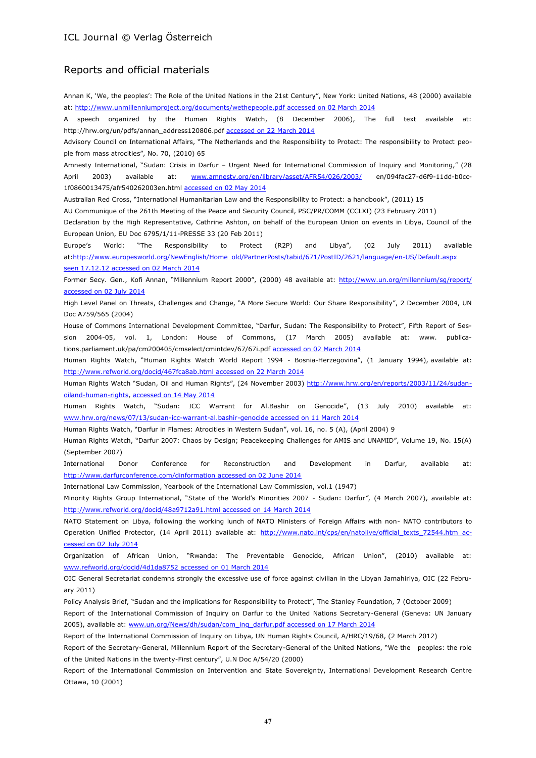# Reports and official materials

Annan K, 'We, the peoples': The Role of the United Nations in the 21st Century", New York: United Nations, 48 (2000) available at[: http://www.unmillenniumproject.org/documents/wethepeople.pdf](http://www.unmillenniumproject.org/documents/wethepeople.pdf) accessed on 02 March 2014

A speech organized by the Human Rights Watch, (8 December 2006), The full text available at: [http://hrw.org/un/pdfs/annan\\_address120806.pdf](http://hrw.org/un/pdfs/annan_address120806.pdf) accessed on 22 March 2014

Advisory Council on International Affairs, "The Netherlands and the Responsibility to Protect: The responsibility to Protect people from mass atrocities", No. 70, (2010) 65

Amnesty International, "Sudan: Crisis in Darfur – Urgent Need for International Commission of Inquiry and Monitoring," (28 April 2003) available at: [www.amnesty.org/en/library/asset/AFR54/026/2003/](http://www.amnesty.org/en/library/asset/AFR54/026/2003/) en/094fac27-d6f9-11dd-b0cc-1f0860013475/afr540262003en.html accessed on 02 May 2014

Australian Red Cross, "International Humanitarian Law and the Responsibility to Protect: a handbook", (2011) 15

AU Communique of the 261th Meeting of the Peace and Security Council, PSC/PR/COMM (CCLXI) (23 February 2011)

Declaration by the High Representative, Cathrine Ashton, on behalf of the European Union on events in Libya, Council of the European Union, EU Doc 6795/1/11-PRESSE 33 (20 Feb 2011)

Europe's World: "The Responsibility to Protect (R2P) and Libya", (02 July 2011) available at[:http://www.europesworld.org/NewEnglish/Home\\_old/PartnerPosts/tabid/671/PostID/2621/language/en-US/Default.aspx](http://www.europesworld.org/NewEnglish/Home_old/PartnerPosts/tabid/671/PostID/2621/language/en-US/Default.aspx%20seen%2017.12.12)  [seen 17.12.12](http://www.europesworld.org/NewEnglish/Home_old/PartnerPosts/tabid/671/PostID/2621/language/en-US/Default.aspx%20seen%2017.12.12) accessed on 02 March 2014

Former Secy. Gen., Kofi Annan, "Millennium Report 2000", (2000) 48 available at: <http://www.un.org/millennium/sg/report/> accessed on 02 July 2014

High Level Panel on Threats, Challenges and Change, "A More Secure World: Our Share Responsibility", 2 December 2004, UN Doc A759/565 (2004)

House of Commons International Development Committee, "Darfur, Sudan: The Responsibility to Protect", Fifth Report of Session 2004-05, vol. 1, London: House of Commons, (17 March 2005) available at: www. publications.parliament.uk/pa/cm200405/cmselect/cmintdev/67/67i.pdf accessed on 02 March 2014

Human Rights Watch, "Human Rights Watch World Report 1994 - Bosnia-Herzegovina", (1 January 1994), available at: <http://www.refworld.org/docid/467fca8ab.html> accessed on 22 March 2014

Human Rights Watch "Sudan, Oil and Human Rights", (24 November 2003) [http://www.hrw.org/en/reports/2003/11/24/sudan](http://www.hrw.org/en/reports/2003/11/24/sudan-oiland-human-rights)[oiland-human-rights,](http://www.hrw.org/en/reports/2003/11/24/sudan-oiland-human-rights) accessed on 14 May 2014

Human Rights Watch, "Sudan: ICC Warrant for Al.Bashir on Genocide", (13 July 2010) available at: [www.hrw.org/news/07/13/sudan-icc-warrant-al.bashir-genocide](http://www.hrw.org/news/07/13/sudan-icc-warrant-al.bashir-genocide) accessed on 11 March 2014

Human Rights Watch, "Darfur in Flames: Atrocities in Western Sudan", vol. 16, no. 5 (A), (April 2004) 9

Human Rights Watch, "Darfur 2007: Chaos by Design; Peacekeeping Challenges for AMIS and UNAMID", Volume 19, No. 15(A) (September 2007)

International Donor Conference for Reconstruction and Development in Darfur, available at: <http://www.darfurconference.com/dinformation> accessed on 02 June 2014

International Law Commission, Yearbook of the International Law Commission, vol.1 (1947)

Minority Rights Group International, "State of the World's Minorities 2007 - Sudan: Darfur*"*, (4 March 2007), available at: <http://www.refworld.org/docid/48a9712a91.html> accessed on 14 March 2014

NATO Statement on Libya, following the working lunch of NATO Ministers of Foreign Affairs with non- NATO contributors to Operation Unified Protector, (14 April 2011) available at: [http://www.nato.int/cps/en/natolive/official\\_texts\\_72544.htm](http://www.nato.int/cps/en/natolive/official_texts_72544.htm) accessed on 02 July 2014

Organization of African Union, "Rwanda: The Preventable Genocide, African Union", (2010) available at: [www.refworld.org/docid/4d1da8752](http://www.refworld.org/docid/4d1da8752) accessed on 01 March 2014

OIC General Secretariat condemns strongly the excessive use of force against civilian in the Libyan Jamahiriya, OIC (22 February 2011)

Policy Analysis Brief, "Sudan and the implications for Responsibility to Protect", The Stanley Foundation, 7 (October 2009)

Report of the International Commission of Inquiry on Darfur to the United Nations Secretary-General (Geneva: UN January 2005), available at: [www.un.org/News/dh/sudan/com\\_inq\\_darfur.pdf](http://www.un.org/News/dh/sudan/com_inq_darfur.pdf) accessed on 17 March 2014

Report of the International Commission of Inquiry on Libya, UN Human Rights Council, A/HRC/19/68, (2 March 2012)

Report of the Secretary-General, Millennium Report of the Secretary-General of the United Nations, "We the peoples: the role of the United Nations in the twenty-First century", U.N Doc A/54/20 (2000)

Report of the International Commission on Intervention and State Sovereignty, International Development Research Centre Ottawa, 10 (2001)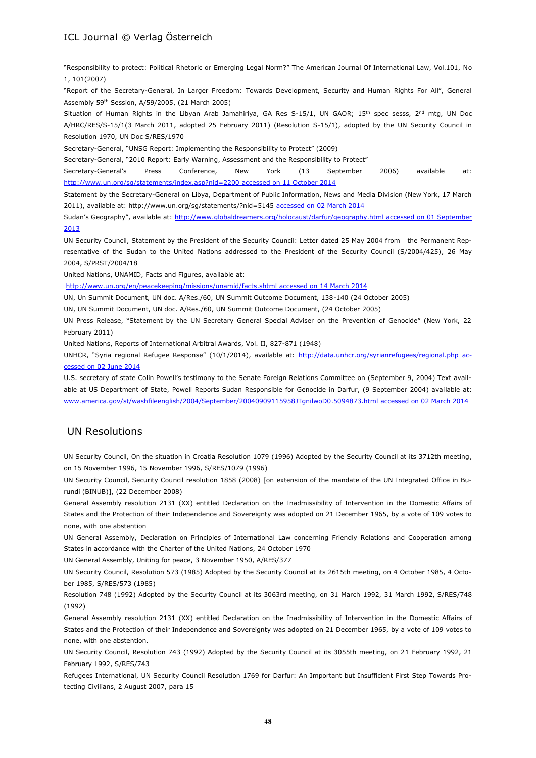"Responsibility to protect: Political Rhetoric or Emerging Legal Norm?" The American Journal Of International Law, Vol.101, No 1, 101(2007)

"Report of the Secretary-General, In Larger Freedom: Towards Development, Security and Human Rights For All", General Assembly 59th Session, A/59/2005, (21 March 2005)

Situation of Human Rights in the Libyan Arab Jamahiriya, GA Res S-15/1, UN GAOR; 15<sup>th</sup> spec sesss, 2<sup>nd</sup> mtg, UN Doc A/HRC/RES/S-15/1(3 March 2011, adopted 25 February 2011) (Resolution S-15/1), adopted by the UN Security Council in Resolution 1970, UN Doc S/RES/1970

Secretary-General, "UNSG Report: Implementing the Responsibility to Protect" (2009)

Secretary-General, "2010 Report: Early Warning, Assessment and the Responsibility to Protect"

Secretary-General's Press Conference, New York (13 September 2006) available at: <http://www.un.org/sg/statements/index.asp?nid=2200> accessed on 11 October 2014

Statement by the Secretary-General on Libya, Department of Public Information, News and Media Division (New York, 17 March 2011), available at: http://www.un.org/sg/statements/?nid=5145 accessed on 02 March 2014

Sudan's Geography", available at: <http://www.globaldreamers.org/holocaust/darfur/geography.html> accessed on 01 September 2013

UN Security Council, Statement by the President of the Security Council: Letter dated 25 May 2004 from the Permanent Representative of the Sudan to the United Nations addressed to the President of the Security Council (S/2004/425), 26 May 2004, S/PRST/2004/18

United Nations, UNAMID, Facts and Figures, available at:

<http://www.un.org/en/peacekeeping/missions/unamid/facts.shtml> accessed on 14 March 2014

UN, Un Summit Document, UN doc. A/Res./60, UN Summit Outcome Document, 138-140 (24 October 2005)

UN, UN Summit Document, UN doc. A/Res./60, UN Summit Outcome Document, (24 October 2005)

UN Press Release, "Statement by the UN Secretary General Special Adviser on the Prevention of Genocide" (New York, 22 February 2011)

United Nations, Reports of International Arbitral Awards, Vol. II, 827-871 (1948)

UNHCR, "Syria regional Refugee Response" (10/1/2014), available at: <http://data.unhcr.org/syrianrefugees/regional.php> accessed on 02 June 2014

U.S. secretary of state Colin Powell's testimony to the Senate Foreign Relations Committee on (September 9, 2004) Text available at US Department of State, Powell Reports Sudan Responsible for Genocide in Darfur, (9 September 2004) available at: [www.america.gov/st/washfileenglish/2004/September/20040909115958JTgnilwoD0.5094873.html](http://www.america.gov/st/washfileenglish/2004/September/20040909115958JTgnilwoD0.5094873.html) accessed on 02 March 2014

# UN Resolutions

UN Security Council, On the situation in Croatia Resolution 1079 (1996) Adopted by the Security Council at its 3712th meeting, on 15 November 1996, 15 November 1996, S/RES/1079 (1996)

UN Security Council, Security Council resolution 1858 (2008) [on extension of the mandate of the UN Integrated Office in Burundi (BINUB)], (22 December 2008)

General Assembly resolution 2131 (XX) entitled Declaration on the Inadmissibility of Intervention in the Domestic Affairs of States and the Protection of their Independence and Sovereignty was adopted on 21 December 1965, by a vote of 109 votes to none, with one abstention

UN General Assembly, Declaration on Principles of International Law concerning Friendly Relations and Cooperation among States in accordance with the Charter of the United Nations, 24 October 1970

UN General Assembly, Uniting for peace, 3 November 1950, A/RES/377

UN Security Council, Resolution 573 (1985) Adopted by the Security Council at its 2615th meeting, on 4 October 1985, 4 October 1985, S/RES/573 (1985)

Resolution 748 (1992) Adopted by the Security Council at its 3063rd meeting, on 31 March 1992, 31 March 1992, S/RES/748 (1992)

General Assembly resolution 2131 (XX) entitled Declaration on the Inadmissibility of Intervention in the Domestic Affairs of States and the Protection of their Independence and Sovereignty was adopted on 21 December 1965, by a vote of 109 votes to none, with one abstention.

UN Security Council, Resolution 743 (1992) Adopted by the Security Council at its 3055th meeting, on 21 February 1992, 21 February 1992, S/RES/743

Refugees International, UN Security Council Resolution 1769 for Darfur: An Important but Insufficient First Step Towards Protecting Civilians, 2 August 2007, para 15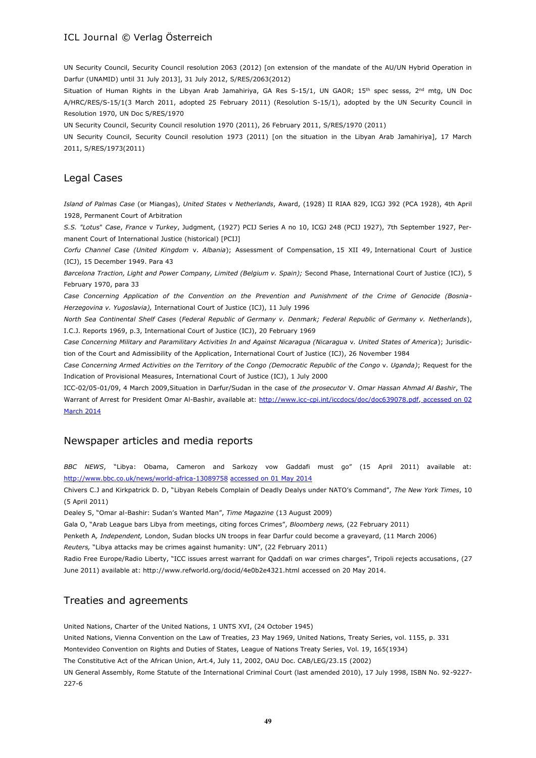UN Security Council, Security Council resolution 2063 (2012) [on extension of the mandate of the AU/UN Hybrid Operation in Darfur (UNAMID) until 31 July 2013], 31 July 2012, S/RES/2063(2012)

Situation of Human Rights in the Libyan Arab Jamahiriya, GA Res S-15/1, UN GAOR; 15<sup>th</sup> spec sesss, 2<sup>nd</sup> mtg, UN Doc A/HRC/RES/S-15/1(3 March 2011, adopted 25 February 2011) (Resolution S-15/1), adopted by the UN Security Council in Resolution 1970, UN Doc S/RES/1970

UN Security Council, Security Council resolution 1970 (2011), 26 February 2011, S/RES/1970 (2011)

UN Security Council, Security Council resolution 1973 (2011) [on the situation in the Libyan Arab Jamahiriya], 17 March 2011, S/RES/1973(2011)

## Legal Cases

*Island of Palmas Case* (or Miangas), *United States* v *Netherlands*, Award, (1928) II RIAA 829, ICGJ 392 (PCA 1928), 4th April 1928, Permanent Court of Arbitration

*S.S. "Lotus*" *Case*, *France* v *Turkey*, Judgment, (1927) PCIJ Series A no 10, ICGJ 248 (PCIJ 1927), 7th September 1927, Permanent Court of International Justice (historical) [PCIJ]

*Corfu Channel Case (United Kingdom* v. *Albania*); Assessment of Compensation, 15 XII 49, International Court of Justice (ICJ), 15 December 1949. Para 43

*Barcelona Traction, Light and Power Company, Limited (Belgium v. Spain);* Second Phase, International Court of Justice (ICJ), 5 February 1970, para 33

*Case Concerning Application of the Convention on the Prevention and Punishment of the Crime of Genocide (Bosnia-Herzegovina v. Yugoslavia),* International Court of Justice (ICJ), 11 July 1996

*North Sea Continental Shelf Cases* (*Federal Republic of Germany v. Denmark; Federal Republic of Germany v. Netherlands*), I.C.J. Reports 1969, p.3, International Court of Justice (ICJ), 20 February 1969

*Case Concerning Military and Paramilitary Activities In and Against Nicaragua (Nicaragua* v*. United States of America*); Jurisdiction of the Court and Admissibility of the Application, International Court of Justice (ICJ), 26 November 1984

*Case Concerning Armed Activities on the Territory of the Congo (Democratic Republic of the Congo* v. *Uganda)*; Request for the Indication of Provisional Measures, International Court of Justice (ICJ), 1 July 2000

ICC-02/05-01/09, 4 March 2009,Situation in Darfur/Sudan in the case of *the prosecutor* V. *Omar Hassan Ahmad Al Bashir*, The Warrant of Arrest for President Omar Al-Bashir, available at: [http://www.icc-cpi.int/iccdocs/doc/doc639078.pdf,](http://www.icc-cpi.int/iccdocs/doc/doc639078.pdf) accessed on 02 March 2014

# Newspaper articles and media reports

*BBC NEWS*, "Libya: Obama, Cameron and Sarkozy vow Gaddafi must go" (15 April 2011) available at: <http://www.bbc.co.uk/news/world-africa-13089758> accessed on 01 May 2014

Chivers C.J and Kirkpatrick D. D, "Libyan Rebels Complain of Deadly Dealys under NATO's Command", *The New York Times*, 10 (5 April 2011)

Dealey S, "Omar al-Bashir: Sudan's Wanted Man", *Time Magazine* (13 August 2009)

Gala O, "Arab League bars Libya from meetings, citing forces Crimes", *Bloomberg news,* (22 February 2011)

Penketh A*, Independent,* London, Sudan blocks UN troops in fear Darfur could become a graveyard, (11 March 2006)

*Reuters,* "Libya attacks may be crimes against humanity: UN", (22 February 2011)

Radio Free Europe/Radio Liberty, "ICC issues arrest warrant for Qaddafi on war crimes charges", Tripoli rejects accusations, (27 June 2011) available at: http://www.refworld.org/docid/4e0b2e4321.html accessed on 20 May 2014.

# Treaties and agreements

United Nations, Charter of the United Nations, 1 UNTS XVI, (24 October 1945)

United Nations, Vienna Convention on the Law of Treaties, 23 May 1969, United Nations, Treaty Series, vol. 1155, p. 331

Montevideo Convention on Rights and Duties of States, League of Nations Treaty Series, Vol. 19, 165(1934)

The Constitutive Act of the African Union, Art.4, July 11, 2002, OAU Doc. CAB/LEG/23.15 (2002)

UN General Assembly, Rome Statute of the International Criminal Court (last amended 2010), 17 July 1998, ISBN No. 92-9227- 227-6